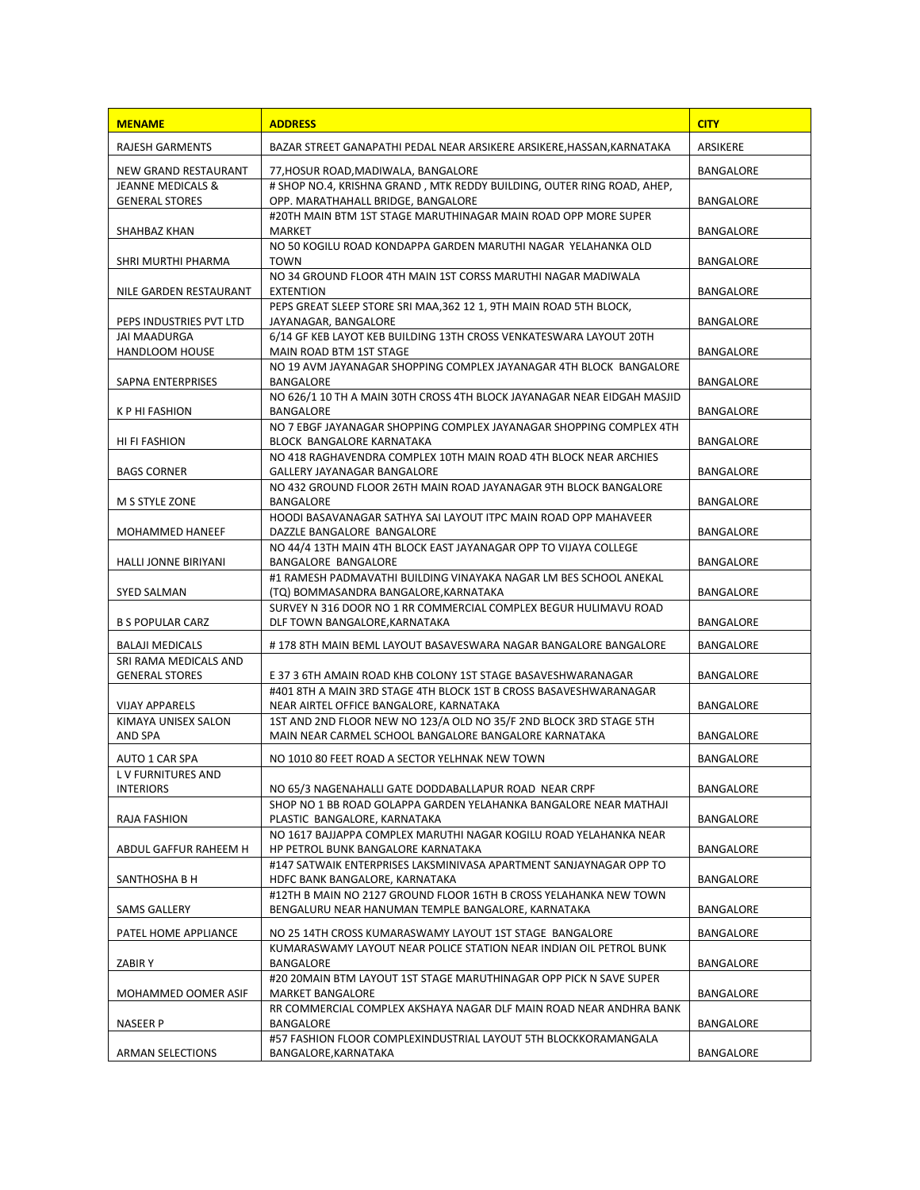| <b>MENAME</b>                                  | <b>ADDRESS</b>                                                                                                              | <b>CITY</b>      |
|------------------------------------------------|-----------------------------------------------------------------------------------------------------------------------------|------------------|
| <b>RAJESH GARMENTS</b>                         | BAZAR STREET GANAPATHI PEDAL NEAR ARSIKERE ARSIKERE.HASSAN.KARNATAKA                                                        | <b>ARSIKERE</b>  |
| NEW GRAND RESTAURANT                           | 77, HOSUR ROAD, MADIWALA, BANGALORE                                                                                         | <b>BANGALORE</b> |
| <b>JEANNE MEDICALS &amp;</b>                   | # SHOP NO.4, KRISHNA GRAND, MTK REDDY BUILDING, OUTER RING ROAD, AHEP,                                                      |                  |
| <b>GENERAL STORES</b>                          | OPP. MARATHAHALL BRIDGE, BANGALORE                                                                                          | <b>BANGALORE</b> |
| SHAHBAZ KHAN                                   | #20TH MAIN BTM 1ST STAGE MARUTHINAGAR MAIN ROAD OPP MORE SUPER<br><b>MARKET</b>                                             | BANGALORE        |
|                                                | NO 50 KOGILU ROAD KONDAPPA GARDEN MARUTHI NAGAR YELAHANKA OLD                                                               |                  |
| SHRI MURTHI PHARMA                             | <b>TOWN</b>                                                                                                                 | BANGALORE        |
| NILE GARDEN RESTAURANT                         | NO 34 GROUND FLOOR 4TH MAIN 1ST CORSS MARUTHI NAGAR MADIWALA<br><b>EXTENTION</b>                                            | <b>BANGALORE</b> |
|                                                | PEPS GREAT SLEEP STORE SRI MAA, 362 12 1, 9TH MAIN ROAD 5TH BLOCK,                                                          |                  |
| PEPS INDUSTRIES PVT LTD<br><b>JAI MAADURGA</b> | JAYANAGAR, BANGALORE<br>6/14 GF KEB LAYOT KEB BUILDING 13TH CROSS VENKATESWARA LAYOUT 20TH                                  | BANGALORE        |
| <b>HANDLOOM HOUSE</b>                          | MAIN ROAD BTM 1ST STAGE                                                                                                     | BANGALORE        |
|                                                | NO 19 AVM JAYANAGAR SHOPPING COMPLEX JAYANAGAR 4TH BLOCK BANGALORE                                                          |                  |
| SAPNA ENTERPRISES                              | BANGALORE<br>NO 626/1 10 TH A MAIN 30TH CROSS 4TH BLOCK JAYANAGAR NEAR EIDGAH MASJID                                        | BANGALORE        |
| K P HI FASHION                                 | BANGALORE                                                                                                                   | <b>BANGALORE</b> |
|                                                | NO 7 EBGF JAYANAGAR SHOPPING COMPLEX JAYANAGAR SHOPPING COMPLEX 4TH                                                         |                  |
| HI FI FASHION                                  | BLOCK BANGALORE KARNATAKA<br>NO 418 RAGHAVENDRA COMPLEX 10TH MAIN ROAD 4TH BLOCK NEAR ARCHIES                               | BANGALORE        |
| <b>BAGS CORNER</b>                             | <b>GALLERY JAYANAGAR BANGALORE</b>                                                                                          | BANGALORE        |
|                                                | NO 432 GROUND FLOOR 26TH MAIN ROAD JAYANAGAR 9TH BLOCK BANGALORE                                                            |                  |
| M S STYLE ZONE                                 | BANGALORE<br>HOODI BASAVANAGAR SATHYA SAI LAYOUT ITPC MAIN ROAD OPP MAHAVEER                                                | BANGALORE        |
| MOHAMMED HANEEF                                | DAZZLE BANGALORE BANGALORE                                                                                                  | BANGALORE        |
|                                                | NO 44/4 13TH MAIN 4TH BLOCK EAST JAYANAGAR OPP TO VIJAYA COLLEGE                                                            |                  |
| HALLI JONNE BIRIYANI                           | BANGALORE BANGALORE<br>#1 RAMESH PADMAVATHI BUILDING VINAYAKA NAGAR LM BES SCHOOL ANEKAL                                    | BANGALORE        |
| <b>SYED SALMAN</b>                             | (TQ) BOMMASANDRA BANGALORE, KARNATAKA                                                                                       | BANGALORE        |
|                                                | SURVEY N 316 DOOR NO 1 RR COMMERCIAL COMPLEX BEGUR HULIMAVU ROAD                                                            |                  |
| <b>B S POPULAR CARZ</b>                        | DLF TOWN BANGALORE, KARNATAKA                                                                                               | BANGALORE        |
| <b>BALAJI MEDICALS</b>                         | #178 8TH MAIN BEML LAYOUT BASAVESWARA NAGAR BANGALORE BANGALORE                                                             | BANGALORE        |
| SRI RAMA MEDICALS AND<br><b>GENERAL STORES</b> | E 37 3 6TH AMAIN ROAD KHB COLONY 1ST STAGE BASAVESHWARANAGAR                                                                | BANGALORE        |
|                                                | #401 8TH A MAIN 3RD STAGE 4TH BLOCK 1ST B CROSS BASAVESHWARANAGAR                                                           |                  |
| <b>VIJAY APPARELS</b>                          | NEAR AIRTEL OFFICE BANGALORE, KARNATAKA                                                                                     | BANGALORE        |
| KIMAYA UNISEX SALON<br>AND SPA                 | 1ST AND 2ND FLOOR NEW NO 123/A OLD NO 35/F 2ND BLOCK 3RD STAGE 5TH<br>MAIN NEAR CARMEL SCHOOL BANGALORE BANGALORE KARNATAKA | BANGALORE        |
| AUTO 1 CAR SPA                                 | NO 1010 80 FEET ROAD A SECTOR YELHNAK NEW TOWN                                                                              | BANGALORE        |
| <b>LV FURNITURES AND</b>                       |                                                                                                                             |                  |
| <b>INTERIORS</b>                               | NO 65/3 NAGENAHALLI GATE DODDABALLAPUR ROAD NEAR CRPF                                                                       | BANGALORE        |
| RAJA FASHION                                   | SHOP NO 1 BB ROAD GOLAPPA GARDEN YELAHANKA BANGALORE NEAR MATHAJI<br>PLASTIC BANGALORE, KARNATAKA                           | BANGALORE        |
|                                                | NO 1617 BAJJAPPA COMPLEX MARUTHI NAGAR KOGILU ROAD YELAHANKA NEAR                                                           |                  |
| ABDUL GAFFUR RAHEEM H                          | HP PETROL BUNK BANGALORE KARNATAKA                                                                                          | BANGALORE        |
| SANTHOSHA B H                                  | #147 SATWAIK ENTERPRISES LAKSMINIVASA APARTMENT SANJAYNAGAR OPP TO<br>HDFC BANK BANGALORE, KARNATAKA                        | BANGALORE        |
|                                                | #12TH B MAIN NO 2127 GROUND FLOOR 16TH B CROSS YELAHANKA NEW TOWN                                                           |                  |
| SAMS GALLERY                                   | BENGALURU NEAR HANUMAN TEMPLE BANGALORE, KARNATAKA                                                                          | BANGALORE        |
| PATEL HOME APPLIANCE                           | NO 25 14TH CROSS KUMARASWAMY LAYOUT 1ST STAGE BANGALORE                                                                     | BANGALORE        |
|                                                | KUMARASWAMY LAYOUT NEAR POLICE STATION NEAR INDIAN OIL PETROL BUNK                                                          |                  |
| ZABIR Y                                        | BANGALORE<br>#20 20 MAIN BTM LAYOUT 1ST STAGE MARUTHINAGAR OPP PICK N SAVE SUPER                                            | BANGALORE        |
| MOHAMMED OOMER ASIF                            | <b>MARKET BANGALORE</b>                                                                                                     | BANGALORE        |
|                                                | RR COMMERCIAL COMPLEX AKSHAYA NAGAR DLF MAIN ROAD NEAR ANDHRA BANK                                                          |                  |
| <b>NASEER P</b>                                | BANGALORE<br>#57 FASHION FLOOR COMPLEXINDUSTRIAL LAYOUT 5TH BLOCKKORAMANGALA                                                | BANGALORE        |
| ARMAN SELECTIONS                               | BANGALORE,KARNATAKA                                                                                                         | BANGALORE        |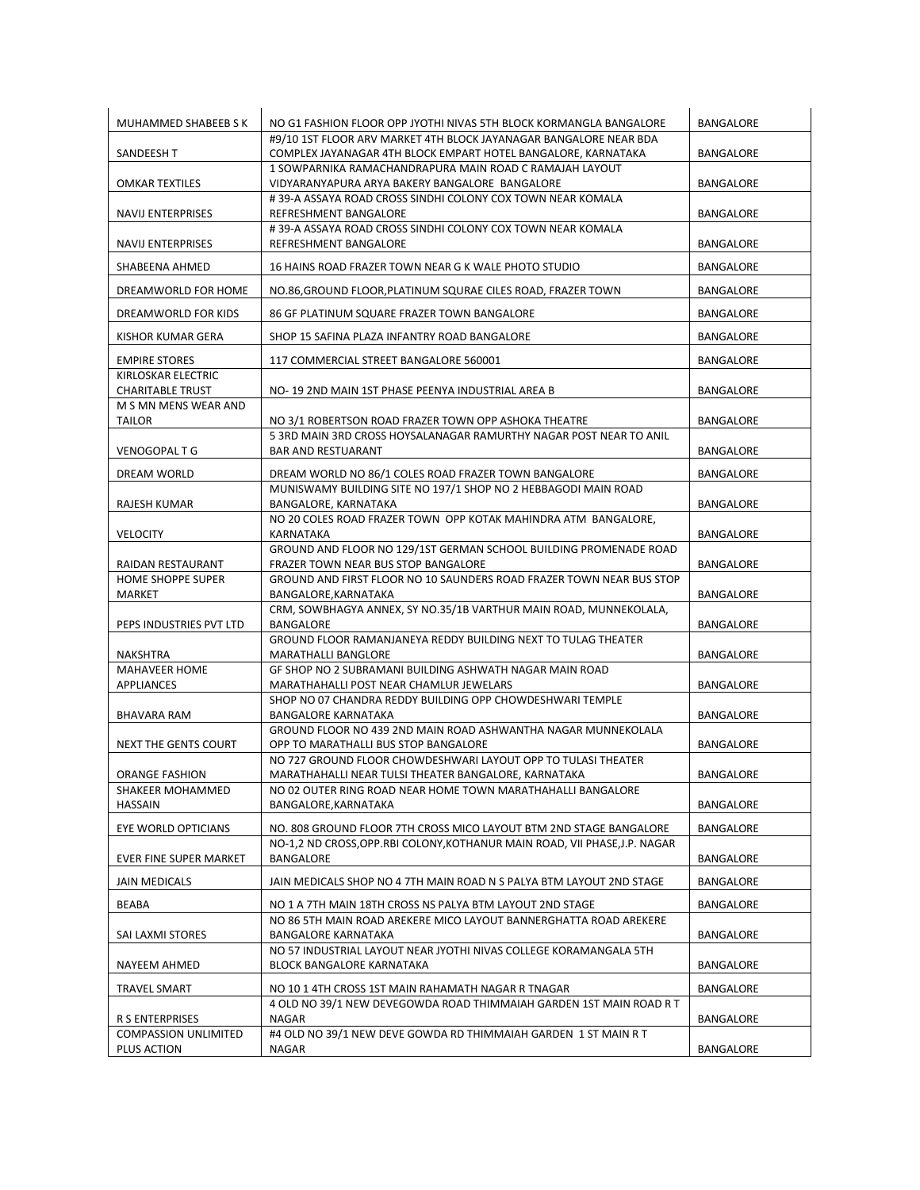| MUHAMMED SHABEEB S K                           | NO G1 FASHION FLOOR OPP JYOTHI NIVAS 5TH BLOCK KORMANGLA BANGALORE                                                  | BANGALORE        |
|------------------------------------------------|---------------------------------------------------------------------------------------------------------------------|------------------|
|                                                | #9/10 1ST FLOOR ARV MARKET 4TH BLOCK JAYANAGAR BANGALORE NEAR BDA                                                   |                  |
| <b>SANDEESH T</b>                              | COMPLEX JAYANAGAR 4TH BLOCK EMPART HOTEL BANGALORE, KARNATAKA                                                       | BANGALORE        |
| <b>OMKAR TEXTILES</b>                          | 1 SOWPARNIKA RAMACHANDRAPURA MAIN ROAD C RAMAJAH LAYOUT<br>VIDYARANYAPURA ARYA BAKERY BANGALORE BANGALORE           | <b>BANGALORE</b> |
|                                                | #39-A ASSAYA ROAD CROSS SINDHI COLONY COX TOWN NEAR KOMALA                                                          |                  |
| <b>NAVIJ ENTERPRISES</b>                       | REFRESHMENT BANGALORE                                                                                               | BANGALORE        |
|                                                | #39-A ASSAYA ROAD CROSS SINDHI COLONY COX TOWN NEAR KOMALA                                                          |                  |
| <b>NAVIJ ENTERPRISES</b>                       | REFRESHMENT BANGALORE                                                                                               | BANGALORE        |
| SHABEENA AHMED                                 | 16 HAINS ROAD FRAZER TOWN NEAR G K WALE PHOTO STUDIO                                                                | BANGALORE        |
| DREAMWORLD FOR HOME                            | NO.86, GROUND FLOOR, PLATINUM SQURAE CILES ROAD, FRAZER TOWN                                                        | BANGALORE        |
| DREAMWORLD FOR KIDS                            | 86 GF PLATINUM SQUARE FRAZER TOWN BANGALORE                                                                         | BANGALORE        |
| KISHOR KUMAR GERA                              | SHOP 15 SAFINA PLAZA INFANTRY ROAD BANGALORE                                                                        | <b>BANGALORE</b> |
|                                                |                                                                                                                     |                  |
| <b>EMPIRE STORES</b>                           | 117 COMMERCIAL STREET BANGALORE 560001                                                                              | BANGALORE        |
| KIRLOSKAR ELECTRIC<br><b>CHARITABLE TRUST</b>  | NO-19 2ND MAIN 1ST PHASE PEENYA INDUSTRIAL AREA B                                                                   | BANGALORE        |
| M S MN MENS WEAR AND                           |                                                                                                                     |                  |
| TAILOR                                         | NO 3/1 ROBERTSON ROAD FRAZER TOWN OPP ASHOKA THEATRE                                                                | BANGALORE        |
|                                                | 5 3RD MAIN 3RD CROSS HOYSALANAGAR RAMURTHY NAGAR POST NEAR TO ANIL                                                  |                  |
| VENOGOPAL T G                                  | <b>BAR AND RESTUARANT</b>                                                                                           | BANGALORE        |
| <b>DREAM WORLD</b>                             | DREAM WORLD NO 86/1 COLES ROAD FRAZER TOWN BANGALORE                                                                | <b>BANGALORE</b> |
|                                                | MUNISWAMY BUILDING SITE NO 197/1 SHOP NO 2 HEBBAGODI MAIN ROAD                                                      |                  |
| RAJESH KUMAR                                   | BANGALORE, KARNATAKA                                                                                                | BANGALORE        |
| <b>VELOCITY</b>                                | NO 20 COLES ROAD FRAZER TOWN OPP KOTAK MAHINDRA ATM BANGALORE,<br>KARNATAKA                                         | BANGALORE        |
|                                                | GROUND AND FLOOR NO 129/1ST GERMAN SCHOOL BUILDING PROMENADE ROAD                                                   |                  |
| RAIDAN RESTAURANT                              | FRAZER TOWN NEAR BUS STOP BANGALORE                                                                                 | <b>BANGALORE</b> |
| HOME SHOPPE SUPER                              | GROUND AND FIRST FLOOR NO 10 SAUNDERS ROAD FRAZER TOWN NEAR BUS STOP                                                |                  |
| MARKET                                         | BANGALORE, KARNATAKA<br>CRM, SOWBHAGYA ANNEX, SY NO.35/1B VARTHUR MAIN ROAD, MUNNEKOLALA,                           | BANGALORE        |
| PEPS INDUSTRIES PVT LTD                        | BANGALORE                                                                                                           | BANGALORE        |
|                                                | GROUND FLOOR RAMANJANEYA REDDY BUILDING NEXT TO TULAG THEATER                                                       |                  |
| NAKSHTRA                                       | <b>MARATHALLI BANGLORE</b>                                                                                          | <b>BANGALORE</b> |
| <b>MAHAVEER HOME</b>                           | GF SHOP NO 2 SUBRAMANI BUILDING ASHWATH NAGAR MAIN ROAD                                                             |                  |
| APPLIANCES                                     | MARATHAHALLI POST NEAR CHAMLUR JEWELARS<br>SHOP NO 07 CHANDRA REDDY BUILDING OPP CHOWDESHWARI TEMPLE                | BANGALORE        |
| BHAVARA RAM                                    | <b>BANGALORE KARNATAKA</b>                                                                                          | BANGALORE        |
|                                                | GROUND FLOOR NO 439 2ND MAIN ROAD ASHWANTHA NAGAR MUNNEKOLALA                                                       |                  |
| NEXT THE GENTS COURT                           | OPP TO MARATHALLI BUS STOP BANGALORE                                                                                | <b>BANGALORE</b> |
|                                                | NO 727 GROUND FLOOR CHOWDESHWARI LAYOUT OPP TO TULASI THEATER                                                       |                  |
| ORANGE FASHION<br>SHAKEER MOHAMMED             | MARATHAHALLI NEAR TULSI THEATER BANGALORE, KARNATAKA<br>NO 02 OUTER RING ROAD NEAR HOME TOWN MARATHAHALLI BANGALORE | <b>BANGALORE</b> |
| HASSAIN                                        | BANGALORE, KARNATAKA                                                                                                | BANGALORE        |
| EYE WORLD OPTICIANS                            | NO. 808 GROUND FLOOR 7TH CROSS MICO LAYOUT BTM 2ND STAGE BANGALORE                                                  | BANGALORE        |
|                                                | NO-1,2 ND CROSS, OPP.RBI COLONY, KOTHANUR MAIN ROAD, VII PHASE, J.P. NAGAR                                          |                  |
| EVER FINE SUPER MARKET                         | BANGALORE                                                                                                           | BANGALORE        |
| <b>JAIN MEDICALS</b>                           | JAIN MEDICALS SHOP NO 4 7TH MAIN ROAD N S PALYA BTM LAYOUT 2ND STAGE                                                | BANGALORE        |
|                                                | NO 1 A 7TH MAIN 18TH CROSS NS PALYA BTM LAYOUT 2ND STAGE                                                            |                  |
| BEABA                                          | NO 86 5TH MAIN ROAD AREKERE MICO LAYOUT BANNERGHATTA ROAD AREKERE                                                   | BANGALORE        |
| SAI LAXMI STORES                               | <b>BANGALORE KARNATAKA</b>                                                                                          | BANGALORE        |
|                                                | NO 57 INDUSTRIAL LAYOUT NEAR JYOTHI NIVAS COLLEGE KORAMANGALA 5TH                                                   |                  |
| NAYEEM AHMED                                   | BLOCK BANGALORE KARNATAKA                                                                                           | BANGALORE        |
| TRAVEL SMART                                   | NO 10 1 4TH CROSS 1ST MAIN RAHAMATH NAGAR R TNAGAR                                                                  | BANGALORE        |
|                                                | 4 OLD NO 39/1 NEW DEVEGOWDA ROAD THIMMAIAH GARDEN 1ST MAIN ROAD R T                                                 |                  |
| R S ENTERPRISES<br><b>COMPASSION UNLIMITED</b> | <b>NAGAR</b><br>#4 OLD NO 39/1 NEW DEVE GOWDA RD THIMMAIAH GARDEN 1 ST MAIN R T                                     | BANGALORE        |
| PLUS ACTION                                    | NAGAR                                                                                                               | BANGALORE        |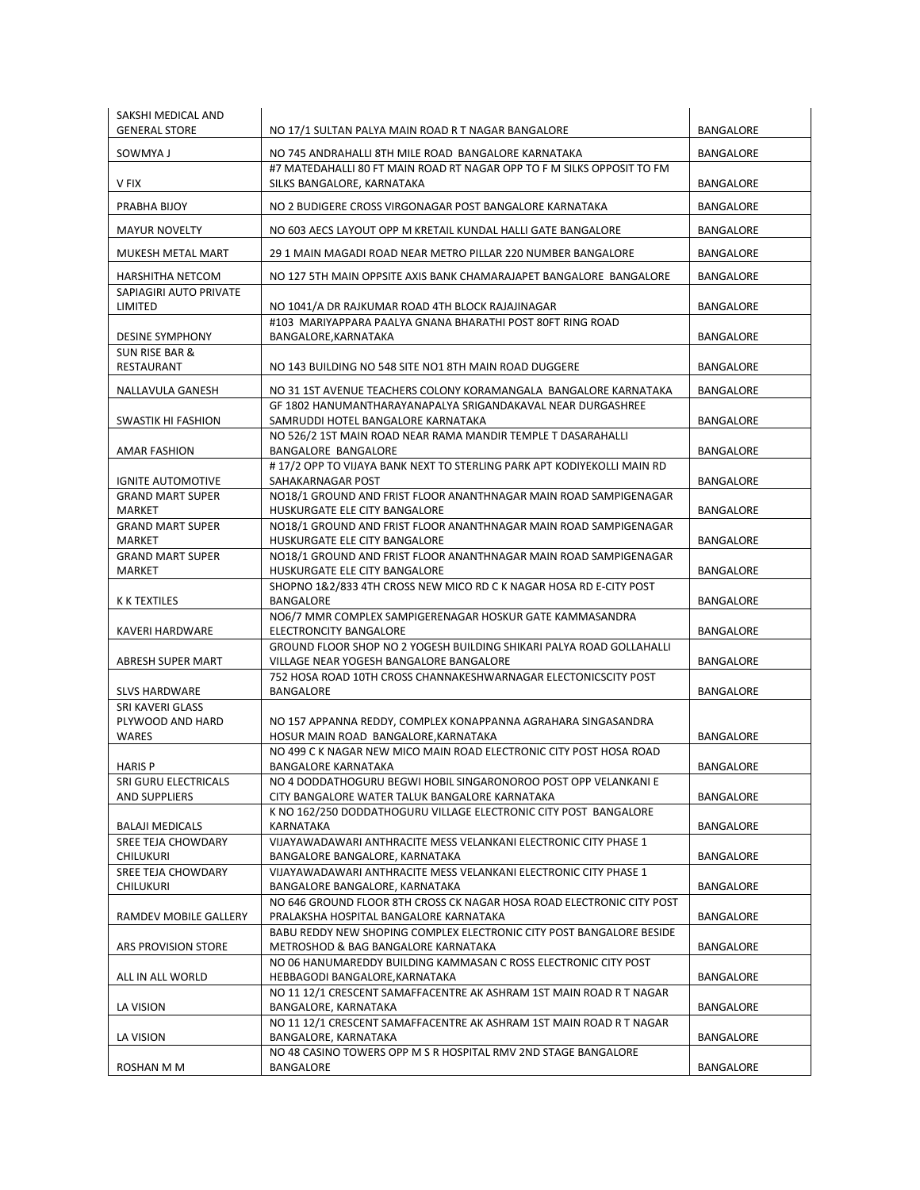| SAKSHI MEDICAL AND<br><b>GENERAL STORE</b> |                                                                                                                    |                  |
|--------------------------------------------|--------------------------------------------------------------------------------------------------------------------|------------------|
|                                            | NO 17/1 SULTAN PALYA MAIN ROAD R T NAGAR BANGALORE                                                                 | BANGALORE        |
| SOWMYA J                                   | NO 745 ANDRAHALLI 8TH MILE ROAD BANGALORE KARNATAKA                                                                | <b>BANGALORE</b> |
| V FIX                                      | #7 MATEDAHALLI 80 FT MAIN ROAD RT NAGAR OPP TO F M SILKS OPPOSIT TO FM<br>SILKS BANGALORE, KARNATAKA               | BANGALORE        |
| PRABHA BIJOY                               | NO 2 BUDIGERE CROSS VIRGONAGAR POST BANGALORE KARNATAKA                                                            | BANGALORE        |
| <b>MAYUR NOVELTY</b>                       | NO 603 AECS LAYOUT OPP M KRETAIL KUNDAL HALLI GATE BANGALORE                                                       | <b>BANGALORE</b> |
| MUKESH METAL MART                          | 29 1 MAIN MAGADI ROAD NEAR METRO PILLAR 220 NUMBER BANGALORE                                                       | <b>BANGALORE</b> |
| HARSHITHA NETCOM                           | NO 127 5TH MAIN OPPSITE AXIS BANK CHAMARAJAPET BANGALORE BANGALORE                                                 | <b>BANGALORE</b> |
| SAPIAGIRI AUTO PRIVATE<br>LIMITED          | NO 1041/A DR RAJKUMAR ROAD 4TH BLOCK RAJAJINAGAR                                                                   | BANGALORE        |
|                                            | #103 MARIYAPPARA PAALYA GNANA BHARATHI POST 80FT RING ROAD                                                         |                  |
| <b>DESINE SYMPHONY</b>                     | BANGALORE, KARNATAKA                                                                                               | BANGALORE        |
| <b>SUN RISE BAR &amp;</b><br>RESTAURANT    | NO 143 BUILDING NO 548 SITE NO1 8TH MAIN ROAD DUGGERE                                                              | BANGALORE        |
| NALLAVULA GANESH                           | NO 31 1ST AVENUE TEACHERS COLONY KORAMANGALA BANGALORE KARNATAKA                                                   | BANGALORE        |
|                                            | GF 1802 HANUMANTHARAYANAPALYA SRIGANDAKAVAL NEAR DURGASHREE                                                        |                  |
| <b>SWASTIK HI FASHION</b>                  | SAMRUDDI HOTEL BANGALORE KARNATAKA<br>NO 526/2 1ST MAIN ROAD NEAR RAMA MANDIR TEMPLE T DASARAHALLI                 | <b>BANGALORE</b> |
| AMAR FASHION                               | <b>BANGALORE BANGALORE</b>                                                                                         | BANGALORE        |
|                                            | #17/2 OPP TO VIJAYA BANK NEXT TO STERLING PARK APT KODIYEKOLLI MAIN RD                                             |                  |
| <b>IGNITE AUTOMOTIVE</b>                   | SAHAKARNAGAR POST                                                                                                  | <b>BANGALORE</b> |
| <b>GRAND MART SUPER</b>                    | NO18/1 GROUND AND FRIST FLOOR ANANTHNAGAR MAIN ROAD SAMPIGENAGAR                                                   |                  |
| <b>MARKET</b><br><b>GRAND MART SUPER</b>   | HUSKURGATE ELE CITY BANGALORE<br>NO18/1 GROUND AND FRIST FLOOR ANANTHNAGAR MAIN ROAD SAMPIGENAGAR                  | <b>BANGALORE</b> |
| <b>MARKET</b>                              | HUSKURGATE ELE CITY BANGALORE                                                                                      | <b>BANGALORE</b> |
| <b>GRAND MART SUPER</b>                    | NO18/1 GROUND AND FRIST FLOOR ANANTHNAGAR MAIN ROAD SAMPIGENAGAR                                                   |                  |
| MARKET                                     | HUSKURGATE ELE CITY BANGALORE                                                                                      | BANGALORE        |
|                                            | SHOPNO 1&2/833 4TH CROSS NEW MICO RD C K NAGAR HOSA RD E-CITY POST                                                 |                  |
| K K TEXTILES                               | BANGALORE                                                                                                          | BANGALORE        |
| KAVERI HARDWARE                            | NO6/7 MMR COMPLEX SAMPIGERENAGAR HOSKUR GATE KAMMASANDRA<br><b>ELECTRONCITY BANGALORE</b>                          | BANGALORE        |
|                                            | GROUND FLOOR SHOP NO 2 YOGESH BUILDING SHIKARI PALYA ROAD GOLLAHALLI                                               |                  |
| ABRESH SUPER MART                          | VILLAGE NEAR YOGESH BANGALORE BANGALORE                                                                            | BANGALORE        |
|                                            | 752 HOSA ROAD 10TH CROSS CHANNAKESHWARNAGAR ELECTONICSCITY POST                                                    |                  |
| <b>SLVS HARDWARE</b>                       | BANGALORE                                                                                                          | <b>BANGALORE</b> |
| SRI KAVERI GLASS<br>PLYWOOD AND HARD       | NO 157 APPANNA REDDY, COMPLEX KONAPPANNA AGRAHARA SINGASANDRA                                                      |                  |
| WARES                                      | HOSUR MAIN ROAD BANGALORE, KARNATAKA                                                                               | <b>BANGALORE</b> |
|                                            | NO 499 C K NAGAR NEW MICO MAIN ROAD ELECTRONIC CITY POST HOSA ROAD                                                 |                  |
| <b>HARIS P</b>                             | BANGALORE KARNATAKA                                                                                                | <b>BANGALORE</b> |
| SRI GURU ELECTRICALS                       | NO 4 DODDATHOGURU BEGWI HOBIL SINGARONOROO POST OPP VELANKANI E                                                    |                  |
| AND SUPPLIERS                              | CITY BANGALORE WATER TALUK BANGALORE KARNATAKA<br>K NO 162/250 DODDATHOGURU VILLAGE ELECTRONIC CITY POST BANGALORE | BANGALORE        |
| <b>BALAJI MEDICALS</b>                     | KARNATAKA                                                                                                          | <b>BANGALORE</b> |
| SREE TEJA CHOWDARY                         | VIJAYAWADAWARI ANTHRACITE MESS VELANKANI ELECTRONIC CITY PHASE 1                                                   |                  |
| <b>CHILUKURI</b>                           | BANGALORE BANGALORE, KARNATAKA                                                                                     | BANGALORE        |
| SREE TEJA CHOWDARY                         | VIJAYAWADAWARI ANTHRACITE MESS VELANKANI ELECTRONIC CITY PHASE 1                                                   |                  |
| CHILUKURI                                  | BANGALORE BANGALORE, KARNATAKA<br>NO 646 GROUND FLOOR 8TH CROSS CK NAGAR HOSA ROAD ELECTRONIC CITY POST            | BANGALORE        |
| RAMDEV MOBILE GALLERY                      | PRALAKSHA HOSPITAL BANGALORE KARNATAKA                                                                             | BANGALORE        |
| ARS PROVISION STORE                        | BABU REDDY NEW SHOPING COMPLEX ELECTRONIC CITY POST BANGALORE BESIDE<br>METROSHOD & BAG BANGALORE KARNATAKA        | BANGALORE        |
|                                            | NO 06 HANUMAREDDY BUILDING KAMMASAN C ROSS ELECTRONIC CITY POST                                                    |                  |
| ALL IN ALL WORLD                           | HEBBAGODI BANGALORE, KARNATAKA                                                                                     | BANGALORE        |
| LA VISION                                  | NO 11 12/1 CRESCENT SAMAFFACENTRE AK ASHRAM 1ST MAIN ROAD R T NAGAR<br>BANGALORE, KARNATAKA                        | BANGALORE        |
|                                            | NO 11 12/1 CRESCENT SAMAFFACENTRE AK ASHRAM 1ST MAIN ROAD R T NAGAR                                                |                  |
| LA VISION                                  | BANGALORE, KARNATAKA                                                                                               | BANGALORE        |
|                                            | NO 48 CASINO TOWERS OPP M S R HOSPITAL RMV 2ND STAGE BANGALORE                                                     |                  |
| ROSHAN M M                                 | BANGALORE                                                                                                          | BANGALORE        |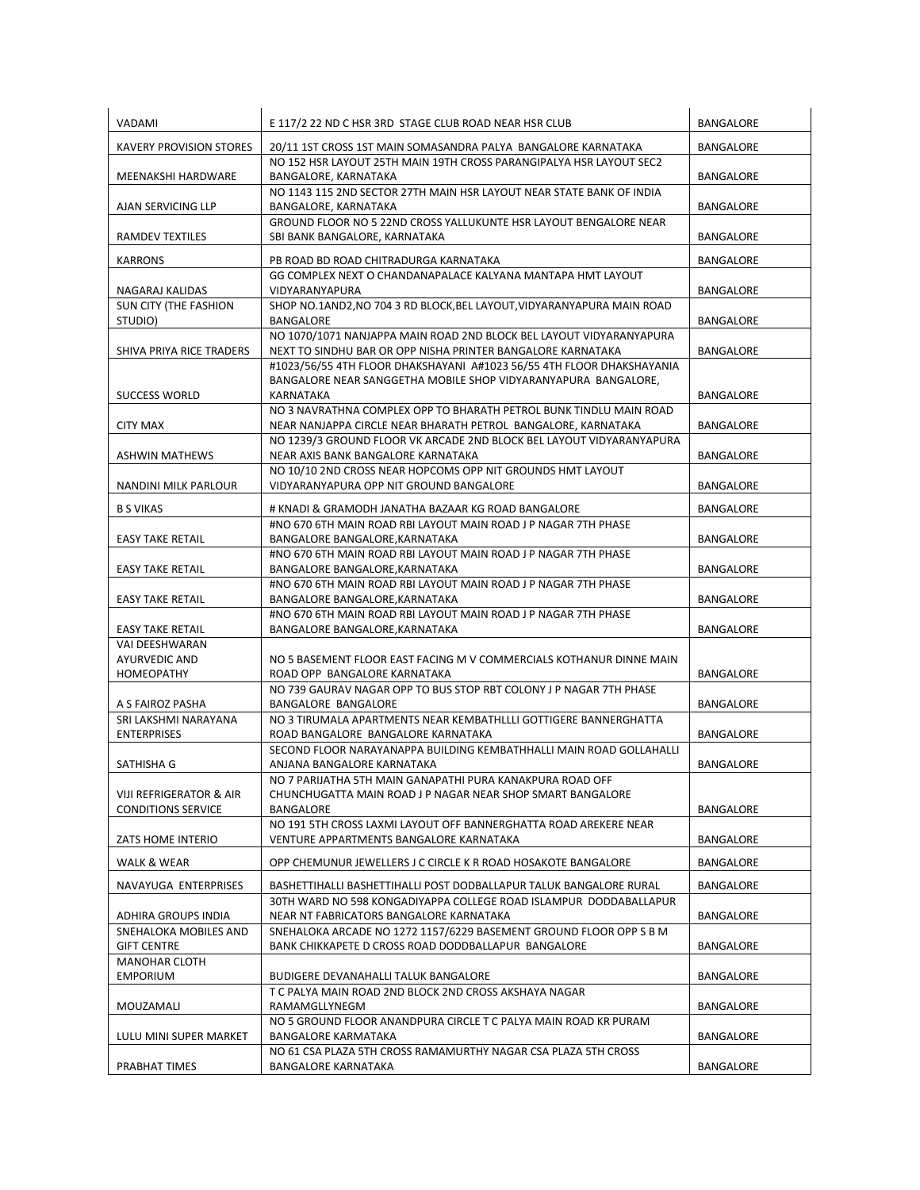| VADAMI                                  | E 117/2 22 ND C HSR 3RD STAGE CLUB ROAD NEAR HSR CLUB                                                                                   | BANGALORE        |
|-----------------------------------------|-----------------------------------------------------------------------------------------------------------------------------------------|------------------|
| <b>KAVERY PROVISION STORES</b>          | 20/11 1ST CROSS 1ST MAIN SOMASANDRA PALYA BANGALORE KARNATAKA                                                                           | BANGALORE        |
| MEENAKSHI HARDWARE                      | NO 152 HSR LAYOUT 25TH MAIN 19TH CROSS PARANGIPALYA HSR LAYOUT SEC2<br>BANGALORE, KARNATAKA                                             | BANGALORE        |
| <b>AJAN SERVICING LLP</b>               | NO 1143 115 2ND SECTOR 27TH MAIN HSR LAYOUT NEAR STATE BANK OF INDIA<br>BANGALORE, KARNATAKA                                            | BANGALORE        |
| RAMDEV TEXTILES                         | GROUND FLOOR NO 5 22ND CROSS YALLUKUNTE HSR LAYOUT BENGALORE NEAR<br>SBI BANK BANGALORE, KARNATAKA                                      | BANGALORE        |
| <b>KARRONS</b>                          | PB ROAD BD ROAD CHITRADURGA KARNATAKA                                                                                                   | BANGALORE        |
| NAGARAJ KALIDAS                         | GG COMPLEX NEXT O CHANDANAPALACE KALYANA MANTAPA HMT LAYOUT<br>VIDYARANYAPURA                                                           | BANGALORE        |
| <b>SUN CITY (THE FASHION</b>            | SHOP NO.1AND2.NO 704 3 RD BLOCK.BEL LAYOUT.VIDYARANYAPURA MAIN ROAD<br>BANGALORE                                                        | BANGALORE        |
| STUDIO)                                 | NO 1070/1071 NANJAPPA MAIN ROAD 2ND BLOCK BEL LAYOUT VIDYARANYAPURA                                                                     |                  |
| SHIVA PRIYA RICE TRADERS                | NEXT TO SINDHU BAR OR OPP NISHA PRINTER BANGALORE KARNATAKA                                                                             | BANGALORE        |
|                                         | #1023/56/55 4TH FLOOR DHAKSHAYANI A#1023 56/55 4TH FLOOR DHAKSHAYANIA<br>BANGALORE NEAR SANGGETHA MOBILE SHOP VIDYARANYAPURA BANGALORE, |                  |
| <b>SUCCESS WORLD</b>                    | KARNATAKA                                                                                                                               | BANGALORE        |
|                                         | NO 3 NAVRATHNA COMPLEX OPP TO BHARATH PETROL BUNK TINDLU MAIN ROAD                                                                      |                  |
| <b>CITY MAX</b>                         | NEAR NANJAPPA CIRCLE NEAR BHARATH PETROL BANGALORE, KARNATAKA                                                                           | BANGALORE        |
| <b>ASHWIN MATHEWS</b>                   | NO 1239/3 GROUND FLOOR VK ARCADE 2ND BLOCK BEL LAYOUT VIDYARANYAPURA<br>NEAR AXIS BANK BANGALORE KARNATAKA                              | BANGALORE        |
|                                         | NO 10/10 2ND CROSS NEAR HOPCOMS OPP NIT GROUNDS HMT LAYOUT                                                                              |                  |
| NANDINI MILK PARLOUR                    | VIDYARANYAPURA OPP NIT GROUND BANGALORE                                                                                                 | BANGALORE        |
| <b>B S VIKAS</b>                        | # KNADI & GRAMODH JANATHA BAZAAR KG ROAD BANGALORE                                                                                      | BANGALORE        |
|                                         | #NO 670 6TH MAIN ROAD RBI LAYOUT MAIN ROAD J P NAGAR 7TH PHASE                                                                          |                  |
| <b>EASY TAKE RETAIL</b>                 | BANGALORE BANGALORE, KARNATAKA                                                                                                          | BANGALORE        |
| <b>EASY TAKE RETAIL</b>                 | #NO 670 6TH MAIN ROAD RBI LAYOUT MAIN ROAD J P NAGAR 7TH PHASE<br>BANGALORE BANGALORE, KARNATAKA                                        | BANGALORE        |
|                                         | #NO 670 6TH MAIN ROAD RBI LAYOUT MAIN ROAD J P NAGAR 7TH PHASE                                                                          |                  |
| <b>EASY TAKE RETAIL</b>                 | BANGALORE BANGALORE, KARNATAKA<br>#NO 670 6TH MAIN ROAD RBI LAYOUT MAIN ROAD J P NAGAR 7TH PHASE                                        | BANGALORE        |
| <b>EASY TAKE RETAIL</b>                 | BANGALORE BANGALORE, KARNATAKA                                                                                                          | BANGALORE        |
| VAI DEESHWARAN                          |                                                                                                                                         |                  |
| <b>AYURVEDIC AND</b>                    | NO 5 BASEMENT FLOOR EAST FACING M V COMMERCIALS KOTHANUR DINNE MAIN                                                                     |                  |
| HOMEOPATHY                              | ROAD OPP BANGALORE KARNATAKA<br>NO 739 GAURAV NAGAR OPP TO BUS STOP RBT COLONY J P NAGAR 7TH PHASE                                      | BANGALORE        |
| A S FAIROZ PASHA                        | BANGALORE BANGALORE                                                                                                                     | BANGALORE        |
| SRI LAKSHMI NARAYANA                    | NO 3 TIRUMALA APARTMENTS NEAR KEMBATHLLLI GOTTIGERE BANNERGHATTA                                                                        |                  |
| <b>ENTERPRISES</b>                      | ROAD BANGALORE BANGALORE KARNATAKA                                                                                                      | BANGALORE        |
|                                         | SECOND FLOOR NARAYANAPPA BUILDING KEMBATHHALLI MAIN ROAD GOLLAHALLI                                                                     |                  |
| SATHISHA G                              | ANJANA BANGALORE KARNATAKA<br>NO 7 PARIJATHA 5TH MAIN GANAPATHI PURA KANAKPURA ROAD OFF                                                 | <b>BANGALORE</b> |
| VIJI REFRIGERATOR & AIR                 | CHUNCHUGATTA MAIN ROAD J P NAGAR NEAR SHOP SMART BANGALORE                                                                              |                  |
| <b>CONDITIONS SERVICE</b>               | BANGALORE                                                                                                                               | BANGALORE        |
| ZATS HOME INTERIO                       | NO 191 5TH CROSS LAXMI LAYOUT OFF BANNERGHATTA ROAD AREKERE NEAR<br>VENTURE APPARTMENTS BANGALORE KARNATAKA                             | BANGALORE        |
|                                         |                                                                                                                                         |                  |
| <b>WALK &amp; WEAR</b>                  | OPP CHEMUNUR JEWELLERS J C CIRCLE K R ROAD HOSAKOTE BANGALORE                                                                           | BANGALORE        |
| NAVAYUGA ENTERPRISES                    | BASHETTIHALLI BASHETTIHALLI POST DODBALLAPUR TALUK BANGALORE RURAL                                                                      | BANGALORE        |
| ADHIRA GROUPS INDIA                     | 30TH WARD NO 598 KONGADIYAPPA COLLEGE ROAD ISLAMPUR DODDABALLAPUR<br>NEAR NT FABRICATORS BANGALORE KARNATAKA                            | BANGALORE        |
| SNEHALOKA MOBILES AND                   | SNEHALOKA ARCADE NO 1272 1157/6229 BASEMENT GROUND FLOOR OPP S B M                                                                      |                  |
| <b>GIFT CENTRE</b>                      | BANK CHIKKAPETE D CROSS ROAD DODDBALLAPUR BANGALORE                                                                                     | BANGALORE        |
| <b>MANOHAR CLOTH</b><br><b>EMPORIUM</b> | BUDIGERE DEVANAHALLI TALUK BANGALORE                                                                                                    | BANGALORE        |
|                                         | T C PALYA MAIN ROAD 2ND BLOCK 2ND CROSS AKSHAYA NAGAR                                                                                   |                  |
| MOUZAMALI                               | RAMAMGLLYNEGM                                                                                                                           | BANGALORE        |
| LULU MINI SUPER MARKET                  | NO 5 GROUND FLOOR ANANDPURA CIRCLE T C PALYA MAIN ROAD KR PURAM<br>BANGALORE KARMATAKA                                                  | BANGALORE        |
|                                         | NO 61 CSA PLAZA 5TH CROSS RAMAMURTHY NAGAR CSA PLAZA 5TH CROSS                                                                          |                  |
| PRABHAT TIMES                           | <b>BANGALORE KARNATAKA</b>                                                                                                              | BANGALORE        |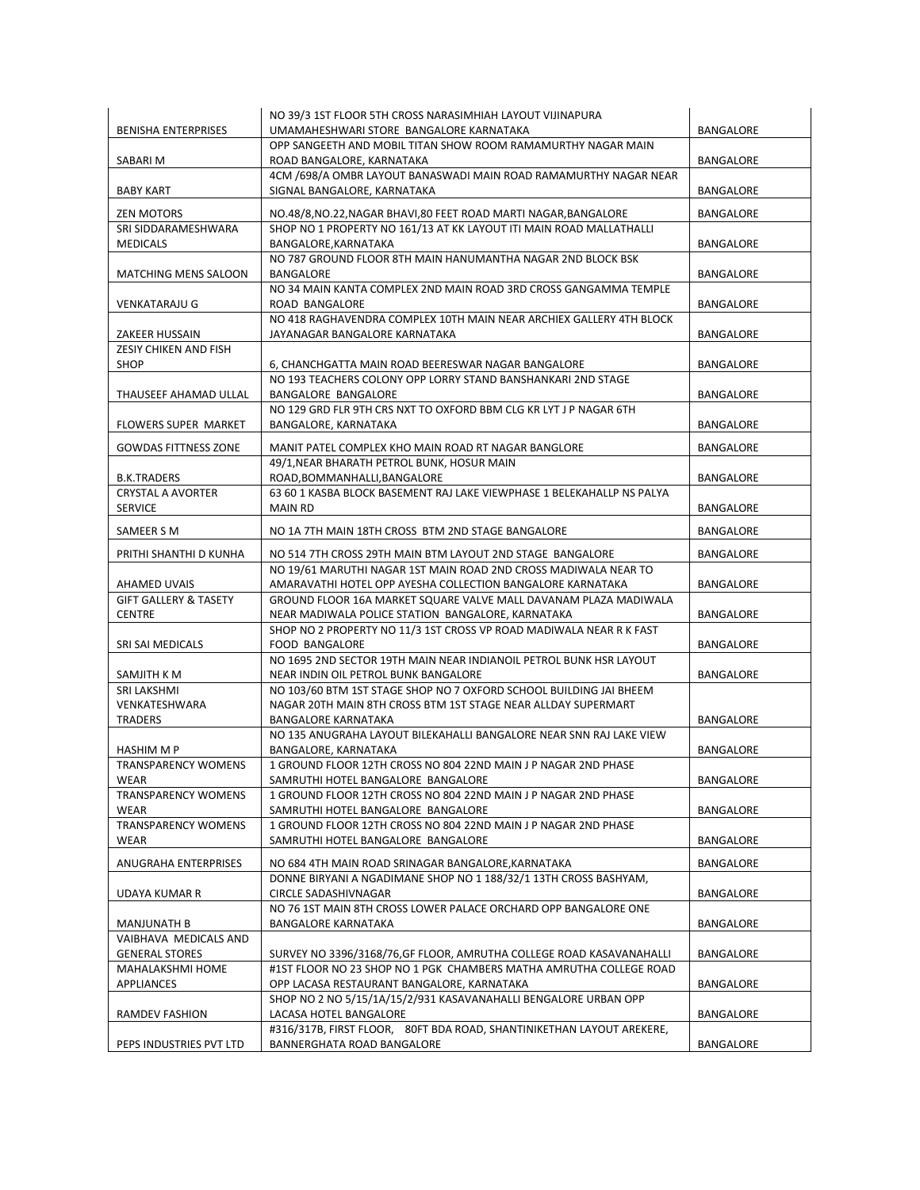| <b>BENISHA ENTERPRISES</b>                     | NO 39/3 1ST FLOOR 5TH CROSS NARASIMHIAH LAYOUT VIJINAPURA<br>UMAMAHESHWARI STORE BANGALORE KARNATAKA                          | <b>BANGALORE</b> |
|------------------------------------------------|-------------------------------------------------------------------------------------------------------------------------------|------------------|
| SABARI M                                       | OPP SANGEETH AND MOBIL TITAN SHOW ROOM RAMAMURTHY NAGAR MAIN<br>ROAD BANGALORE, KARNATAKA                                     | BANGALORE        |
| <b>BABY KART</b>                               | 4CM /698/A OMBR LAYOUT BANASWADI MAIN ROAD RAMAMURTHY NAGAR NEAR<br>SIGNAL BANGALORE, KARNATAKA                               | BANGALORE        |
| <b>ZEN MOTORS</b>                              | NO.48/8, NO.22, NAGAR BHAVI, 80 FEET ROAD MARTI NAGAR, BANGALORE                                                              | <b>BANGALORE</b> |
| SRI SIDDARAMESHWARA                            | SHOP NO 1 PROPERTY NO 161/13 AT KK LAYOUT ITI MAIN ROAD MALLATHALLI                                                           |                  |
| <b>MEDICALS</b>                                | BANGALORE, KARNATAKA                                                                                                          | BANGALORE        |
| <b>MATCHING MENS SALOON</b>                    | NO 787 GROUND FLOOR 8TH MAIN HANUMANTHA NAGAR 2ND BLOCK BSK<br>BANGALORE                                                      | BANGALORE        |
| <b>VENKATARAJU G</b>                           | NO 34 MAIN KANTA COMPLEX 2ND MAIN ROAD 3RD CROSS GANGAMMA TEMPLE<br>ROAD BANGALORE                                            | BANGALORE        |
| ZAKEER HUSSAIN                                 | NO 418 RAGHAVENDRA COMPLEX 10TH MAIN NEAR ARCHIEX GALLERY 4TH BLOCK<br>JAYANAGAR BANGALORE KARNATAKA                          | BANGALORE        |
| ZESIY CHIKEN AND FISH<br>SHOP                  | 6, CHANCHGATTA MAIN ROAD BEERESWAR NAGAR BANGALORE                                                                            | BANGALORE        |
|                                                | NO 193 TEACHERS COLONY OPP LORRY STAND BANSHANKARI 2ND STAGE                                                                  |                  |
| THAUSEEF AHAMAD ULLAL                          | BANGALORE BANGALORE<br>NO 129 GRD FLR 9TH CRS NXT TO OXFORD BBM CLG KR LYT J P NAGAR 6TH                                      | BANGALORE        |
| <b>FLOWERS SUPER MARKET</b>                    | BANGALORE, KARNATAKA                                                                                                          | BANGALORE        |
| <b>GOWDAS FITTNESS ZONE</b>                    | MANIT PATEL COMPLEX KHO MAIN ROAD RT NAGAR BANGLORE                                                                           | BANGALORE        |
| <b>B.K.TRADERS</b>                             | 49/1, NEAR BHARATH PETROL BUNK, HOSUR MAIN<br>ROAD, BOMMANHALLI, BANGALORE                                                    | BANGALORE        |
| <b>CRYSTAL A AVORTER</b>                       | 63 60 1 KASBA BLOCK BASEMENT RAJ LAKE VIEWPHASE 1 BELEKAHALLP NS PALYA                                                        |                  |
| <b>SERVICE</b>                                 | <b>MAIN RD</b>                                                                                                                | BANGALORE        |
| SAMEER S M                                     | NO 1A 7TH MAIN 18TH CROSS BTM 2ND STAGE BANGALORE                                                                             | BANGALORE        |
| PRITHI SHANTHI D KUNHA                         | NO 514 7TH CROSS 29TH MAIN BTM LAYOUT 2ND STAGE BANGALORE                                                                     | BANGALORE        |
| AHAMED UVAIS                                   | NO 19/61 MARUTHI NAGAR 1ST MAIN ROAD 2ND CROSS MADIWALA NEAR TO<br>AMARAVATHI HOTEL OPP AYESHA COLLECTION BANGALORE KARNATAKA | BANGALORE        |
| <b>GIFT GALLERY &amp; TASETY</b>               | GROUND FLOOR 16A MARKET SQUARE VALVE MALL DAVANAM PLAZA MADIWALA                                                              |                  |
| <b>CENTRE</b>                                  | NEAR MADIWALA POLICE STATION BANGALORE, KARNATAKA                                                                             | BANGALORE        |
| SRI SAI MEDICALS                               | SHOP NO 2 PROPERTY NO 11/3 1ST CROSS VP ROAD MADIWALA NEAR R K FAST<br><b>FOOD BANGALORE</b>                                  | BANGALORE        |
| SAMJITH K M                                    | NO 1695 2ND SECTOR 19TH MAIN NEAR INDIANOIL PETROL BUNK HSR LAYOUT<br>NEAR INDIN OIL PETROL BUNK BANGALORE                    | BANGALORE        |
| <b>SRI LAKSHMI</b>                             | NO 103/60 BTM 1ST STAGE SHOP NO 7 OXFORD SCHOOL BUILDING JAI BHEEM                                                            |                  |
| VENKATESHWARA                                  | NAGAR 20TH MAIN 8TH CROSS BTM 1ST STAGE NEAR ALLDAY SUPERMART<br><b>BANGALORE KARNATAKA</b>                                   | BANGALORE        |
| <b>TRADERS</b>                                 | NO 135 ANUGRAHA LAYOUT BILEKAHALLI BANGALORE NEAR SNN RAJ LAKE VIEW                                                           |                  |
| HASHIM M P                                     | BANGALORE, KARNATAKA                                                                                                          | BANGALORE        |
| <b>TRANSPARENCY WOMENS</b><br>WEAR             | 1 GROUND FLOOR 12TH CROSS NO 804 22ND MAIN J P NAGAR 2ND PHASE<br>SAMRUTHI HOTEL BANGALORE BANGALORE                          | BANGALORE        |
| <b>TRANSPARENCY WOMENS</b>                     | 1 GROUND FLOOR 12TH CROSS NO 804 22ND MAIN J P NAGAR 2ND PHASE                                                                |                  |
| WEAR<br><b>TRANSPARENCY WOMENS</b>             | SAMRUTHI HOTEL BANGALORE BANGALORE<br>1 GROUND FLOOR 12TH CROSS NO 804 22ND MAIN J P NAGAR 2ND PHASE                          | BANGALORE        |
| WEAR                                           | SAMRUTHI HOTEL BANGALORE BANGALORE                                                                                            | BANGALORE        |
| ANUGRAHA ENTERPRISES                           | NO 684 4TH MAIN ROAD SRINAGAR BANGALORE, KARNATAKA                                                                            | BANGALORE        |
| UDAYA KUMAR R                                  | DONNE BIRYANI A NGADIMANE SHOP NO 1 188/32/1 13TH CROSS BASHYAM,<br><b>CIRCLE SADASHIVNAGAR</b>                               | BANGALORE        |
|                                                | NO 76 1ST MAIN 8TH CROSS LOWER PALACE ORCHARD OPP BANGALORE ONE                                                               |                  |
| <b>MANJUNATH B</b>                             | <b>BANGALORE KARNATAKA</b>                                                                                                    | BANGALORE        |
| VAIBHAVA MEDICALS AND<br><b>GENERAL STORES</b> | SURVEY NO 3396/3168/76, GF FLOOR, AMRUTHA COLLEGE ROAD KASAVANAHALLI                                                          | BANGALORE        |
| MAHALAKSHMI HOME                               | #1ST FLOOR NO 23 SHOP NO 1 PGK CHAMBERS MATHA AMRUTHA COLLEGE ROAD                                                            |                  |
| APPLIANCES                                     | OPP LACASA RESTAURANT BANGALORE, KARNATAKA<br>SHOP NO 2 NO 5/15/1A/15/2/931 KASAVANAHALLI BENGALORE URBAN OPP                 | BANGALORE        |
| RAMDEV FASHION                                 | LACASA HOTEL BANGALORE                                                                                                        | BANGALORE        |
| PEPS INDUSTRIES PVT LTD                        | #316/317B, FIRST FLOOR, 80FT BDA ROAD, SHANTINIKETHAN LAYOUT AREKERE,<br>BANNERGHATA ROAD BANGALORE                           | BANGALORE        |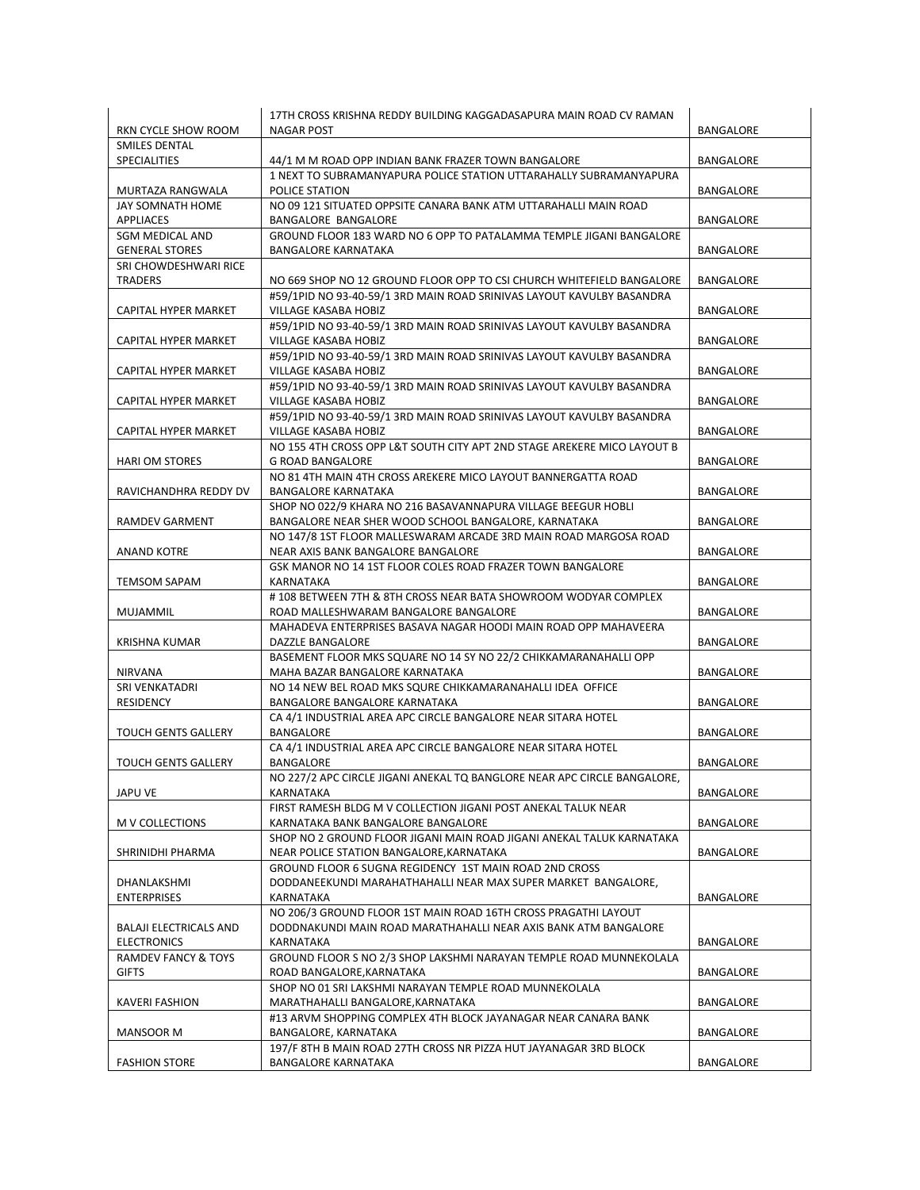|                                | 17TH CROSS KRISHNA REDDY BUILDING KAGGADASAPURA MAIN ROAD CV RAMAN                           |                  |
|--------------------------------|----------------------------------------------------------------------------------------------|------------------|
| RKN CYCLE SHOW ROOM            | <b>NAGAR POST</b>                                                                            | BANGALORE        |
| SMILES DENTAL                  |                                                                                              |                  |
| SPECIALITIES                   | 44/1 M M ROAD OPP INDIAN BANK FRAZER TOWN BANGALORE                                          | BANGALORE        |
|                                | 1 NEXT TO SUBRAMANYAPURA POLICE STATION UTTARAHALLY SUBRAMANYAPURA                           |                  |
| MURTAZA RANGWALA               | POLICE STATION                                                                               | BANGALORE        |
| JAY SOMNATH HOME               | NO 09 121 SITUATED OPPSITE CANARA BANK ATM UTTARAHALLI MAIN ROAD                             |                  |
| <b>APPLIACES</b>               | <b>BANGALORE BANGALORE</b>                                                                   | BANGALORE        |
| <b>SGM MEDICAL AND</b>         | GROUND FLOOR 183 WARD NO 6 OPP TO PATALAMMA TEMPLE JIGANI BANGALORE                          |                  |
| <b>GENERAL STORES</b>          | <b>BANGALORE KARNATAKA</b>                                                                   | BANGALORE        |
| SRI CHOWDESHWARI RICE          |                                                                                              |                  |
| TRADERS                        | NO 669 SHOP NO 12 GROUND FLOOR OPP TO CSI CHURCH WHITEFIELD BANGALORE                        | BANGALORE        |
|                                | #59/1PID NO 93-40-59/1 3RD MAIN ROAD SRINIVAS LAYOUT KAVULBY BASANDRA                        |                  |
| CAPITAL HYPER MARKET           | <b>VILLAGE KASABA HOBIZ</b>                                                                  | <b>BANGALORE</b> |
|                                | #59/1PID NO 93-40-59/1 3RD MAIN ROAD SRINIVAS LAYOUT KAVULBY BASANDRA                        |                  |
| CAPITAL HYPER MARKET           | VILLAGE KASABA HOBIZ                                                                         | BANGALORE        |
|                                | #59/1PID NO 93-40-59/1 3RD MAIN ROAD SRINIVAS LAYOUT KAVULBY BASANDRA                        |                  |
| CAPITAL HYPER MARKET           | VILLAGE KASABA HOBIZ                                                                         | BANGALORE        |
|                                | #59/1PID NO 93-40-59/1 3RD MAIN ROAD SRINIVAS LAYOUT KAVULBY BASANDRA                        |                  |
| <b>CAPITAL HYPER MARKET</b>    | VILLAGE KASABA HOBIZ                                                                         | <b>BANGALORE</b> |
|                                | #59/1PID NO 93-40-59/1 3RD MAIN ROAD SRINIVAS LAYOUT KAVULBY BASANDRA                        |                  |
| CAPITAL HYPER MARKET           | VILLAGE KASABA HOBIZ                                                                         | BANGALORE        |
|                                | NO 155 4TH CROSS OPP L&T SOUTH CITY APT 2ND STAGE AREKERE MICO LAYOUT B                      |                  |
| <b>HARI OM STORES</b>          | <b>G ROAD BANGALORE</b>                                                                      | <b>BANGALORE</b> |
|                                | NO 81 4TH MAIN 4TH CROSS AREKERE MICO LAYOUT BANNERGATTA ROAD                                |                  |
| RAVICHANDHRA REDDY DV          | <b>BANGALORE KARNATAKA</b>                                                                   | <b>BANGALORE</b> |
|                                | SHOP NO 022/9 KHARA NO 216 BASAVANNAPURA VILLAGE BEEGUR HOBLI                                |                  |
| RAMDEV GARMENT                 | BANGALORE NEAR SHER WOOD SCHOOL BANGALORE, KARNATAKA                                         | BANGALORE        |
|                                | NO 147/8 1ST FLOOR MALLESWARAM ARCADE 3RD MAIN ROAD MARGOSA ROAD                             |                  |
| ANAND KOTRE                    | NEAR AXIS BANK BANGALORE BANGALORE                                                           | BANGALORE        |
|                                | GSK MANOR NO 14 1ST FLOOR COLES ROAD FRAZER TOWN BANGALORE                                   |                  |
| <b>TEMSOM SAPAM</b>            | KARNATAKA                                                                                    | BANGALORE        |
|                                | #108 BETWEEN 7TH & 8TH CROSS NEAR BATA SHOWROOM WODYAR COMPLEX                               |                  |
|                                |                                                                                              | BANGALORE        |
| MUJAMMIL                       | ROAD MALLESHWARAM BANGALORE BANGALORE                                                        |                  |
|                                | MAHADEVA ENTERPRISES BASAVA NAGAR HOODI MAIN ROAD OPP MAHAVEERA                              |                  |
| <b>KRISHNA KUMAR</b>           | DAZZLE BANGALORE                                                                             | BANGALORE        |
|                                | BASEMENT FLOOR MKS SQUARE NO 14 SY NO 22/2 CHIKKAMARANAHALLI OPP                             |                  |
| <b>NIRVANA</b>                 | MAHA BAZAR BANGALORE KARNATAKA                                                               | BANGALORE        |
| SRI VENKATADRI                 | NO 14 NEW BEL ROAD MKS SQURE CHIKKAMARANAHALLI IDEA OFFICE                                   |                  |
| <b>RESIDENCY</b>               | BANGALORE BANGALORE KARNATAKA                                                                | BANGALORE        |
|                                | CA 4/1 INDUSTRIAL AREA APC CIRCLE BANGALORE NEAR SITARA HOTEL                                |                  |
| <b>TOUCH GENTS GALLERY</b>     | BANGALORE                                                                                    | BANGALORE        |
|                                | CA 4/1 INDUSTRIAL AREA APC CIRCLE BANGALORE NEAR SITARA HOTEL                                |                  |
| <b>TOUCH GENTS GALLERY</b>     | <b>BANGALORE</b><br>NO 227/2 APC CIRCLE JIGANI ANEKAL TQ BANGLORE NEAR APC CIRCLE BANGALORE, | <b>BANGALORE</b> |
|                                |                                                                                              |                  |
| JAPU VE                        | KARNATAKA                                                                                    | BANGALORE        |
|                                | FIRST RAMESH BLDG M V COLLECTION JIGANI POST ANEKAL TALUK NEAR                               |                  |
| M V COLLECTIONS                | KARNATAKA BANK BANGALORE BANGALORE                                                           | BANGALORE        |
|                                | SHOP NO 2 GROUND FLOOR JIGANI MAIN ROAD JIGANI ANEKAL TALUK KARNATAKA                        |                  |
| SHRINIDHI PHARMA               | NEAR POLICE STATION BANGALORE, KARNATAKA                                                     | BANGALORE        |
| DHANLAKSHMI                    | GROUND FLOOR 6 SUGNA REGIDENCY 1ST MAIN ROAD 2ND CROSS                                       |                  |
|                                | DODDANEEKUNDI MARAHATHAHALLI NEAR MAX SUPER MARKET BANGALORE,                                |                  |
| <b>ENTERPRISES</b>             | KARNATAKA<br>NO 206/3 GROUND FLOOR 1ST MAIN ROAD 16TH CROSS PRAGATHI LAYOUT                  | BANGALORE        |
|                                |                                                                                              |                  |
| <b>BALAJI ELECTRICALS AND</b>  | DODDNAKUNDI MAIN ROAD MARATHAHALLI NEAR AXIS BANK ATM BANGALORE                              |                  |
| <b>ELECTRONICS</b>             | KARNATAKA                                                                                    | BANGALORE        |
| <b>RAMDEV FANCY &amp; TOYS</b> | GROUND FLOOR S NO 2/3 SHOP LAKSHMI NARAYAN TEMPLE ROAD MUNNEKOLALA                           |                  |
| <b>GIFTS</b>                   | ROAD BANGALORE, KARNATAKA                                                                    | <b>BANGALORE</b> |
|                                | SHOP NO 01 SRI LAKSHMI NARAYAN TEMPLE ROAD MUNNEKOLALA                                       |                  |
| <b>KAVERI FASHION</b>          | MARATHAHALLI BANGALORE, KARNATAKA                                                            | BANGALORE        |
|                                | #13 ARVM SHOPPING COMPLEX 4TH BLOCK JAYANAGAR NEAR CANARA BANK                               |                  |
| MANSOOR M                      | BANGALORE, KARNATAKA                                                                         | BANGALORE        |
|                                | 197/F 8TH B MAIN ROAD 27TH CROSS NR PIZZA HUT JAYANAGAR 3RD BLOCK                            |                  |
| <b>FASHION STORE</b>           | <b>BANGALORE KARNATAKA</b>                                                                   | BANGALORE        |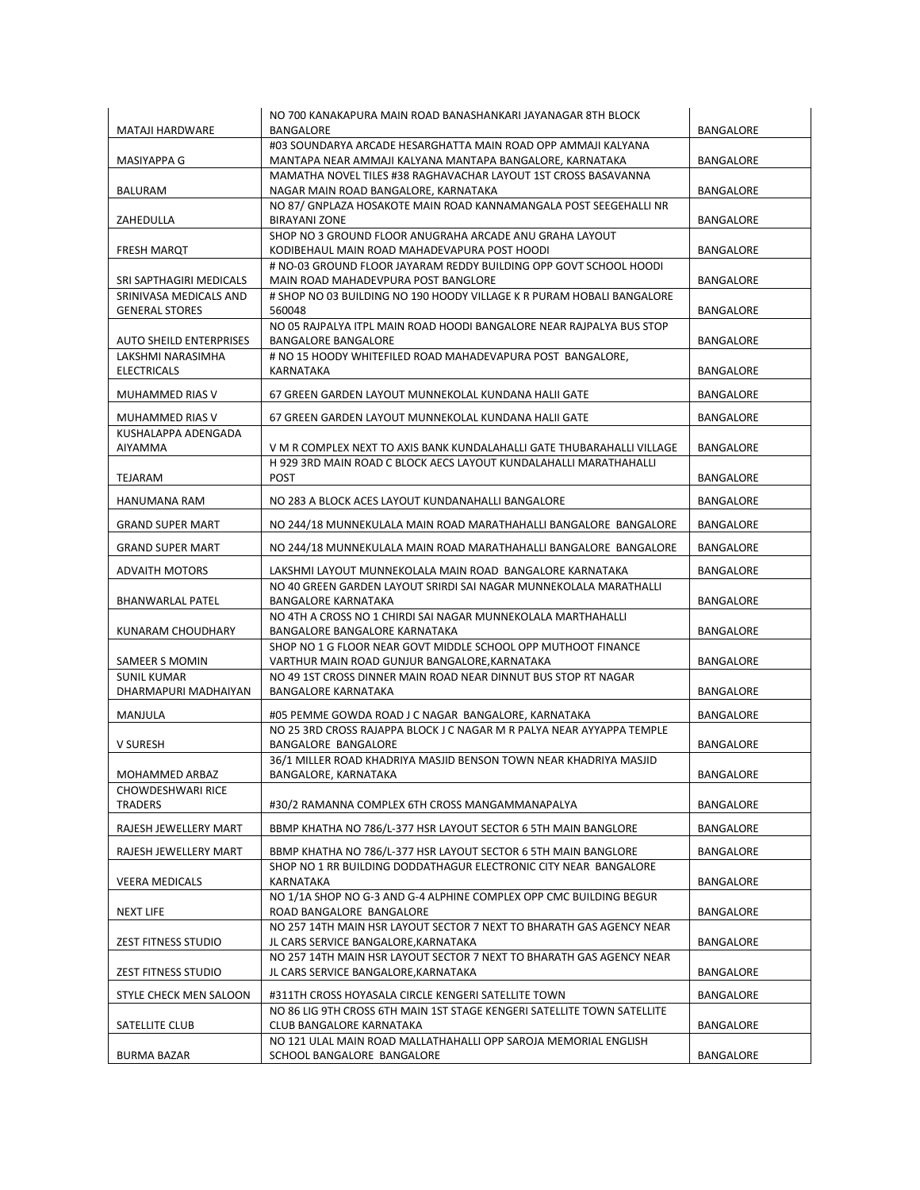|                                      | NO 700 KANAKAPURA MAIN ROAD BANASHANKARI JAYANAGAR 8TH BLOCK                                                              |                  |
|--------------------------------------|---------------------------------------------------------------------------------------------------------------------------|------------------|
| <b>MATAJI HARDWARE</b>               | BANGALORE                                                                                                                 | <b>BANGALORE</b> |
| MASIYAPPA G                          | #03 SOUNDARYA ARCADE HESARGHATTA MAIN ROAD OPP AMMAJI KALYANA<br>MANTAPA NEAR AMMAJI KALYANA MANTAPA BANGALORE, KARNATAKA | BANGALORE        |
|                                      | MAMATHA NOVEL TILES #38 RAGHAVACHAR LAYOUT 1ST CROSS BASAVANNA                                                            |                  |
| BALURAM                              | NAGAR MAIN ROAD BANGALORE, KARNATAKA                                                                                      | BANGALORE        |
|                                      | NO 87/ GNPLAZA HOSAKOTE MAIN ROAD KANNAMANGALA POST SEEGEHALLI NR                                                         |                  |
| ZAHEDULLA                            | BIRAYANI ZONE<br>SHOP NO 3 GROUND FLOOR ANUGRAHA ARCADE ANU GRAHA LAYOUT                                                  | <b>BANGALORE</b> |
| FRESH MARQT                          | KODIBEHAUL MAIN ROAD MAHADEVAPURA POST HOODI                                                                              | BANGALORE        |
| SRI SAPTHAGIRI MEDICALS              | # NO-03 GROUND FLOOR JAYARAM REDDY BUILDING OPP GOVT SCHOOL HOODI<br>MAIN ROAD MAHADEVPURA POST BANGLORE                  | BANGALORE        |
| SRINIVASA MEDICALS AND               | # SHOP NO 03 BUILDING NO 190 HOODY VILLAGE K R PURAM HOBALI BANGALORE                                                     |                  |
| <b>GENERAL STORES</b>                | 560048                                                                                                                    | <b>BANGALORE</b> |
| <b>AUTO SHEILD ENTERPRISES</b>       | NO 05 RAJPALYA ITPL MAIN ROAD HOODI BANGALORE NEAR RAJPALYA BUS STOP<br><b>BANGALORE BANGALORE</b>                        | BANGALORE        |
| LAKSHMI NARASIMHA                    | # NO 15 HOODY WHITEFILED ROAD MAHADEVAPURA POST BANGALORE,                                                                |                  |
| <b>ELECTRICALS</b>                   | KARNATAKA                                                                                                                 | BANGALORE        |
| MUHAMMED RIAS V                      | 67 GREEN GARDEN LAYOUT MUNNEKOLAL KUNDANA HALII GATE                                                                      | <b>BANGALORE</b> |
| MUHAMMED RIAS V                      | 67 GREEN GARDEN LAYOUT MUNNEKOLAL KUNDANA HALII GATE                                                                      | BANGALORE        |
| KUSHALAPPA ADENGADA                  |                                                                                                                           |                  |
| AIYAMMA                              | V M R COMPLEX NEXT TO AXIS BANK KUNDALAHALLI GATE THUBARAHALLI VILLAGE                                                    | BANGALORE        |
|                                      | H 929 3RD MAIN ROAD C BLOCK AECS LAYOUT KUNDALAHALLI MARATHAHALLI                                                         |                  |
| TEJARAM                              | <b>POST</b>                                                                                                               | <b>BANGALORE</b> |
| HANUMANA RAM                         | NO 283 A BLOCK ACES LAYOUT KUNDANAHALLI BANGALORE                                                                         | BANGALORE        |
| <b>GRAND SUPER MART</b>              | NO 244/18 MUNNEKULALA MAIN ROAD MARATHAHALLI BANGALORE BANGALORE                                                          | BANGALORE        |
| <b>GRAND SUPER MART</b>              | NO 244/18 MUNNEKULALA MAIN ROAD MARATHAHALLI BANGALORE BANGALORE                                                          | BANGALORE        |
| <b>ADVAITH MOTORS</b>                | LAKSHMI LAYOUT MUNNEKOLALA MAIN ROAD BANGALORE KARNATAKA                                                                  | BANGALORE        |
| BHANWARLAL PATEL                     | NO 40 GREEN GARDEN LAYOUT SRIRDI SAI NAGAR MUNNEKOLALA MARATHALLI<br>BANGALORE KARNATAKA                                  | <b>BANGALORE</b> |
|                                      | NO 4TH A CROSS NO 1 CHIRDI SAI NAGAR MUNNEKOLALA MARTHAHALLI                                                              |                  |
| KUNARAM CHOUDHARY                    | BANGALORE BANGALORE KARNATAKA                                                                                             | <b>BANGALORE</b> |
|                                      | SHOP NO 1 G FLOOR NEAR GOVT MIDDLE SCHOOL OPP MUTHOOT FINANCE                                                             |                  |
| SAMEER S MOMIN<br><b>SUNIL KUMAR</b> | VARTHUR MAIN ROAD GUNJUR BANGALORE, KARNATAKA<br>NO 49 1ST CROSS DINNER MAIN ROAD NEAR DINNUT BUS STOP RT NAGAR           | BANGALORE        |
| DHARMAPURI MADHAIYAN                 | BANGALORE KARNATAKA                                                                                                       | BANGALORE        |
| MANJULA                              | #05 PEMME GOWDA ROAD J C NAGAR BANGALORE, KARNATAKA                                                                       | BANGALORE        |
|                                      | NO 25 3RD CROSS RAJAPPA BLOCK J C NAGAR M R PALYA NEAR AYYAPPA TEMPLE                                                     |                  |
| V SURESH                             | BANGALORE BANGALORE                                                                                                       | <b>BANGALORE</b> |
|                                      | 36/1 MILLER ROAD KHADRIYA MASJID BENSON TOWN NEAR KHADRIYA MASJID                                                         |                  |
| MOHAMMED ARBAZ                       | BANGALORE, KARNATAKA                                                                                                      | BANGALORE        |
| CHOWDESHWARI RICE<br><b>TRADERS</b>  | #30/2 RAMANNA COMPLEX 6TH CROSS MANGAMMANAPALYA                                                                           | <b>BANGALORE</b> |
| RAJESH JEWELLERY MART                | BBMP KHATHA NO 786/L-377 HSR LAYOUT SECTOR 6 5TH MAIN BANGLORE                                                            | BANGALORE        |
| RAJESH JEWELLERY MART                | BBMP KHATHA NO 786/L-377 HSR LAYOUT SECTOR 6 5TH MAIN BANGLORE                                                            | BANGALORE        |
|                                      | SHOP NO 1 RR BUILDING DODDATHAGUR ELECTRONIC CITY NEAR BANGALORE                                                          |                  |
| <b>VEERA MEDICALS</b>                | KARNATAKA                                                                                                                 | BANGALORE        |
| <b>NEXT LIFE</b>                     | NO 1/1A SHOP NO G-3 AND G-4 ALPHINE COMPLEX OPP CMC BUILDING BEGUR<br>ROAD BANGALORE BANGALORE                            | BANGALORE        |
|                                      | NO 257 14TH MAIN HSR LAYOUT SECTOR 7 NEXT TO BHARATH GAS AGENCY NEAR                                                      |                  |
| ZEST FITNESS STUDIO                  | JL CARS SERVICE BANGALORE, KARNATAKA                                                                                      | BANGALORE        |
|                                      | NO 257 14TH MAIN HSR LAYOUT SECTOR 7 NEXT TO BHARATH GAS AGENCY NEAR                                                      |                  |
| ZEST FITNESS STUDIO                  | JL CARS SERVICE BANGALORE, KARNATAKA                                                                                      | BANGALORE        |
| STYLE CHECK MEN SALOON               | #311TH CROSS HOYASALA CIRCLE KENGERI SATELLITE TOWN                                                                       | BANGALORE        |
| SATELLITE CLUB                       | NO 86 LIG 9TH CROSS 6TH MAIN 1ST STAGE KENGERI SATELLITE TOWN SATELLITE<br>CLUB BANGALORE KARNATAKA                       | BANGALORE        |
|                                      | NO 121 ULAL MAIN ROAD MALLATHAHALLI OPP SAROJA MEMORIAL ENGLISH                                                           |                  |
| <b>BURMA BAZAR</b>                   | SCHOOL BANGALORE BANGALORE                                                                                                | BANGALORE        |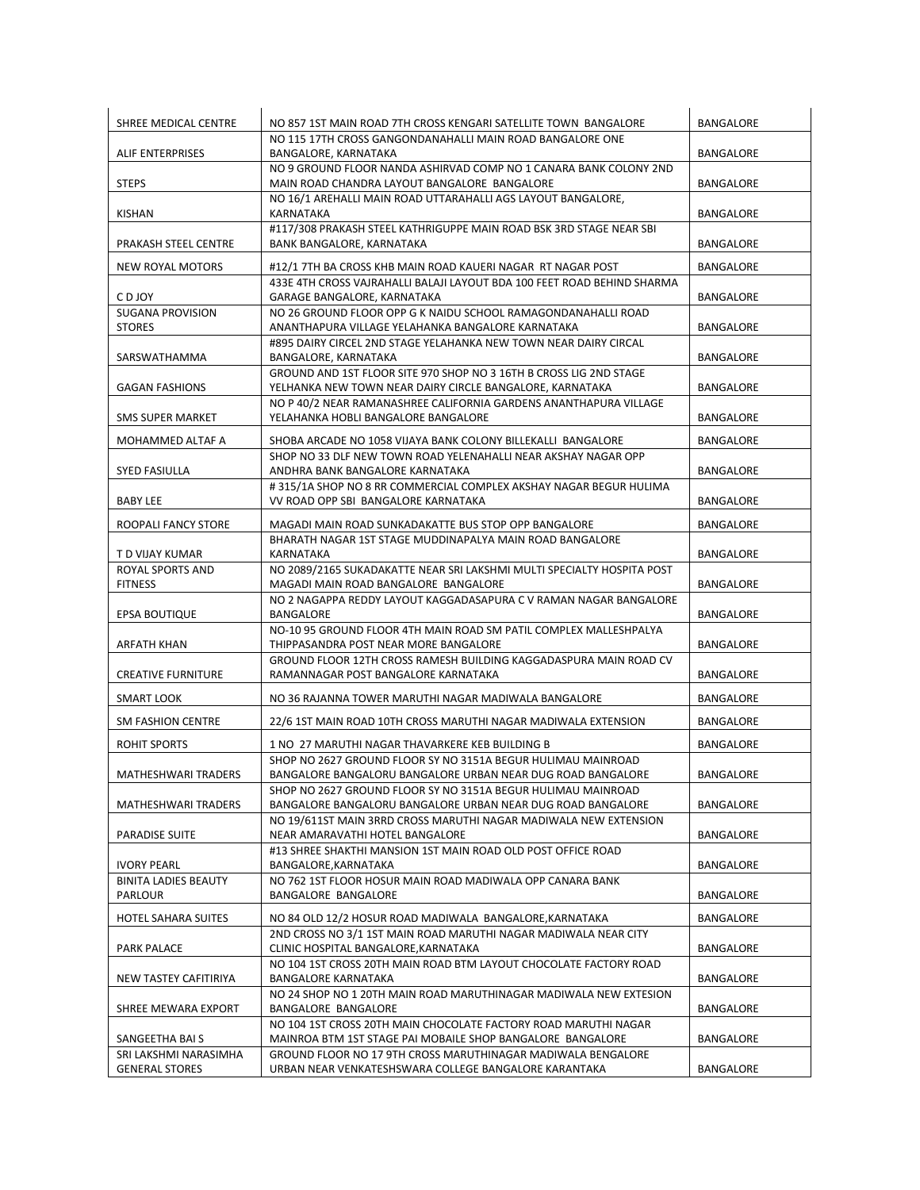| SHREE MEDICAL CENTRE        | NO 857 1ST MAIN ROAD 7TH CROSS KENGARI SATELLITE TOWN BANGALORE                                                    | BANGALORE |
|-----------------------------|--------------------------------------------------------------------------------------------------------------------|-----------|
|                             | NO 115 17TH CROSS GANGONDANAHALLI MAIN ROAD BANGALORE ONE                                                          |           |
| <b>ALIF ENTERPRISES</b>     | BANGALORE, KARNATAKA                                                                                               | BANGALORE |
|                             | NO 9 GROUND FLOOR NANDA ASHIRVAD COMP NO 1 CANARA BANK COLONY 2ND                                                  |           |
| <b>STEPS</b>                | MAIN ROAD CHANDRA LAYOUT BANGALORE BANGALORE<br>NO 16/1 AREHALLI MAIN ROAD UTTARAHALLI AGS LAYOUT BANGALORE,       | BANGALORE |
| KISHAN                      | KARNATAKA                                                                                                          | BANGALORE |
|                             | #117/308 PRAKASH STEEL KATHRIGUPPE MAIN ROAD BSK 3RD STAGE NEAR SBI                                                |           |
| PRAKASH STEEL CENTRE        | BANK BANGALORE, KARNATAKA                                                                                          | BANGALORE |
|                             |                                                                                                                    |           |
| NEW ROYAL MOTORS            | #12/1 7TH BA CROSS KHB MAIN ROAD KAUERI NAGAR RT NAGAR POST                                                        | BANGALORE |
|                             | 433E 4TH CROSS VAJRAHALLI BALAJI LAYOUT BDA 100 FEET ROAD BEHIND SHARMA                                            |           |
| C D JOY                     | GARAGE BANGALORE, KARNATAKA                                                                                        | BANGALORE |
| <b>SUGANA PROVISION</b>     | NO 26 GROUND FLOOR OPP G K NAIDU SCHOOL RAMAGONDANAHALLI ROAD<br>ANANTHAPURA VILLAGE YELAHANKA BANGALORE KARNATAKA |           |
| <b>STORES</b>               | #895 DAIRY CIRCEL 2ND STAGE YELAHANKA NEW TOWN NEAR DAIRY CIRCAL                                                   | BANGALORE |
| SARSWATHAMMA                | BANGALORE, KARNATAKA                                                                                               | BANGALORE |
|                             | GROUND AND 1ST FLOOR SITE 970 SHOP NO 3 16TH B CROSS LIG 2ND STAGE                                                 |           |
| <b>GAGAN FASHIONS</b>       | YELHANKA NEW TOWN NEAR DAIRY CIRCLE BANGALORE, KARNATAKA                                                           | BANGALORE |
|                             | NO P 40/2 NEAR RAMANASHREE CALIFORNIA GARDENS ANANTHAPURA VILLAGE                                                  |           |
| <b>SMS SUPER MARKET</b>     | YELAHANKA HOBLI BANGALORE BANGALORE                                                                                | BANGALORE |
|                             |                                                                                                                    |           |
| MOHAMMED ALTAF A            | SHOBA ARCADE NO 1058 VIJAYA BANK COLONY BILLEKALLI BANGALORE                                                       | BANGALORE |
| <b>SYED FASIULLA</b>        | SHOP NO 33 DLF NEW TOWN ROAD YELENAHALLI NEAR AKSHAY NAGAR OPP<br>ANDHRA BANK BANGALORE KARNATAKA                  | BANGALORE |
|                             | #315/1A SHOP NO 8 RR COMMERCIAL COMPLEX AKSHAY NAGAR BEGUR HULIMA                                                  |           |
| <b>BABY LEE</b>             | VV ROAD OPP SBI BANGALORE KARNATAKA                                                                                | BANGALORE |
|                             |                                                                                                                    |           |
| ROOPALI FANCY STORE         | MAGADI MAIN ROAD SUNKADAKATTE BUS STOP OPP BANGALORE                                                               | BANGALORE |
| T D VIJAY KUMAR             | BHARATH NAGAR 1ST STAGE MUDDINAPALYA MAIN ROAD BANGALORE                                                           | BANGALORE |
| ROYAL SPORTS AND            | KARNATAKA<br>NO 2089/2165 SUKADAKATTE NEAR SRI LAKSHMI MULTI SPECIALTY HOSPITA POST                                |           |
| <b>FITNESS</b>              | MAGADI MAIN ROAD BANGALORE BANGALORE                                                                               | BANGALORE |
|                             | NO 2 NAGAPPA REDDY LAYOUT KAGGADASAPURA C V RAMAN NAGAR BANGALORE                                                  |           |
| EPSA BOUTIQUE               | BANGALORE                                                                                                          | BANGALORE |
|                             | NO-10 95 GROUND FLOOR 4TH MAIN ROAD SM PATIL COMPLEX MALLESHPALYA                                                  |           |
| ARFATH KHAN                 | THIPPASANDRA POST NEAR MORE BANGALORE                                                                              | BANGALORE |
|                             | GROUND FLOOR 12TH CROSS RAMESH BUILDING KAGGADASPURA MAIN ROAD CV                                                  |           |
| <b>CREATIVE FURNITURE</b>   | RAMANNAGAR POST BANGALORE KARNATAKA                                                                                | BANGALORE |
| SMART LOOK                  | NO 36 RAJANNA TOWER MARUTHI NAGAR MADIWALA BANGALORE                                                               | BANGALORE |
| SM FASHION CENTRE           | 22/6 1ST MAIN ROAD 10TH CROSS MARUTHI NAGAR MADIWALA EXTENSION                                                     | BANGALORE |
|                             |                                                                                                                    |           |
| ROHIT SPORTS                | 1 NO 27 MARUTHI NAGAR THAVARKERE KEB BUILDING B<br>SHOP NO 2627 GROUND FLOOR SY NO 3151A BEGUR HULIMAU MAINROAD    | BANGALORE |
| MATHESHWARI TRADERS         | BANGALORE BANGALORU BANGALORE URBAN NEAR DUG ROAD BANGALORE                                                        | BANGALORE |
|                             | SHOP NO 2627 GROUND FLOOR SY NO 3151A BEGUR HULIMAU MAINROAD                                                       |           |
| MATHESHWARI TRADERS         | BANGALORE BANGALORU BANGALORE URBAN NEAR DUG ROAD BANGALORE                                                        | BANGALORE |
|                             | NO 19/611ST MAIN 3RRD CROSS MARUTHI NAGAR MADIWALA NEW EXTENSION                                                   |           |
| <b>PARADISE SUITE</b>       | NEAR AMARAVATHI HOTEL BANGALORE                                                                                    | BANGALORE |
|                             | #13 SHREE SHAKTHI MANSION 1ST MAIN ROAD OLD POST OFFICE ROAD                                                       |           |
| <b>IVORY PEARL</b>          | BANGALORE, KARNATAKA                                                                                               | BANGALORE |
| <b>BINITA LADIES BEAUTY</b> | NO 762 1ST FLOOR HOSUR MAIN ROAD MADIWALA OPP CANARA BANK                                                          |           |
| PARLOUR                     | BANGALORE BANGALORE                                                                                                | BANGALORE |
| <b>HOTEL SAHARA SUITES</b>  | NO 84 OLD 12/2 HOSUR ROAD MADIWALA BANGALORE, KARNATAKA                                                            | BANGALORE |
|                             | 2ND CROSS NO 3/1 1ST MAIN ROAD MARUTHI NAGAR MADIWALA NEAR CITY                                                    |           |
| <b>PARK PALACE</b>          | CLINIC HOSPITAL BANGALORE, KARNATAKA                                                                               | BANGALORE |
|                             | NO 104 1ST CROSS 20TH MAIN ROAD BTM LAYOUT CHOCOLATE FACTORY ROAD                                                  |           |
| NEW TASTEY CAFITIRIYA       | <b>BANGALORE KARNATAKA</b>                                                                                         | BANGALORE |
| SHREE MEWARA EXPORT         | NO 24 SHOP NO 1 20TH MAIN ROAD MARUTHINAGAR MADIWALA NEW EXTESION<br>BANGALORE BANGALORE                           | BANGALORE |
|                             | NO 104 1ST CROSS 20TH MAIN CHOCOLATE FACTORY ROAD MARUTHI NAGAR                                                    |           |
| SANGEETHA BAI S             | MAINROA BTM 1ST STAGE PAI MOBAILE SHOP BANGALORE BANGALORE                                                         | BANGALORE |
| SRI LAKSHMI NARASIMHA       | GROUND FLOOR NO 17 9TH CROSS MARUTHINAGAR MADIWALA BENGALORE                                                       |           |
| <b>GENERAL STORES</b>       | URBAN NEAR VENKATESHSWARA COLLEGE BANGALORE KARANTAKA                                                              | BANGALORE |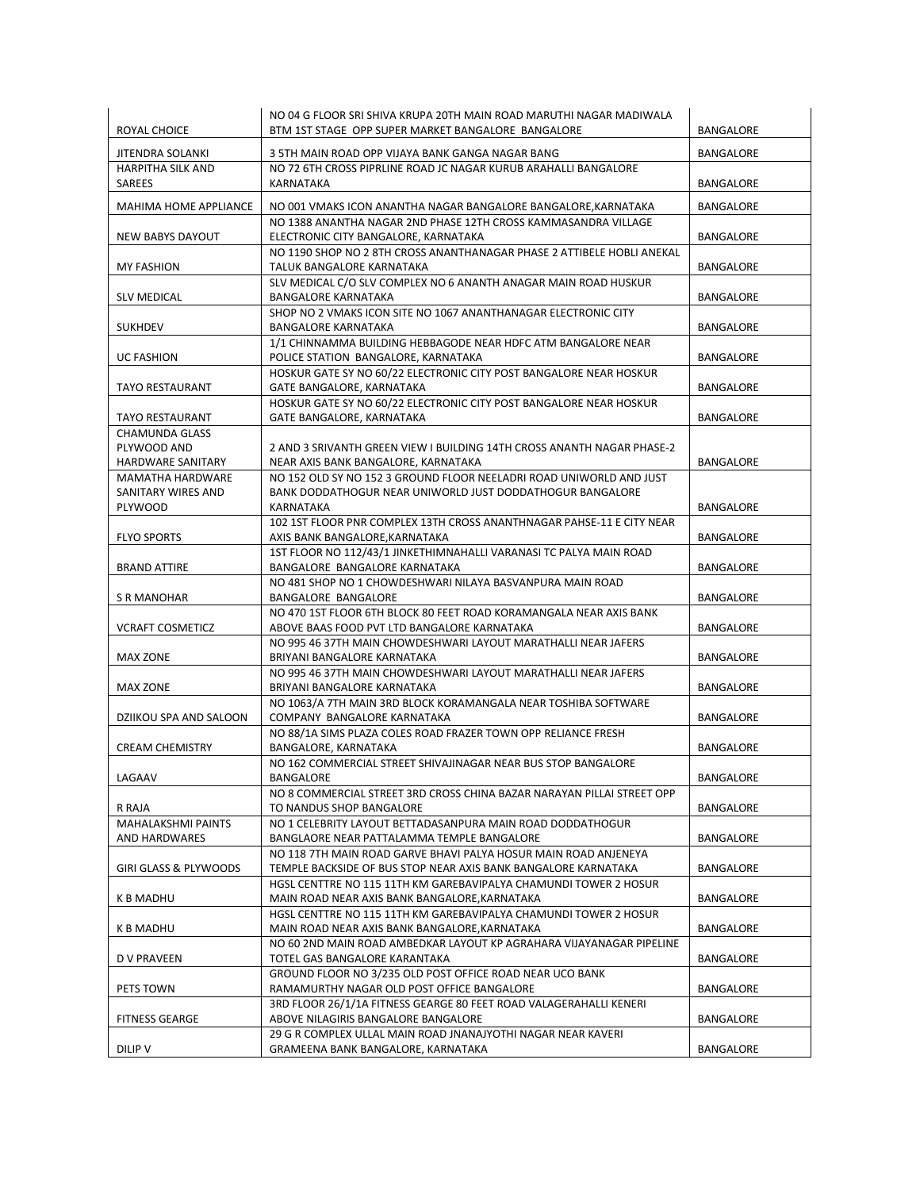| ROYAL CHOICE                                  | NO 04 G FLOOR SRI SHIVA KRUPA 20TH MAIN ROAD MARUTHI NAGAR MADIWALA<br>BTM 1ST STAGE OPP SUPER MARKET BANGALORE BANGALORE        | BANGALORE        |
|-----------------------------------------------|----------------------------------------------------------------------------------------------------------------------------------|------------------|
| JITENDRA SOLANKI                              | 3 5TH MAIN ROAD OPP VIJAYA BANK GANGA NAGAR BANG                                                                                 | BANGALORE        |
| <b>HARPITHA SILK AND</b><br>SAREES            | NO 72 6TH CROSS PIPRLINE ROAD JC NAGAR KURUB ARAHALLI BANGALORE<br>KARNATAKA                                                     | <b>BANGALORE</b> |
| MAHIMA HOME APPLIANCE                         | NO 001 VMAKS ICON ANANTHA NAGAR BANGALORE BANGALORE, KARNATAKA                                                                   | <b>BANGALORE</b> |
| <b>NEW BABYS DAYOUT</b>                       | NO 1388 ANANTHA NAGAR 2ND PHASE 12TH CROSS KAMMASANDRA VILLAGE<br>ELECTRONIC CITY BANGALORE, KARNATAKA                           | BANGALORE        |
| <b>MY FASHION</b>                             | NO 1190 SHOP NO 2 8TH CROSS ANANTHANAGAR PHASE 2 ATTIBELE HOBLI ANEKAL<br>TALUK BANGALORE KARNATAKA                              | <b>BANGALORE</b> |
| <b>SLV MEDICAL</b>                            | SLV MEDICAL C/O SLV COMPLEX NO 6 ANANTH ANAGAR MAIN ROAD HUSKUR<br><b>BANGALORE KARNATAKA</b>                                    | BANGALORE        |
| <b>SUKHDEV</b>                                | SHOP NO 2 VMAKS ICON SITE NO 1067 ANANTHANAGAR ELECTRONIC CITY<br><b>BANGALORE KARNATAKA</b>                                     | BANGALORE        |
|                                               | 1/1 CHINNAMMA BUILDING HEBBAGODE NEAR HDFC ATM BANGALORE NEAR                                                                    |                  |
| <b>UC FASHION</b>                             | POLICE STATION BANGALORE, KARNATAKA<br>HOSKUR GATE SY NO 60/22 ELECTRONIC CITY POST BANGALORE NEAR HOSKUR                        | BANGALORE        |
| <b>TAYO RESTAURANT</b>                        | GATE BANGALORE, KARNATAKA                                                                                                        | BANGALORE        |
| <b>TAYO RESTAURANT</b>                        | HOSKUR GATE SY NO 60/22 ELECTRONIC CITY POST BANGALORE NEAR HOSKUR<br>GATE BANGALORE, KARNATAKA                                  | <b>BANGALORE</b> |
| <b>CHAMUNDA GLASS</b><br>PLYWOOD AND          | 2 AND 3 SRIVANTH GREEN VIEW I BUILDING 14TH CROSS ANANTH NAGAR PHASE-2                                                           |                  |
| HARDWARE SANITARY                             | NEAR AXIS BANK BANGALORE, KARNATAKA                                                                                              | BANGALORE        |
| <b>MAMATHA HARDWARE</b><br>SANITARY WIRES AND | NO 152 OLD SY NO 152 3 GROUND FLOOR NEELADRI ROAD UNIWORLD AND JUST<br>BANK DODDATHOGUR NEAR UNIWORLD JUST DODDATHOGUR BANGALORE |                  |
| PLYWOOD                                       | KARNATAKA                                                                                                                        | BANGALORE        |
| <b>FLYO SPORTS</b>                            | 102 1ST FLOOR PNR COMPLEX 13TH CROSS ANANTHNAGAR PAHSE-11 E CITY NEAR<br>AXIS BANK BANGALORE, KARNATAKA                          | BANGALORE        |
| <b>BRAND ATTIRE</b>                           | 1ST FLOOR NO 112/43/1 JINKETHIMNAHALLI VARANASI TC PALYA MAIN ROAD<br>BANGALORE BANGALORE KARNATAKA                              | BANGALORE        |
|                                               | NO 481 SHOP NO 1 CHOWDESHWARI NILAYA BASVANPURA MAIN ROAD                                                                        |                  |
| S R MANOHAR                                   | BANGALORE BANGALORE                                                                                                              | BANGALORE        |
| <b>VCRAFT COSMETICZ</b>                       | NO 470 1ST FLOOR 6TH BLOCK 80 FEET ROAD KORAMANGALA NEAR AXIS BANK<br>ABOVE BAAS FOOD PVT LTD BANGALORE KARNATAKA                | BANGALORE        |
| <b>MAX ZONE</b>                               | NO 995 46 37TH MAIN CHOWDESHWARI LAYOUT MARATHALLI NEAR JAFERS<br>BRIYANI BANGALORE KARNATAKA                                    | BANGALORE        |
| <b>MAX ZONE</b>                               | NO 995 46 37TH MAIN CHOWDESHWARI LAYOUT MARATHALLI NEAR JAFERS<br>BRIYANI BANGALORE KARNATAKA                                    | <b>BANGALORE</b> |
| DZIIKOU SPA AND SALOON                        | NO 1063/A 7TH MAIN 3RD BLOCK KORAMANGALA NEAR TOSHIBA SOFTWARE<br>COMPANY BANGALORE KARNATAKA                                    | <b>BANGALORE</b> |
|                                               | NO 88/1A SIMS PLAZA COLES ROAD FRAZER TOWN OPP RELIANCE FRESH                                                                    |                  |
| <b>CREAM CHEMISTRY</b>                        | BANGALORE, KARNATAKA<br>NO 162 COMMERCIAL STREET SHIVAJINAGAR NEAR BUS STOP BANGALORE                                            | <b>BANGALORE</b> |
| LAGAAV                                        | BANGALORE                                                                                                                        | <b>BANGALORE</b> |
| R RAJA                                        | NO 8 COMMERCIAL STREET 3RD CROSS CHINA BAZAR NARAYAN PILLAI STREET OPP<br>TO NANDUS SHOP BANGALORE                               | BANGALORE        |
| <b>MAHALAKSHMI PAINTS</b>                     | NO 1 CELEBRITY LAYOUT BETTADASANPURA MAIN ROAD DODDATHOGUR                                                                       |                  |
| AND HARDWARES                                 | BANGLAORE NEAR PATTALAMMA TEMPLE BANGALORE<br>NO 118 7TH MAIN ROAD GARVE BHAVI PALYA HOSUR MAIN ROAD ANJENEYA                    | BANGALORE        |
| GIRI GLASS & PLYWOODS                         | TEMPLE BACKSIDE OF BUS STOP NEAR AXIS BANK BANGALORE KARNATAKA                                                                   | BANGALORE        |
| K B MADHU                                     | HGSL CENTTRE NO 115 11TH KM GAREBAVIPALYA CHAMUNDI TOWER 2 HOSUR<br>MAIN ROAD NEAR AXIS BANK BANGALORE, KARNATAKA                | BANGALORE        |
|                                               | HGSL CENTTRE NO 115 11TH KM GAREBAVIPALYA CHAMUNDI TOWER 2 HOSUR<br>MAIN ROAD NEAR AXIS BANK BANGALORE, KARNATAKA                |                  |
| <b>K B MADHU</b>                              | NO 60 2ND MAIN ROAD AMBEDKAR LAYOUT KP AGRAHARA VIJAYANAGAR PIPELINE                                                             | BANGALORE        |
| <b>D V PRAVEEN</b>                            | TOTEL GAS BANGALORE KARANTAKA                                                                                                    | BANGALORE        |
| PETS TOWN                                     | GROUND FLOOR NO 3/235 OLD POST OFFICE ROAD NEAR UCO BANK<br>RAMAMURTHY NAGAR OLD POST OFFICE BANGALORE                           | BANGALORE        |
|                                               | 3RD FLOOR 26/1/1A FITNESS GEARGE 80 FEET ROAD VALAGERAHALLI KENERI                                                               |                  |
| <b>FITNESS GEARGE</b>                         | ABOVE NILAGIRIS BANGALORE BANGALORE<br>29 G R COMPLEX ULLAL MAIN ROAD JNANAJYOTHI NAGAR NEAR KAVERI                              | BANGALORE        |
| DILIP V                                       | GRAMEENA BANK BANGALORE, KARNATAKA                                                                                               | BANGALORE        |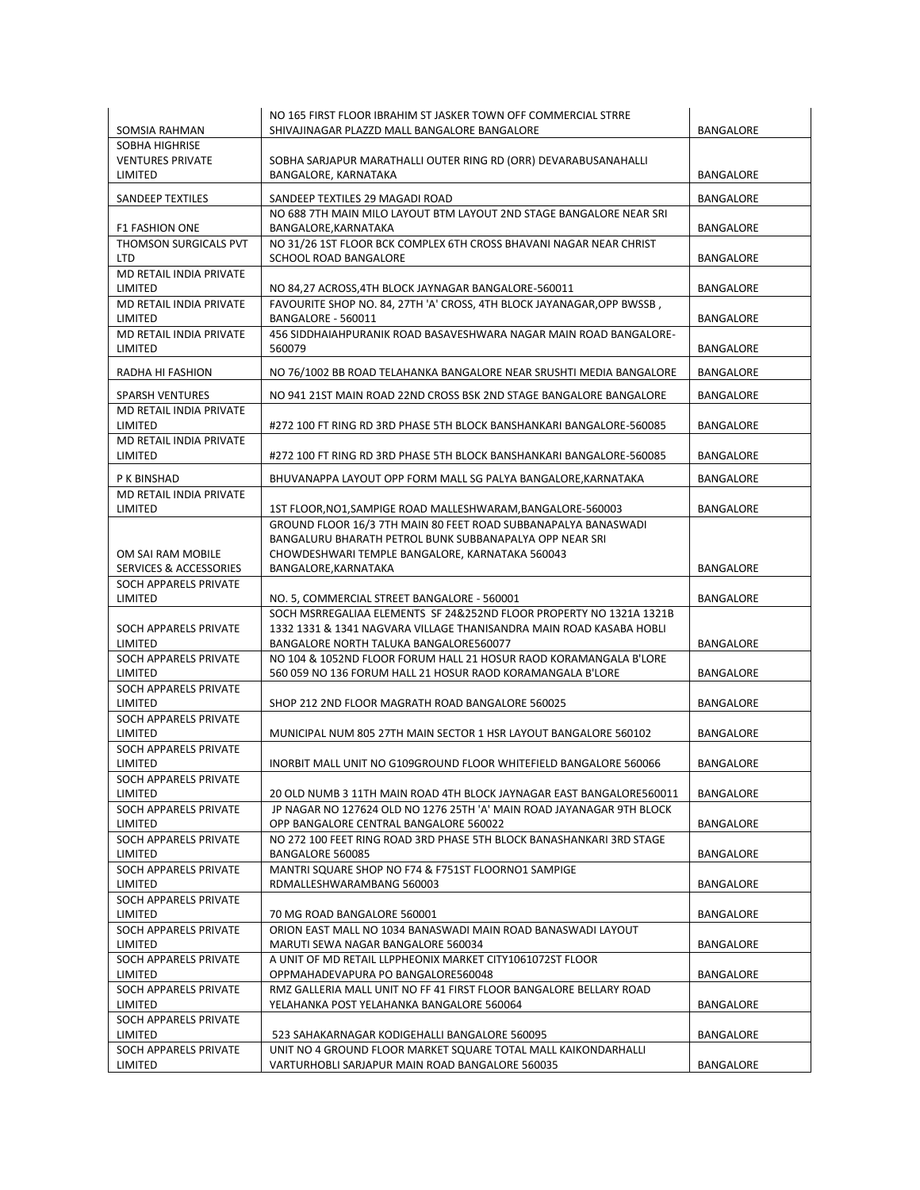|                                    | NO 165 FIRST FLOOR IBRAHIM ST JASKER TOWN OFF COMMERCIAL STRRE                                                            |           |
|------------------------------------|---------------------------------------------------------------------------------------------------------------------------|-----------|
| SOMSIA RAHMAN<br>SOBHA HIGHRISE    | SHIVAJINAGAR PLAZZD MALL BANGALORE BANGALORE                                                                              | BANGALORE |
| <b>VENTURES PRIVATE</b>            | SOBHA SARJAPUR MARATHALLI OUTER RING RD (ORR) DEVARABUSANAHALLI                                                           |           |
| LIMITED                            | BANGALORE, KARNATAKA                                                                                                      | BANGALORE |
|                                    |                                                                                                                           |           |
| SANDEEP TEXTILES                   | SANDEEP TEXTILES 29 MAGADI ROAD<br>NO 688 7TH MAIN MILO LAYOUT BTM LAYOUT 2ND STAGE BANGALORE NEAR SRI                    | BANGALORE |
| <b>F1 FASHION ONE</b>              | BANGALORE, KARNATAKA                                                                                                      | BANGALORE |
| THOMSON SURGICALS PVT              | NO 31/26 1ST FLOOR BCK COMPLEX 6TH CROSS BHAVANI NAGAR NEAR CHRIST                                                        |           |
| <b>LTD</b>                         | SCHOOL ROAD BANGALORE                                                                                                     | BANGALORE |
| MD RETAIL INDIA PRIVATE            |                                                                                                                           |           |
| LIMITED                            | NO 84,27 ACROSS,4TH BLOCK JAYNAGAR BANGALORE-560011                                                                       | BANGALORE |
| MD RETAIL INDIA PRIVATE            | FAVOURITE SHOP NO. 84, 27TH 'A' CROSS, 4TH BLOCK JAYANAGAR, OPP BWSSB,                                                    |           |
| LIMITED                            | BANGALORE - 560011                                                                                                        | BANGALORE |
| MD RETAIL INDIA PRIVATE<br>LIMITED | 456 SIDDHAIAHPURANIK ROAD BASAVESHWARA NAGAR MAIN ROAD BANGALORE-<br>560079                                               | BANGALORE |
|                                    |                                                                                                                           |           |
| RADHA HI FASHION                   | NO 76/1002 BB ROAD TELAHANKA BANGALORE NEAR SRUSHTI MEDIA BANGALORE                                                       | BANGALORE |
| <b>SPARSH VENTURES</b>             | NO 941 21ST MAIN ROAD 22ND CROSS BSK 2ND STAGE BANGALORE BANGALORE                                                        | BANGALORE |
| MD RETAIL INDIA PRIVATE            |                                                                                                                           |           |
| LIMITED                            | #272 100 FT RING RD 3RD PHASE 5TH BLOCK BANSHANKARI BANGALORE-560085                                                      | BANGALORE |
| MD RETAIL INDIA PRIVATE<br>LIMITED |                                                                                                                           |           |
|                                    | #272 100 FT RING RD 3RD PHASE 5TH BLOCK BANSHANKARI BANGALORE-560085                                                      | BANGALORE |
| P K BINSHAD                        | BHUVANAPPA LAYOUT OPP FORM MALL SG PALYA BANGALORE, KARNATAKA                                                             | BANGALORE |
| MD RETAIL INDIA PRIVATE            |                                                                                                                           |           |
| LIMITED                            | 1ST FLOOR, NO1, SAMPIGE ROAD MALLESHWARAM, BANGALORE-560003                                                               | BANGALORE |
|                                    | GROUND FLOOR 16/3 7TH MAIN 80 FEET ROAD SUBBANAPALYA BANASWADI<br>BANGALURU BHARATH PETROL BUNK SUBBANAPALYA OPP NEAR SRI |           |
| OM SAI RAM MOBILE                  | CHOWDESHWARI TEMPLE BANGALORE, KARNATAKA 560043                                                                           |           |
| <b>SERVICES &amp; ACCESSORIES</b>  | BANGALORE, KARNATAKA                                                                                                      | BANGALORE |
| SOCH APPARELS PRIVATE              |                                                                                                                           |           |
| LIMITED                            | NO. 5, COMMERCIAL STREET BANGALORE - 560001                                                                               | BANGALORE |
|                                    | SOCH MSRREGALIAA ELEMENTS SF 24&252ND FLOOR PROPERTY NO 1321A 1321B                                                       |           |
| SOCH APPARELS PRIVATE              | 1332 1331 & 1341 NAGVARA VILLAGE THANISANDRA MAIN ROAD KASABA HOBLI                                                       |           |
| LIMITED<br>SOCH APPARELS PRIVATE   | BANGALORE NORTH TALUKA BANGALORE560077<br>NO 104 & 1052ND FLOOR FORUM HALL 21 HOSUR RAOD KORAMANGALA B'LORE               | BANGALORE |
| LIMITED                            | 560 059 NO 136 FORUM HALL 21 HOSUR RAOD KORAMANGALA B'LORE                                                                | BANGALORE |
| SOCH APPARELS PRIVATE              |                                                                                                                           |           |
| LIMITED                            | SHOP 212 2ND FLOOR MAGRATH ROAD BANGALORE 560025                                                                          | BANGALORE |
| SOCH APPARELS PRIVATE              |                                                                                                                           |           |
| LIMITED                            | MUNICIPAL NUM 805 27TH MAIN SECTOR 1 HSR LAYOUT BANGALORE 560102                                                          | BANGALORE |
| SOCH APPARELS PRIVATE              |                                                                                                                           |           |
| LIMITED                            | INORBIT MALL UNIT NO G109GROUND FLOOR WHITEFIELD BANGALORE 560066                                                         | BANGALORE |
| SOCH APPARELS PRIVATE<br>LIMITED   | 20 OLD NUMB 3 11TH MAIN ROAD 4TH BLOCK JAYNAGAR EAST BANGALORE560011                                                      | BANGALORE |
| SOCH APPARELS PRIVATE              | JP NAGAR NO 127624 OLD NO 1276 25TH 'A' MAIN ROAD JAYANAGAR 9TH BLOCK                                                     |           |
| LIMITED                            | OPP BANGALORE CENTRAL BANGALORE 560022                                                                                    | BANGALORE |
| SOCH APPARELS PRIVATE              | NO 272 100 FEET RING ROAD 3RD PHASE 5TH BLOCK BANASHANKARI 3RD STAGE                                                      |           |
| LIMITED                            | BANGALORE 560085                                                                                                          | BANGALORE |
| SOCH APPARELS PRIVATE              | MANTRI SQUARE SHOP NO F74 & F751ST FLOORNO1 SAMPIGE                                                                       |           |
| LIMITED                            | RDMALLESHWARAMBANG 560003                                                                                                 | BANGALORE |
| SOCH APPARELS PRIVATE<br>LIMITED   | 70 MG ROAD BANGALORE 560001                                                                                               | BANGALORE |
| SOCH APPARELS PRIVATE              | ORION EAST MALL NO 1034 BANASWADI MAIN ROAD BANASWADI LAYOUT                                                              |           |
| LIMITED                            | MARUTI SEWA NAGAR BANGALORE 560034                                                                                        | BANGALORE |
| SOCH APPARELS PRIVATE              | A UNIT OF MD RETAIL LLPPHEONIX MARKET CITY1061072ST FLOOR                                                                 |           |
| LIMITED                            | OPPMAHADEVAPURA PO BANGALORE560048                                                                                        | BANGALORE |
| SOCH APPARELS PRIVATE              | RMZ GALLERIA MALL UNIT NO FF 41 FIRST FLOOR BANGALORE BELLARY ROAD                                                        |           |
| LIMITED                            | YELAHANKA POST YELAHANKA BANGALORE 560064                                                                                 | BANGALORE |
| SOCH APPARELS PRIVATE              |                                                                                                                           |           |
| LIMITED<br>SOCH APPARELS PRIVATE   | 523 SAHAKARNAGAR KODIGEHALLI BANGALORE 560095<br>UNIT NO 4 GROUND FLOOR MARKET SQUARE TOTAL MALL KAIKONDARHALLI           | BANGALORE |
| LIMITED                            | VARTURHOBLI SARJAPUR MAIN ROAD BANGALORE 560035                                                                           | BANGALORE |
|                                    |                                                                                                                           |           |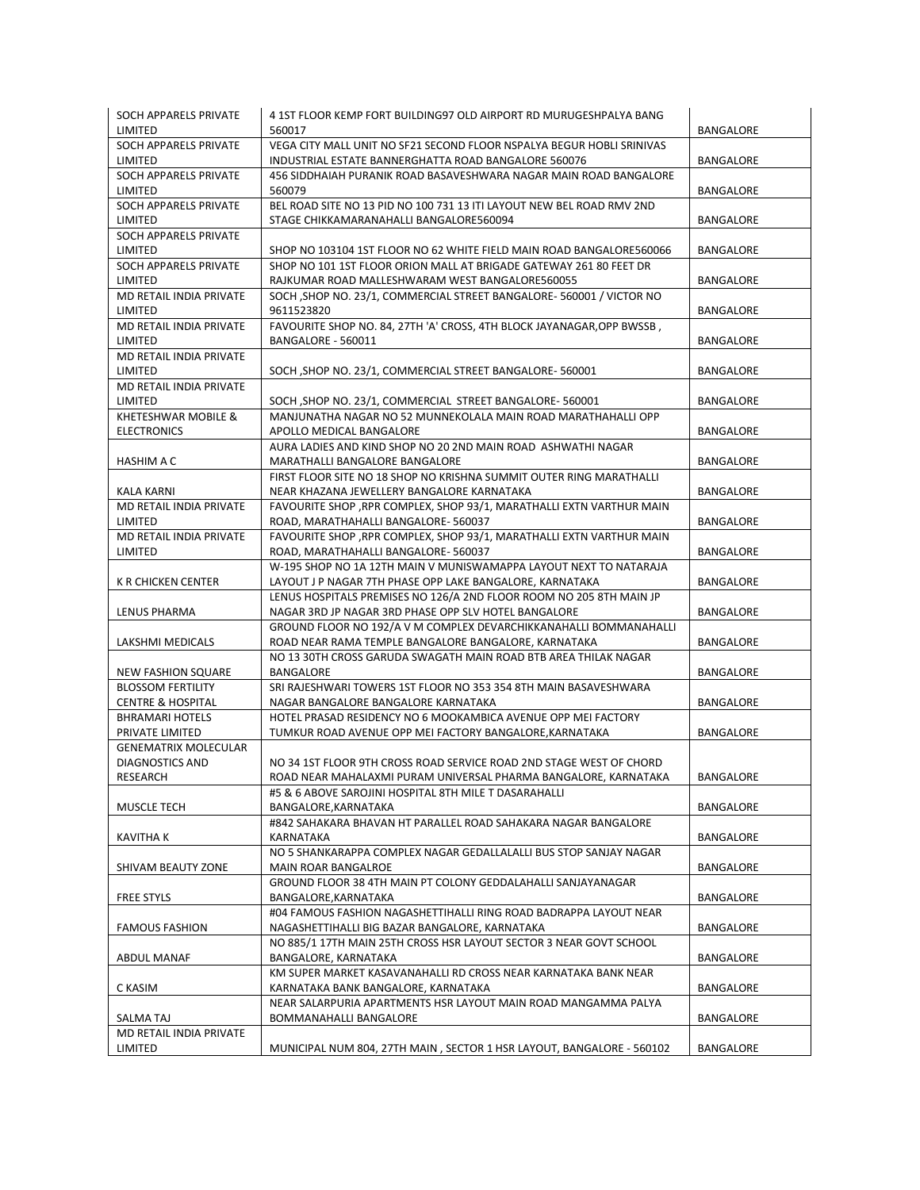| <b>SOCH APPARELS PRIVATE</b><br>LIMITED                  | 4 1ST FLOOR KEMP FORT BUILDING97 OLD AIRPORT RD MURUGESHPALYA BANG<br>560017                                                           | <b>BANGALORE</b> |
|----------------------------------------------------------|----------------------------------------------------------------------------------------------------------------------------------------|------------------|
| SOCH APPARELS PRIVATE<br>LIMITED                         | VEGA CITY MALL UNIT NO SF21 SECOND FLOOR NSPALYA BEGUR HOBLI SRINIVAS<br>INDUSTRIAL ESTATE BANNERGHATTA ROAD BANGALORE 560076          | <b>BANGALORE</b> |
| SOCH APPARELS PRIVATE<br>LIMITED                         | 456 SIDDHAIAH PURANIK ROAD BASAVESHWARA NAGAR MAIN ROAD BANGALORE<br>560079                                                            | <b>BANGALORE</b> |
| SOCH APPARELS PRIVATE<br>LIMITED                         | BEL ROAD SITE NO 13 PID NO 100 731 13 ITI LAYOUT NEW BEL ROAD RMV 2ND<br>STAGE CHIKKAMARANAHALLI BANGALORE560094                       | <b>BANGALORE</b> |
| SOCH APPARELS PRIVATE<br>LIMITED                         | SHOP NO 103104 1ST FLOOR NO 62 WHITE FIELD MAIN ROAD BANGALORE560066                                                                   | <b>BANGALORE</b> |
| SOCH APPARELS PRIVATE<br>LIMITED                         | SHOP NO 101 1ST FLOOR ORION MALL AT BRIGADE GATEWAY 261 80 FEET DR<br>RAJKUMAR ROAD MALLESHWARAM WEST BANGALORE560055                  | <b>BANGALORE</b> |
| MD RETAIL INDIA PRIVATE<br>LIMITED                       | SOCH , SHOP NO. 23/1, COMMERCIAL STREET BANGALORE-560001 / VICTOR NO<br>9611523820                                                     | BANGALORE        |
| MD RETAIL INDIA PRIVATE<br>LIMITED                       | FAVOURITE SHOP NO. 84, 27TH 'A' CROSS, 4TH BLOCK JAYANAGAR, OPP BWSSB,<br>BANGALORE - 560011                                           | <b>BANGALORE</b> |
| MD RETAIL INDIA PRIVATE<br>LIMITED                       | SOCH, SHOP NO. 23/1, COMMERCIAL STREET BANGALORE-560001                                                                                | BANGALORE        |
| MD RETAIL INDIA PRIVATE<br>LIMITED                       | SOCH , SHOP NO. 23/1, COMMERCIAL STREET BANGALORE-560001                                                                               | BANGALORE        |
| KHETESHWAR MOBILE &<br><b>ELECTRONICS</b>                | MANJUNATHA NAGAR NO 52 MUNNEKOLALA MAIN ROAD MARATHAHALLI OPP<br>APOLLO MEDICAL BANGALORE                                              | <b>BANGALORE</b> |
| HASHIM A C                                               | AURA LADIES AND KIND SHOP NO 20 2ND MAIN ROAD ASHWATHI NAGAR<br>MARATHALLI BANGALORE BANGALORE                                         | BANGALORE        |
| <b>KALA KARNI</b>                                        | FIRST FLOOR SITE NO 18 SHOP NO KRISHNA SUMMIT OUTER RING MARATHALLI<br>NEAR KHAZANA JEWELLERY BANGALORE KARNATAKA                      | BANGALORE        |
| MD RETAIL INDIA PRIVATE<br>LIMITED                       | FAVOURITE SHOP , RPR COMPLEX, SHOP 93/1, MARATHALLI EXTN VARTHUR MAIN<br>ROAD, MARATHAHALLI BANGALORE- 560037                          | <b>BANGALORE</b> |
| MD RETAIL INDIA PRIVATE<br>LIMITED                       | FAVOURITE SHOP , RPR COMPLEX, SHOP 93/1, MARATHALLI EXTN VARTHUR MAIN<br>ROAD, MARATHAHALLI BANGALORE-560037                           | BANGALORE        |
| K R CHICKEN CENTER                                       | W-195 SHOP NO 1A 12TH MAIN V MUNISWAMAPPA LAYOUT NEXT TO NATARAJA<br>LAYOUT J P NAGAR 7TH PHASE OPP LAKE BANGALORE, KARNATAKA          | BANGALORE        |
| LENUS PHARMA                                             | LENUS HOSPITALS PREMISES NO 126/A 2ND FLOOR ROOM NO 205 8TH MAIN JP<br>NAGAR 3RD JP NAGAR 3RD PHASE OPP SLV HOTEL BANGALORE            | <b>BANGALORE</b> |
| LAKSHMI MEDICALS                                         | GROUND FLOOR NO 192/A V M COMPLEX DEVARCHIKKANAHALLI BOMMANAHALLI<br>ROAD NEAR RAMA TEMPLE BANGALORE BANGALORE, KARNATAKA              | BANGALORE        |
| <b>NEW FASHION SQUARE</b>                                | NO 13 30TH CROSS GARUDA SWAGATH MAIN ROAD BTB AREA THILAK NAGAR<br>BANGALORE                                                           | BANGALORE        |
| <b>BLOSSOM FERTILITY</b><br><b>CENTRE &amp; HOSPITAL</b> | SRI RAJESHWARI TOWERS 1ST FLOOR NO 353 354 8TH MAIN BASAVESHWARA<br>NAGAR BANGALORE BANGALORE KARNATAKA                                | <b>BANGALORE</b> |
| <b>BHRAMARI HOTELS</b>                                   | HOTEL PRASAD RESIDENCY NO 6 MOOKAMBICA AVENUE OPP MEI FACTORY                                                                          |                  |
| PRIVATE LIMITED<br><b>GENEMATRIX MOLECULAR</b>           | TUMKUR ROAD AVENUE OPP MEI FACTORY BANGALORE, KARNATAKA                                                                                | <b>BANGALORE</b> |
| <b>DIAGNOSTICS AND</b><br>RESEARCH                       | NO 34 1ST FLOOR 9TH CROSS ROAD SERVICE ROAD 2ND STAGE WEST OF CHORD<br>ROAD NEAR MAHALAXMI PURAM UNIVERSAL PHARMA BANGALORE, KARNATAKA | BANGALORE        |
| MUSCLE TECH                                              | #5 & 6 ABOVE SAROJINI HOSPITAL 8TH MILE T DASARAHALLI<br>BANGALORE, KARNATAKA                                                          | <b>BANGALORE</b> |
| KAVITHA K                                                | #842 SAHAKARA BHAVAN HT PARALLEL ROAD SAHAKARA NAGAR BANGALORE<br>KARNATAKA                                                            | BANGALORE        |
| SHIVAM BEAUTY ZONE                                       | NO 5 SHANKARAPPA COMPLEX NAGAR GEDALLALALLI BUS STOP SANJAY NAGAR<br>MAIN ROAR BANGALROE                                               | BANGALORE        |
| <b>FREE STYLS</b>                                        | GROUND FLOOR 38 4TH MAIN PT COLONY GEDDALAHALLI SANJAYANAGAR<br>BANGALORE, KARNATAKA                                                   | BANGALORE        |
| <b>FAMOUS FASHION</b>                                    | #04 FAMOUS FASHION NAGASHETTIHALLI RING ROAD BADRAPPA LAYOUT NEAR<br>NAGASHETTIHALLI BIG BAZAR BANGALORE, KARNATAKA                    | BANGALORE        |
| ABDUL MANAF                                              | NO 885/1 17TH MAIN 25TH CROSS HSR LAYOUT SECTOR 3 NEAR GOVT SCHOOL<br>BANGALORE, KARNATAKA                                             | BANGALORE        |
|                                                          | KM SUPER MARKET KASAVANAHALLI RD CROSS NEAR KARNATAKA BANK NEAR                                                                        |                  |
| C KASIM                                                  | KARNATAKA BANK BANGALORE, KARNATAKA<br>NEAR SALARPURIA APARTMENTS HSR LAYOUT MAIN ROAD MANGAMMA PALYA                                  | BANGALORE        |
| SALMA TAJ<br>MD RETAIL INDIA PRIVATE                     | BOMMANAHALLI BANGALORE                                                                                                                 | BANGALORE        |
| LIMITED                                                  | MUNICIPAL NUM 804, 27TH MAIN, SECTOR 1 HSR LAYOUT, BANGALORE - 560102                                                                  | BANGALORE        |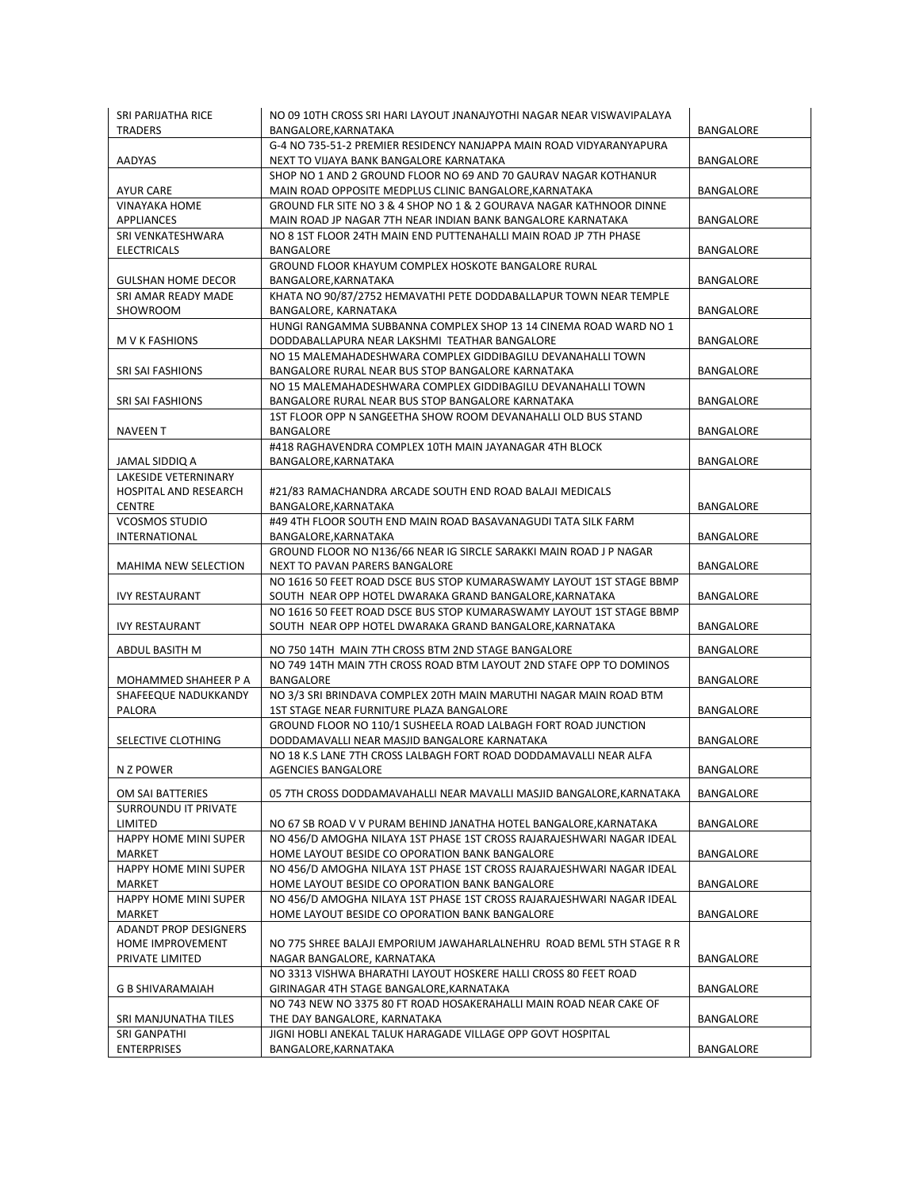| SRI PARIJATHA RICE<br><b>TRADERS</b>          | NO 09 10TH CROSS SRI HARI LAYOUT JNANAJYOTHI NAGAR NEAR VISWAVIPALAYA<br>BANGALORE, KARNATAKA                                      | BANGALORE        |
|-----------------------------------------------|------------------------------------------------------------------------------------------------------------------------------------|------------------|
| AADYAS                                        | G-4 NO 735-51-2 PREMIER RESIDENCY NANJAPPA MAIN ROAD VIDYARANYAPURA<br>NEXT TO VIJAYA BANK BANGALORE KARNATAKA                     | BANGALORE        |
| <b>AYUR CARE</b>                              | SHOP NO 1 AND 2 GROUND FLOOR NO 69 AND 70 GAURAV NAGAR KOTHANUR<br>MAIN ROAD OPPOSITE MEDPLUS CLINIC BANGALORE, KARNATAKA          | BANGALORE        |
| <b>VINAYAKA HOME</b><br>APPLIANCES            | GROUND FLR SITE NO 3 & 4 SHOP NO 1 & 2 GOURAVA NAGAR KATHNOOR DINNE<br>MAIN ROAD JP NAGAR 7TH NEAR INDIAN BANK BANGALORE KARNATAKA | BANGALORE        |
| SRI VENKATESHWARA<br><b>ELECTRICALS</b>       | NO 8 1ST FLOOR 24TH MAIN END PUTTENAHALLI MAIN ROAD JP 7TH PHASE<br>BANGALORE                                                      | BANGALORE        |
| <b>GULSHAN HOME DECOR</b>                     | GROUND FLOOR KHAYUM COMPLEX HOSKOTE BANGALORE RURAL<br>BANGALORE, KARNATAKA                                                        | BANGALORE        |
| SRI AMAR READY MADE<br>SHOWROOM               | KHATA NO 90/87/2752 HEMAVATHI PETE DODDABALLAPUR TOWN NEAR TEMPLE<br>BANGALORE, KARNATAKA                                          | <b>BANGALORE</b> |
| M V K FASHIONS                                | HUNGI RANGAMMA SUBBANNA COMPLEX SHOP 13 14 CINEMA ROAD WARD NO 1<br>DODDABALLAPURA NEAR LAKSHMI TEATHAR BANGALORE                  | BANGALORE        |
| SRI SAI FASHIONS                              | NO 15 MALEMAHADESHWARA COMPLEX GIDDIBAGILU DEVANAHALLI TOWN<br>BANGALORE RURAL NEAR BUS STOP BANGALORE KARNATAKA                   | BANGALORE        |
| SRI SAI FASHIONS                              | NO 15 MALEMAHADESHWARA COMPLEX GIDDIBAGILU DEVANAHALLI TOWN<br>BANGALORE RURAL NEAR BUS STOP BANGALORE KARNATAKA                   | BANGALORE        |
| <b>NAVEEN T</b>                               | 1ST FLOOR OPP N SANGEETHA SHOW ROOM DEVANAHALLI OLD BUS STAND<br>BANGALORE                                                         | BANGALORE        |
| JAMAL SIDDIQ A                                | #418 RAGHAVENDRA COMPLEX 10TH MAIN JAYANAGAR 4TH BLOCK<br>BANGALORE, KARNATAKA                                                     | BANGALORE        |
| LAKESIDE VETERNINARY                          |                                                                                                                                    |                  |
| <b>HOSPITAL AND RESEARCH</b><br><b>CENTRE</b> | #21/83 RAMACHANDRA ARCADE SOUTH END ROAD BALAJI MEDICALS<br>BANGALORE, KARNATAKA                                                   |                  |
| <b>VCOSMOS STUDIO</b>                         | #49 4TH FLOOR SOUTH END MAIN ROAD BASAVANAGUDI TATA SILK FARM                                                                      | BANGALORE        |
| INTERNATIONAL                                 | BANGALORE, KARNATAKA                                                                                                               | BANGALORE        |
| <b>MAHIMA NEW SELECTION</b>                   | GROUND FLOOR NO N136/66 NEAR IG SIRCLE SARAKKI MAIN ROAD J P NAGAR<br>NEXT TO PAVAN PARERS BANGALORE                               | BANGALORE        |
| <b>IVY RESTAURANT</b>                         | NO 1616 50 FEET ROAD DSCE BUS STOP KUMARASWAMY LAYOUT 1ST STAGE BBMP<br>SOUTH NEAR OPP HOTEL DWARAKA GRAND BANGALORE, KARNATAKA    | <b>BANGALORE</b> |
| <b>IVY RESTAURANT</b>                         | NO 1616 50 FEET ROAD DSCE BUS STOP KUMARASWAMY LAYOUT 1ST STAGE BBMP<br>SOUTH NEAR OPP HOTEL DWARAKA GRAND BANGALORE, KARNATAKA    | BANGALORE        |
| ABDUL BASITH M                                | NO 750 14TH MAIN 7TH CROSS BTM 2ND STAGE BANGALORE                                                                                 | BANGALORE        |
| MOHAMMED SHAHEER P A                          | NO 749 14TH MAIN 7TH CROSS ROAD BTM LAYOUT 2ND STAFE OPP TO DOMINOS<br>BANGALORE                                                   | BANGALORE        |
| SHAFEEQUE NADUKKANDY                          | NO 3/3 SRI BRINDAVA COMPLEX 20TH MAIN MARUTHI NAGAR MAIN ROAD BTM                                                                  |                  |
| <b>PALORA</b>                                 | 1ST STAGE NEAR FURNITURE PLAZA BANGALORE                                                                                           | BANGALORE        |
| SELECTIVE CLOTHING                            | GROUND FLOOR NO 110/1 SUSHEELA ROAD LALBAGH FORT ROAD JUNCTION<br>DODDAMAVALLI NEAR MASJID BANGALORE KARNATAKA                     | BANGALORE        |
| N Z POWER                                     | NO 18 K.S LANE 7TH CROSS LALBAGH FORT ROAD DODDAMAVALLI NEAR ALFA<br><b>AGENCIES BANGALORE</b>                                     | <b>BANGALORE</b> |
| OM SAI BATTERIES<br>SURROUNDU IT PRIVATE      | 05 7TH CROSS DODDAMAVAHALLI NEAR MAVALLI MASJID BANGALORE, KARNATAKA                                                               | BANGALORE        |
| LIMITED                                       | NO 67 SB ROAD V V PURAM BEHIND JANATHA HOTEL BANGALORE, KARNATAKA                                                                  | BANGALORE        |
| HAPPY HOME MINI SUPER                         | NO 456/D AMOGHA NILAYA 1ST PHASE 1ST CROSS RAJARAJESHWARI NAGAR IDEAL                                                              |                  |
| MARKET                                        | HOME LAYOUT BESIDE CO OPORATION BANK BANGALORE                                                                                     | BANGALORE        |
| HAPPY HOME MINI SUPER<br>MARKET               | NO 456/D AMOGHA NILAYA 1ST PHASE 1ST CROSS RAJARAJESHWARI NAGAR IDEAL<br>HOME LAYOUT BESIDE CO OPORATION BANK BANGALORE            | BANGALORE        |
| HAPPY HOME MINI SUPER<br>MARKET               | NO 456/D AMOGHA NILAYA 1ST PHASE 1ST CROSS RAJARAJESHWARI NAGAR IDEAL                                                              | <b>BANGALORE</b> |
| <b>ADANDT PROP DESIGNERS</b>                  | HOME LAYOUT BESIDE CO OPORATION BANK BANGALORE                                                                                     |                  |
| HOME IMPROVEMENT<br>PRIVATE LIMITED           | NO 775 SHREE BALAJI EMPORIUM JAWAHARLALNEHRU ROAD BEML 5TH STAGE R R<br>NAGAR BANGALORE, KARNATAKA                                 | BANGALORE        |
|                                               | NO 3313 VISHWA BHARATHI LAYOUT HOSKERE HALLI CROSS 80 FEET ROAD                                                                    |                  |
| G B SHIVARAMAIAH                              | GIRINAGAR 4TH STAGE BANGALORE, KARNATAKA                                                                                           | BANGALORE        |
| SRI MANJUNATHA TILES                          | NO 743 NEW NO 3375 80 FT ROAD HOSAKERAHALLI MAIN ROAD NEAR CAKE OF<br>THE DAY BANGALORE, KARNATAKA                                 | BANGALORE        |
| SRI GANPATHI<br><b>ENTERPRISES</b>            | JIGNI HOBLI ANEKAL TALUK HARAGADE VILLAGE OPP GOVT HOSPITAL<br>BANGALORE, KARNATAKA                                                | BANGALORE        |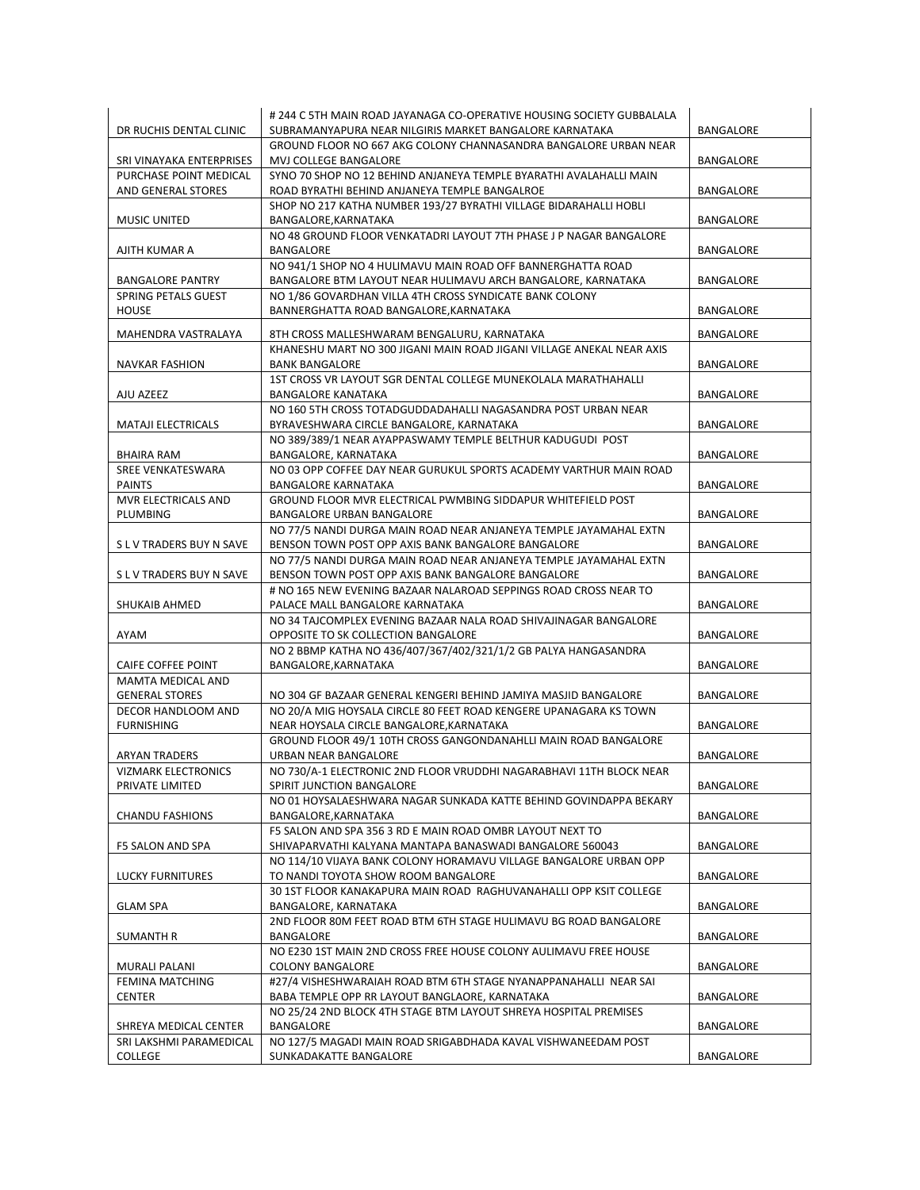|                                         | # 244 C 5TH MAIN ROAD JAYANAGA CO-OPERATIVE HOUSING SOCIETY GUBBALALA                                         |                  |
|-----------------------------------------|---------------------------------------------------------------------------------------------------------------|------------------|
| DR RUCHIS DENTAL CLINIC                 | SUBRAMANYAPURA NEAR NILGIRIS MARKET BANGALORE KARNATAKA                                                       | <b>BANGALORE</b> |
|                                         | GROUND FLOOR NO 667 AKG COLONY CHANNASANDRA BANGALORE URBAN NEAR                                              |                  |
| SRI VINAYAKA ENTERPRISES                | MVJ COLLEGE BANGALORE                                                                                         | BANGALORE        |
| PURCHASE POINT MEDICAL                  | SYNO 70 SHOP NO 12 BEHIND ANJANEYA TEMPLE BYARATHI AVALAHALLI MAIN                                            |                  |
| AND GENERAL STORES                      | ROAD BYRATHI BEHIND ANJANEYA TEMPLE BANGALROE                                                                 | BANGALORE        |
|                                         | SHOP NO 217 KATHA NUMBER 193/27 BYRATHI VILLAGE BIDARAHALLI HOBLI                                             |                  |
| MUSIC UNITED                            | BANGALORE, KARNATAKA                                                                                          | BANGALORE        |
|                                         | NO 48 GROUND FLOOR VENKATADRI LAYOUT 7TH PHASE J P NAGAR BANGALORE                                            |                  |
| AJITH KUMAR A                           | BANGALORE                                                                                                     | BANGALORE        |
|                                         | NO 941/1 SHOP NO 4 HULIMAVU MAIN ROAD OFF BANNERGHATTA ROAD                                                   |                  |
| <b>BANGALORE PANTRY</b>                 | BANGALORE BTM LAYOUT NEAR HULIMAVU ARCH BANGALORE, KARNATAKA                                                  | BANGALORE        |
| SPRING PETALS GUEST                     | NO 1/86 GOVARDHAN VILLA 4TH CROSS SYNDICATE BANK COLONY                                                       |                  |
| <b>HOUSE</b>                            | BANNERGHATTA ROAD BANGALORE, KARNATAKA                                                                        | <b>BANGALORE</b> |
| MAHENDRA VASTRALAYA                     | 8TH CROSS MALLESHWARAM BENGALURU, KARNATAKA                                                                   | BANGALORE        |
|                                         | KHANESHU MART NO 300 JIGANI MAIN ROAD JIGANI VILLAGE ANEKAL NEAR AXIS                                         |                  |
| <b>NAVKAR FASHION</b>                   | <b>BANK BANGALORE</b>                                                                                         | BANGALORE        |
|                                         | 1ST CROSS VR LAYOUT SGR DENTAL COLLEGE MUNEKOLALA MARATHAHALLI                                                |                  |
| AJU AZEEZ                               | <b>BANGALORE KANATAKA</b>                                                                                     | BANGALORE        |
|                                         | NO 160 5TH CROSS TOTADGUDDADAHALLI NAGASANDRA POST URBAN NEAR                                                 |                  |
| <b>MATAJI ELECTRICALS</b>               | BYRAVESHWARA CIRCLE BANGALORE, KARNATAKA                                                                      | BANGALORE        |
|                                         | NO 389/389/1 NEAR AYAPPASWAMY TEMPLE BELTHUR KADUGUDI POST                                                    |                  |
| <b>BHAIRA RAM</b>                       | BANGALORE, KARNATAKA                                                                                          | <b>BANGALORE</b> |
| SREE VENKATESWARA                       | NO 03 OPP COFFEE DAY NEAR GURUKUL SPORTS ACADEMY VARTHUR MAIN ROAD                                            |                  |
| <b>PAINTS</b>                           | <b>BANGALORE KARNATAKA</b>                                                                                    | BANGALORE        |
| MVR ELECTRICALS AND                     | GROUND FLOOR MVR ELECTRICAL PWMBING SIDDAPUR WHITEFIELD POST                                                  |                  |
| PLUMBING                                | <b>BANGALORE URBAN BANGALORE</b>                                                                              | <b>BANGALORE</b> |
|                                         | NO 77/5 NANDI DURGA MAIN ROAD NEAR ANJANEYA TEMPLE JAYAMAHAL EXTN                                             |                  |
| S L V TRADERS BUY N SAVE                | BENSON TOWN POST OPP AXIS BANK BANGALORE BANGALORE                                                            | BANGALORE        |
|                                         | NO 77/5 NANDI DURGA MAIN ROAD NEAR ANJANEYA TEMPLE JAYAMAHAL EXTN                                             |                  |
| S L V TRADERS BUY N SAVE                | BENSON TOWN POST OPP AXIS BANK BANGALORE BANGALORE                                                            | BANGALORE        |
|                                         | # NO 165 NEW EVENING BAZAAR NALAROAD SEPPINGS ROAD CROSS NEAR TO                                              |                  |
| <b>SHUKAIB AHMED</b>                    | PALACE MALL BANGALORE KARNATAKA                                                                               | BANGALORE        |
|                                         | NO 34 TAJCOMPLEX EVENING BAZAAR NALA ROAD SHIVAJINAGAR BANGALORE                                              |                  |
| AYAM                                    | OPPOSITE TO SK COLLECTION BANGALORE                                                                           | <b>BANGALORE</b> |
|                                         | NO 2 BBMP KATHA NO 436/407/367/402/321/1/2 GB PALYA HANGASANDRA                                               |                  |
| CAIFE COFFEE POINT                      | BANGALORE, KARNATAKA                                                                                          | BANGALORE        |
| MAMTA MEDICAL AND                       |                                                                                                               |                  |
| <b>GENERAL STORES</b>                   | NO 304 GF BAZAAR GENERAL KENGERI BEHIND JAMIYA MASJID BANGALORE                                               | BANGALORE        |
| DECOR HANDLOOM AND<br><b>FURNISHING</b> | NO 20/A MIG HOYSALA CIRCLE 80 FEET ROAD KENGERE UPANAGARA KS TOWN<br>NEAR HOYSALA CIRCLE BANGALORE, KARNATAKA | <b>BANGALORE</b> |
|                                         | GROUND FLOOR 49/1 10TH CROSS GANGONDANAHLLI MAIN ROAD BANGALORE                                               |                  |
| ARYAN TRADERS                           | URBAN NEAR BANGALORE                                                                                          | BANGALORE        |
| <b>VIZMARK ELECTRONICS</b>              | NO 730/A-1 ELECTRONIC 2ND FLOOR VRUDDHI NAGARABHAVI 11TH BLOCK NEAR                                           |                  |
| PRIVATE LIMITED                         | SPIRIT JUNCTION BANGALORE                                                                                     | BANGALORE        |
|                                         | NO 01 HOYSALAESHWARA NAGAR SUNKADA KATTE BEHIND GOVINDAPPA BEKARY                                             |                  |
| <b>CHANDU FASHIONS</b>                  | BANGALORE, KARNATAKA                                                                                          | BANGALORE        |
|                                         | F5 SALON AND SPA 356 3 RD E MAIN ROAD OMBR LAYOUT NEXT TO                                                     |                  |
| F5 SALON AND SPA                        | SHIVAPARVATHI KALYANA MANTAPA BANASWADI BANGALORE 560043                                                      | BANGALORE        |
|                                         | NO 114/10 VIJAYA BANK COLONY HORAMAVU VILLAGE BANGALORE URBAN OPP                                             |                  |
| LUCKY FURNITURES                        | TO NANDI TOYOTA SHOW ROOM BANGALORE                                                                           | BANGALORE        |
|                                         | 30 1ST FLOOR KANAKAPURA MAIN ROAD RAGHUVANAHALLI OPP KSIT COLLEGE                                             |                  |
| <b>GLAM SPA</b>                         | BANGALORE, KARNATAKA                                                                                          | BANGALORE        |
|                                         | 2ND FLOOR 80M FEET ROAD BTM 6TH STAGE HULIMAVU BG ROAD BANGALORE                                              |                  |
| SUMANTH R                               | BANGALORE                                                                                                     | BANGALORE        |
|                                         | NO E230 1ST MAIN 2ND CROSS FREE HOUSE COLONY AULIMAVU FREE HOUSE                                              |                  |
| MURALI PALANI                           | <b>COLONY BANGALORE</b>                                                                                       | BANGALORE        |
| FEMINA MATCHING                         | #27/4 VISHESHWARAIAH ROAD BTM 6TH STAGE NYANAPPANAHALLI NEAR SAI                                              |                  |
| <b>CENTER</b>                           | BABA TEMPLE OPP RR LAYOUT BANGLAORE, KARNATAKA                                                                | BANGALORE        |
|                                         | NO 25/24 2ND BLOCK 4TH STAGE BTM LAYOUT SHREYA HOSPITAL PREMISES                                              |                  |
| SHREYA MEDICAL CENTER                   | BANGALORE                                                                                                     | BANGALORE        |
| SRI LAKSHMI PARAMEDICAL                 | NO 127/5 MAGADI MAIN ROAD SRIGABDHADA KAVAL VISHWANEEDAM POST                                                 |                  |
| COLLEGE                                 | SUNKADAKATTE BANGALORE                                                                                        | BANGALORE        |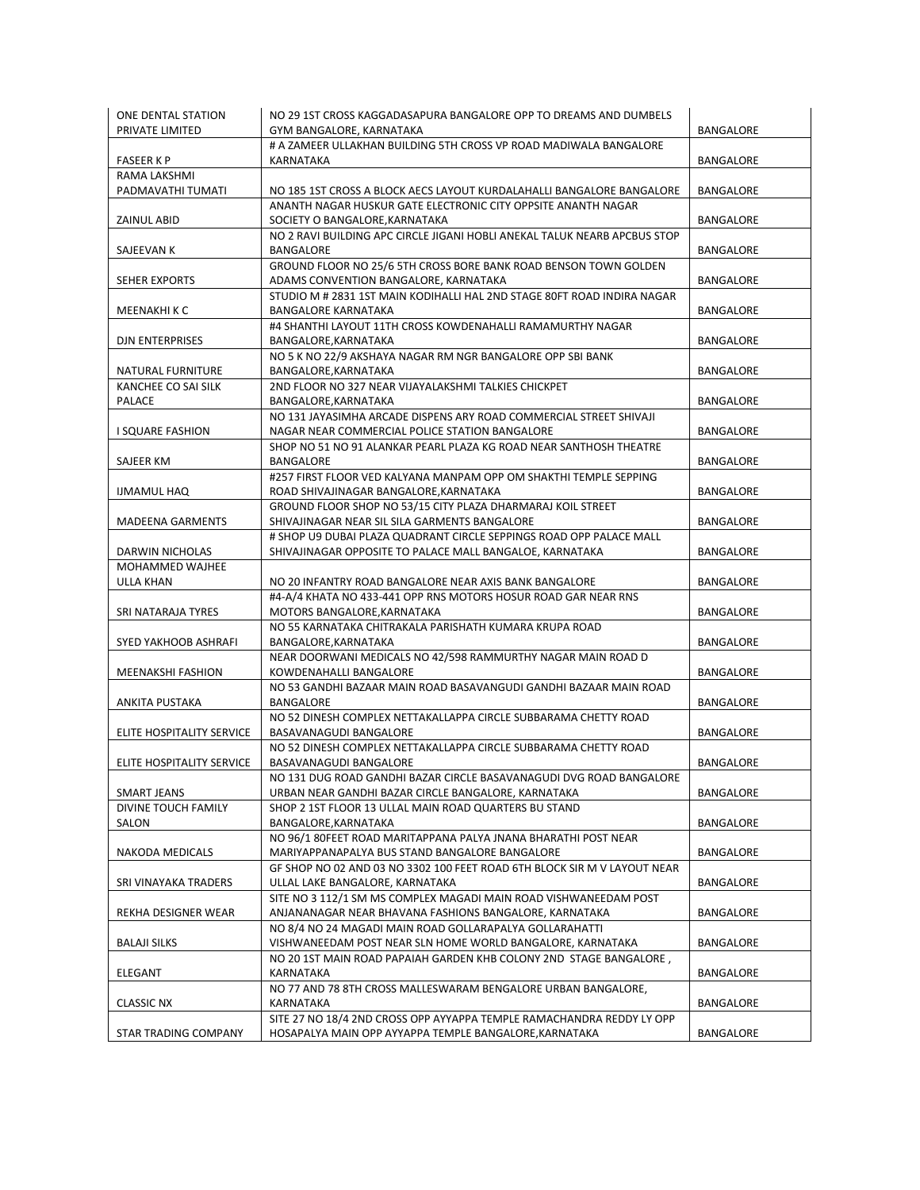| ONE DENTAL STATION<br>PRIVATE LIMITED | NO 29 1ST CROSS KAGGADASAPURA BANGALORE OPP TO DREAMS AND DUMBELS<br>GYM BANGALORE, KARNATAKA                                   | BANGALORE        |
|---------------------------------------|---------------------------------------------------------------------------------------------------------------------------------|------------------|
| <b>FASEER KP</b>                      | # A ZAMEER ULLAKHAN BUILDING 5TH CROSS VP ROAD MADIWALA BANGALORE<br>KARNATAKA                                                  | BANGALORE        |
| RAMA LAKSHMI                          |                                                                                                                                 |                  |
| PADMAVATHI TUMATI                     | NO 185 1ST CROSS A BLOCK AECS LAYOUT KURDALAHALLI BANGALORE BANGALORE                                                           | <b>BANGALORE</b> |
| ZAINUL ABID                           | ANANTH NAGAR HUSKUR GATE ELECTRONIC CITY OPPSITE ANANTH NAGAR<br>SOCIETY O BANGALORE, KARNATAKA                                 | <b>BANGALORE</b> |
| SAJEEVAN K                            | NO 2 RAVI BUILDING APC CIRCLE JIGANI HOBLI ANEKAL TALUK NEARB APCBUS STOP<br>BANGALORE                                          | BANGALORE        |
| <b>SEHER EXPORTS</b>                  | GROUND FLOOR NO 25/6 5TH CROSS BORE BANK ROAD BENSON TOWN GOLDEN<br>ADAMS CONVENTION BANGALORE, KARNATAKA                       | BANGALORE        |
| MEENAKHI K C                          | STUDIO M # 2831 1ST MAIN KODIHALLI HAL 2ND STAGE 80FT ROAD INDIRA NAGAR<br><b>BANGALORE KARNATAKA</b>                           | <b>BANGALORE</b> |
| <b>DJN ENTERPRISES</b>                | #4 SHANTHI LAYOUT 11TH CROSS KOWDENAHALLI RAMAMURTHY NAGAR<br>BANGALORE, KARNATAKA                                              | BANGALORE        |
| NATURAL FURNITURE                     | NO 5 K NO 22/9 AKSHAYA NAGAR RM NGR BANGALORE OPP SBI BANK<br>BANGALORE, KARNATAKA                                              | BANGALORE        |
| KANCHEE CO SAI SILK<br>PALACE         | 2ND FLOOR NO 327 NEAR VIJAYALAKSHMI TALKIES CHICKPET<br>BANGALORE,KARNATAKA                                                     | <b>BANGALORE</b> |
| I SQUARE FASHION                      | NO 131 JAYASIMHA ARCADE DISPENS ARY ROAD COMMERCIAL STREET SHIVAJI<br>NAGAR NEAR COMMERCIAL POLICE STATION BANGALORE            | BANGALORE        |
| SAJEER KM                             | SHOP NO 51 NO 91 ALANKAR PEARL PLAZA KG ROAD NEAR SANTHOSH THEATRE<br>BANGALORE                                                 | BANGALORE        |
| <b>IJMAMUL HAQ</b>                    | #257 FIRST FLOOR VED KALYANA MANPAM OPP OM SHAKTHI TEMPLE SEPPING<br>ROAD SHIVAJINAGAR BANGALORE, KARNATAKA                     | <b>BANGALORE</b> |
| <b>MADEENA GARMENTS</b>               | GROUND FLOOR SHOP NO 53/15 CITY PLAZA DHARMARAJ KOIL STREET<br>SHIVAJINAGAR NEAR SIL SILA GARMENTS BANGALORE                    | BANGALORE        |
| DARWIN NICHOLAS                       | # SHOP U9 DUBAI PLAZA QUADRANT CIRCLE SEPPINGS ROAD OPP PALACE MALL<br>SHIVAJINAGAR OPPOSITE TO PALACE MALL BANGALOE, KARNATAKA | BANGALORE        |
| MOHAMMED WAJHEE                       |                                                                                                                                 |                  |
| ULLA KHAN                             | NO 20 INFANTRY ROAD BANGALORE NEAR AXIS BANK BANGALORE                                                                          | BANGALORE        |
|                                       | #4-A/4 KHATA NO 433-441 OPP RNS MOTORS HOSUR ROAD GAR NEAR RNS<br>MOTORS BANGALORE, KARNATAKA                                   |                  |
| SRI NATARAJA TYRES                    |                                                                                                                                 | BANGALORE        |
| SYED YAKHOOB ASHRAFI                  | NO 55 KARNATAKA CHITRAKALA PARISHATH KUMARA KRUPA ROAD<br>BANGALORE, KARNATAKA                                                  | BANGALORE        |
| MEENAKSHI FASHION                     | NEAR DOORWANI MEDICALS NO 42/598 RAMMURTHY NAGAR MAIN ROAD D<br>KOWDENAHALLI BANGALORE                                          | BANGALORE        |
| ANKITA PUSTAKA                        | NO 53 GANDHI BAZAAR MAIN ROAD BASAVANGUDI GANDHI BAZAAR MAIN ROAD<br>BANGALORE                                                  | BANGALORE        |
| ELITE HOSPITALITY SERVICE             | NO 52 DINESH COMPLEX NETTAKALLAPPA CIRCLE SUBBARAMA CHETTY ROAD<br>BASAVANAGUDI BANGALORE                                       | BANGALORE        |
| ELITE HOSPITALITY SERVICE             | NO 52 DINESH COMPLEX NETTAKALLAPPA CIRCLE SUBBARAMA CHETTY ROAD<br>BASAVANAGUDI BANGALORE                                       | <b>BANGALORE</b> |
| SMART JEANS                           | NO 131 DUG ROAD GANDHI BAZAR CIRCLE BASAVANAGUDI DVG ROAD BANGALORE<br>URBAN NEAR GANDHI BAZAR CIRCLE BANGALORE, KARNATAKA      | BANGALORE        |
| DIVINE TOUCH FAMILY<br>SALON          | SHOP 2 1ST FLOOR 13 ULLAL MAIN ROAD QUARTERS BU STAND<br>BANGALORE,KARNATAKA                                                    | BANGALORE        |
| <b>NAKODA MEDICALS</b>                | NO 96/1 80FEET ROAD MARITAPPANA PALYA JNANA BHARATHI POST NEAR<br>MARIYAPPANAPALYA BUS STAND BANGALORE BANGALORE                | BANGALORE        |
| SRI VINAYAKA TRADERS                  | GF SHOP NO 02 AND 03 NO 3302 100 FEET ROAD 6TH BLOCK SIR M V LAYOUT NEAR<br>ULLAL LAKE BANGALORE, KARNATAKA                     | BANGALORE        |
| REKHA DESIGNER WEAR                   | SITE NO 3 112/1 SM MS COMPLEX MAGADI MAIN ROAD VISHWANEEDAM POST<br>ANJANANAGAR NEAR BHAVANA FASHIONS BANGALORE, KARNATAKA      | BANGALORE        |
| <b>BALAJI SILKS</b>                   | NO 8/4 NO 24 MAGADI MAIN ROAD GOLLARAPALYA GOLLARAHATTI<br>VISHWANEEDAM POST NEAR SLN HOME WORLD BANGALORE, KARNATAKA           | BANGALORE        |
| ELEGANT                               | NO 20 1ST MAIN ROAD PAPAIAH GARDEN KHB COLONY 2ND STAGE BANGALORE,<br>KARNATAKA                                                 | BANGALORE        |
| <b>CLASSIC NX</b>                     | NO 77 AND 78 8TH CROSS MALLESWARAM BENGALORE URBAN BANGALORE,<br>KARNATAKA                                                      | BANGALORE        |
|                                       | SITE 27 NO 18/4 2ND CROSS OPP AYYAPPA TEMPLE RAMACHANDRA REDDY LY OPP                                                           |                  |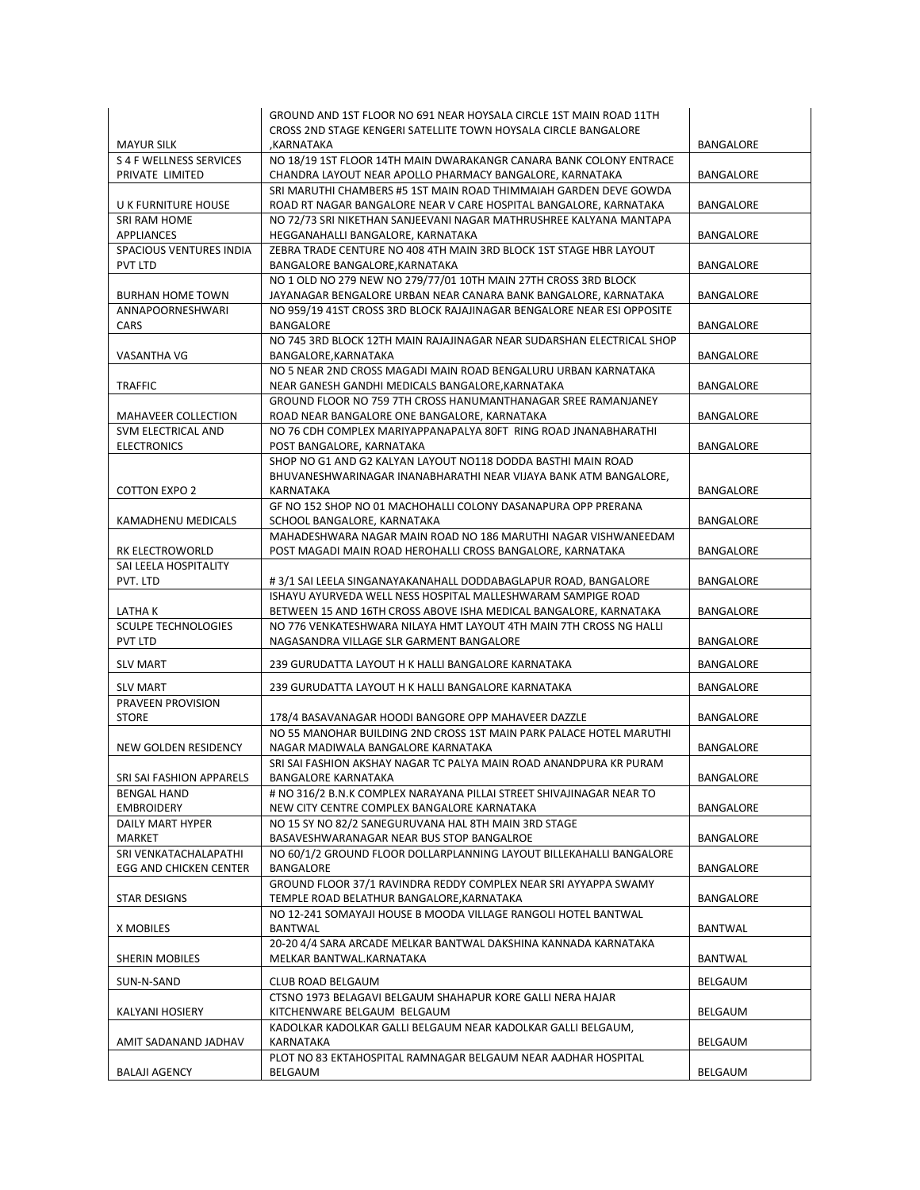| <b>MAYUR SILK</b>                     | GROUND AND 1ST FLOOR NO 691 NEAR HOYSALA CIRCLE 1ST MAIN ROAD 11TH<br>CROSS 2ND STAGE KENGERI SATELLITE TOWN HOYSALA CIRCLE BANGALORE<br>,KARNATAKA | BANGALORE        |
|---------------------------------------|-----------------------------------------------------------------------------------------------------------------------------------------------------|------------------|
| S 4 F WELLNESS SERVICES               | NO 18/19 1ST FLOOR 14TH MAIN DWARAKANGR CANARA BANK COLONY ENTRACE                                                                                  |                  |
| PRIVATE LIMITED                       | CHANDRA LAYOUT NEAR APOLLO PHARMACY BANGALORE, KARNATAKA                                                                                            | BANGALORE        |
| U K FURNITURE HOUSE                   | SRI MARUTHI CHAMBERS #5 1ST MAIN ROAD THIMMAIAH GARDEN DEVE GOWDA<br>ROAD RT NAGAR BANGALORE NEAR V CARE HOSPITAL BANGALORE, KARNATAKA              | BANGALORE        |
| <b>SRI RAM HOME</b>                   | NO 72/73 SRI NIKETHAN SANJEEVANI NAGAR MATHRUSHREE KALYANA MANTAPA                                                                                  |                  |
| APPLIANCES                            | HEGGANAHALLI BANGALORE, KARNATAKA                                                                                                                   | BANGALORE        |
| SPACIOUS VENTURES INDIA<br>PVT LTD    | ZEBRA TRADE CENTURE NO 408 4TH MAIN 3RD BLOCK 1ST STAGE HBR LAYOUT<br>BANGALORE BANGALORE, KARNATAKA                                                | BANGALORE        |
| <b>BURHAN HOME TOWN</b>               | NO 1 OLD NO 279 NEW NO 279/77/01 10TH MAIN 27TH CROSS 3RD BLOCK<br>JAYANAGAR BENGALORE URBAN NEAR CANARA BANK BANGALORE, KARNATAKA                  | BANGALORE        |
| ANNAPOORNESHWARI                      | NO 959/19 41ST CROSS 3RD BLOCK RAJAJINAGAR BENGALORE NEAR ESI OPPOSITE                                                                              |                  |
| CARS                                  | BANGALORE<br>NO 745 3RD BLOCK 12TH MAIN RAJAJINAGAR NEAR SUDARSHAN ELECTRICAL SHOP                                                                  | BANGALORE        |
| VASANTHA VG                           | BANGALORE, KARNATAKA                                                                                                                                | BANGALORE        |
|                                       | NO 5 NEAR 2ND CROSS MAGADI MAIN ROAD BENGALURU URBAN KARNATAKA                                                                                      |                  |
| <b>TRAFFIC</b>                        | NEAR GANESH GANDHI MEDICALS BANGALORE, KARNATAKA<br>GROUND FLOOR NO 759 7TH CROSS HANUMANTHANAGAR SREE RAMANJANEY                                   | BANGALORE        |
| MAHAVEER COLLECTION                   | ROAD NEAR BANGALORE ONE BANGALORE, KARNATAKA                                                                                                        | BANGALORE        |
| SVM ELECTRICAL AND                    | NO 76 CDH COMPLEX MARIYAPPANAPALYA 80FT RING ROAD JNANABHARATHI                                                                                     |                  |
| <b>ELECTRONICS</b>                    | POST BANGALORE, KARNATAKA<br>SHOP NO G1 AND G2 KALYAN LAYOUT NO118 DODDA BASTHI MAIN ROAD                                                           | BANGALORE        |
| <b>COTTON EXPO 2</b>                  | BHUVANESHWARINAGAR INANABHARATHI NEAR VIJAYA BANK ATM BANGALORE,<br>KARNATAKA                                                                       | BANGALORE        |
|                                       | GF NO 152 SHOP NO 01 MACHOHALLI COLONY DASANAPURA OPP PRERANA                                                                                       |                  |
| <b>KAMADHENU MEDICALS</b>             | SCHOOL BANGALORE, KARNATAKA                                                                                                                         | <b>BANGALORE</b> |
| RK ELECTROWORLD                       | MAHADESHWARA NAGAR MAIN ROAD NO 186 MARUTHI NAGAR VISHWANEEDAM<br>POST MAGADI MAIN ROAD HEROHALLI CROSS BANGALORE, KARNATAKA                        | BANGALORE        |
| SAI LEELA HOSPITALITY                 |                                                                                                                                                     |                  |
| PVT. LTD                              | #3/1 SAI LEELA SINGANAYAKANAHALL DODDABAGLAPUR ROAD, BANGALORE                                                                                      | BANGALORE        |
|                                       | ISHAYU AYURVEDA WELL NESS HOSPITAL MALLESHWARAM SAMPIGE ROAD                                                                                        |                  |
| LATHA K<br><b>SCULPE TECHNOLOGIES</b> | BETWEEN 15 AND 16TH CROSS ABOVE ISHA MEDICAL BANGALORE, KARNATAKA<br>NO 776 VENKATESHWARA NILAYA HMT LAYOUT 4TH MAIN 7TH CROSS NG HALLI             | BANGALORE        |
| PVT LTD                               | NAGASANDRA VILLAGE SLR GARMENT BANGALORE                                                                                                            | BANGALORE        |
| <b>SLV MART</b>                       | 239 GURUDATTA LAYOUT H K HALLI BANGALORE KARNATAKA                                                                                                  | BANGALORE        |
| <b>SLV MART</b>                       | 239 GURUDATTA LAYOUT H K HALLI BANGALORE KARNATAKA                                                                                                  | <b>BANGALORE</b> |
| <b>PRAVEEN PROVISION</b>              |                                                                                                                                                     |                  |
| <b>STORE</b>                          | 178/4 BASAVANAGAR HOODI BANGORE OPP MAHAVEER DAZZLE                                                                                                 | BANGALORE        |
| NEW GOLDEN RESIDENCY                  | NO 55 MANOHAR BUILDING 2ND CROSS 1ST MAIN PARK PALACE HOTEL MARUTHI<br>NAGAR MADIWALA BANGALORE KARNATAKA                                           | BANGALORE        |
|                                       | SRI SAI FASHION AKSHAY NAGAR TC PALYA MAIN ROAD ANANDPURA KR PURAM                                                                                  |                  |
| SRI SAI FASHION APPARELS              | BANGALORE KARNATAKA                                                                                                                                 | BANGALORE        |
| <b>BENGAL HAND</b>                    | # NO 316/2 B.N.K COMPLEX NARAYANA PILLAI STREET SHIVAJINAGAR NEAR TO                                                                                |                  |
| <b>EMBROIDERY</b>                     | NEW CITY CENTRE COMPLEX BANGALORE KARNATAKA                                                                                                         | BANGALORE        |
| DAILY MART HYPER                      | NO 15 SY NO 82/2 SANEGURUVANA HAL 8TH MAIN 3RD STAGE                                                                                                |                  |
| MARKET<br>SRI VENKATACHALAPATHI       | BASAVESHWARANAGAR NEAR BUS STOP BANGALROE<br>NO 60/1/2 GROUND FLOOR DOLLARPLANNING LAYOUT BILLEKAHALLI BANGALORE                                    | BANGALORE        |
| EGG AND CHICKEN CENTER                | BANGALORE                                                                                                                                           | BANGALORE        |
| STAR DESIGNS                          | GROUND FLOOR 37/1 RAVINDRA REDDY COMPLEX NEAR SRI AYYAPPA SWAMY<br>TEMPLE ROAD BELATHUR BANGALORE, KARNATAKA                                        | BANGALORE        |
|                                       | NO 12-241 SOMAYAJI HOUSE B MOODA VILLAGE RANGOLI HOTEL BANTWAL                                                                                      |                  |
| X MOBILES                             | BANTWAL                                                                                                                                             | <b>BANTWAL</b>   |
| SHERIN MOBILES                        | 20-20 4/4 SARA ARCADE MELKAR BANTWAL DAKSHINA KANNADA KARNATAKA<br>MELKAR BANTWAL.KARNATAKA                                                         | <b>BANTWAL</b>   |
| SUN-N-SAND                            | CLUB ROAD BELGAUM                                                                                                                                   | BELGAUM          |
|                                       | CTSNO 1973 BELAGAVI BELGAUM SHAHAPUR KORE GALLI NERA HAJAR                                                                                          |                  |
| KALYANI HOSIERY                       | KITCHENWARE BELGAUM BELGAUM                                                                                                                         | BELGAUM          |
|                                       | KADOLKAR KADOLKAR GALLI BELGAUM NEAR KADOLKAR GALLI BELGAUM,<br>KARNATAKA                                                                           | BELGAUM          |
| AMIT SADANAND JADHAV                  | PLOT NO 83 EKTAHOSPITAL RAMNAGAR BELGAUM NEAR AADHAR HOSPITAL                                                                                       |                  |
| <b>BALAJI AGENCY</b>                  | BELGAUM                                                                                                                                             | BELGAUM          |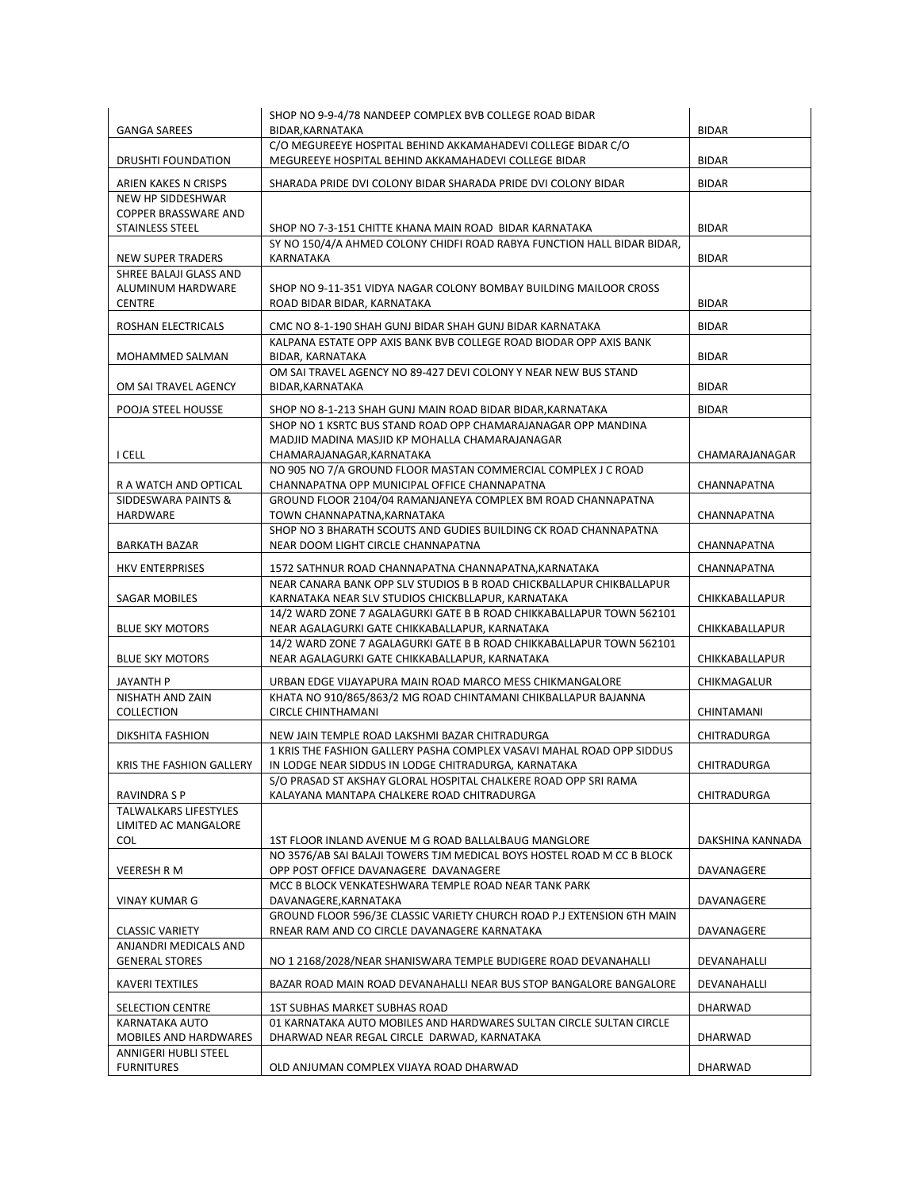|                                                 | SHOP NO 9-9-4/78 NANDEEP COMPLEX BVB COLLEGE ROAD BIDAR                                                                           |                  |
|-------------------------------------------------|-----------------------------------------------------------------------------------------------------------------------------------|------------------|
| <b>GANGA SAREES</b>                             | BIDAR, KARNATAKA                                                                                                                  | <b>BIDAR</b>     |
| DRUSHTI FOUNDATION                              | C/O MEGUREEYE HOSPITAL BEHIND AKKAMAHADEVI COLLEGE BIDAR C/O<br>MEGUREEYE HOSPITAL BEHIND AKKAMAHADEVI COLLEGE BIDAR              | <b>BIDAR</b>     |
| ARIEN KAKES N CRISPS                            | SHARADA PRIDE DVI COLONY BIDAR SHARADA PRIDE DVI COLONY BIDAR                                                                     | <b>BIDAR</b>     |
| NEW HP SIDDESHWAR                               |                                                                                                                                   |                  |
| COPPER BRASSWARE AND                            |                                                                                                                                   |                  |
| <b>STAINLESS STEEL</b>                          | SHOP NO 7-3-151 CHITTE KHANA MAIN ROAD BIDAR KARNATAKA<br>SY NO 150/4/A AHMED COLONY CHIDFI ROAD RABYA FUNCTION HALL BIDAR BIDAR, | <b>BIDAR</b>     |
| <b>NEW SUPER TRADERS</b>                        | KARNATAKA                                                                                                                         | <b>BIDAR</b>     |
| SHREE BALAJI GLASS AND                          |                                                                                                                                   |                  |
| ALUMINUM HARDWARE<br><b>CENTRE</b>              | SHOP NO 9-11-351 VIDYA NAGAR COLONY BOMBAY BUILDING MAILOOR CROSS<br>ROAD BIDAR BIDAR, KARNATAKA                                  | <b>BIDAR</b>     |
| ROSHAN ELECTRICALS                              | CMC NO 8-1-190 SHAH GUNJ BIDAR SHAH GUNJ BIDAR KARNATAKA                                                                          | <b>BIDAR</b>     |
|                                                 | KALPANA ESTATE OPP AXIS BANK BVB COLLEGE ROAD BIODAR OPP AXIS BANK                                                                |                  |
| MOHAMMED SALMAN                                 | BIDAR, KARNATAKA                                                                                                                  | <b>BIDAR</b>     |
| OM SAI TRAVEL AGENCY                            | OM SAI TRAVEL AGENCY NO 89-427 DEVI COLONY Y NEAR NEW BUS STAND<br>BIDAR, KARNATAKA                                               | <b>BIDAR</b>     |
| POOJA STEEL HOUSSE                              | SHOP NO 8-1-213 SHAH GUNJ MAIN ROAD BIDAR BIDAR, KARNATAKA                                                                        | <b>BIDAR</b>     |
|                                                 | SHOP NO 1 KSRTC BUS STAND ROAD OPP CHAMARAJANAGAR OPP MANDINA                                                                     |                  |
|                                                 | MADJID MADINA MASJID KP MOHALLA CHAMARAJANAGAR                                                                                    |                  |
| I CELL                                          | CHAMARAJANAGAR, KARNATAKA<br>NO 905 NO 7/A GROUND FLOOR MASTAN COMMERCIAL COMPLEX J C ROAD                                        | CHAMARAJANAGAR   |
| R A WATCH AND OPTICAL                           | CHANNAPATNA OPP MUNICIPAL OFFICE CHANNAPATNA                                                                                      | CHANNAPATNA      |
| SIDDESWARA PAINTS &                             | GROUND FLOOR 2104/04 RAMANJANEYA COMPLEX BM ROAD CHANNAPATNA                                                                      |                  |
| HARDWARE                                        | TOWN CHANNAPATNA, KARNATAKA                                                                                                       | CHANNAPATNA      |
| <b>BARKATH BAZAR</b>                            | SHOP NO 3 BHARATH SCOUTS AND GUDIES BUILDING CK ROAD CHANNAPATNA<br>NEAR DOOM LIGHT CIRCLE CHANNAPATNA                            | CHANNAPATNA      |
| <b>HKV ENTERPRISES</b>                          | 1572 SATHNUR ROAD CHANNAPATNA CHANNAPATNA, KARNATAKA                                                                              | CHANNAPATNA      |
|                                                 | NEAR CANARA BANK OPP SLV STUDIOS B B ROAD CHICKBALLAPUR CHIKBALLAPUR                                                              |                  |
| <b>SAGAR MOBILES</b>                            | KARNATAKA NEAR SLV STUDIOS CHICKBLLAPUR, KARNATAKA                                                                                | CHIKKABALLAPUR   |
| <b>BLUE SKY MOTORS</b>                          | 14/2 WARD ZONE 7 AGALAGURKI GATE B B ROAD CHIKKABALLAPUR TOWN 562101<br>NEAR AGALAGURKI GATE CHIKKABALLAPUR, KARNATAKA            | CHIKKABALLAPUR   |
|                                                 | 14/2 WARD ZONE 7 AGALAGURKI GATE B B ROAD CHIKKABALLAPUR TOWN 562101                                                              |                  |
| <b>BLUE SKY MOTORS</b>                          | NEAR AGALAGURKI GATE CHIKKABALLAPUR, KARNATAKA                                                                                    | CHIKKABALLAPUR   |
| JAYANTH P                                       | URBAN EDGE VIJAYAPURA MAIN ROAD MARCO MESS CHIKMANGALORE                                                                          | CHIKMAGALUR      |
| NISHATH AND ZAIN                                | KHATA NO 910/865/863/2 MG ROAD CHINTAMANI CHIKBALLAPUR BAJANNA                                                                    |                  |
| COLLECTION                                      | <b>CIRCLE CHINTHAMANI</b>                                                                                                         | CHINTAMANI       |
| DIKSHITA FASHION                                | NEW JAIN TEMPLE ROAD LAKSHMI BAZAR CHITRADURGA                                                                                    | CHITRADURGA      |
|                                                 | 1 KRIS THE FASHION GALLERY PASHA COMPLEX VASAVI MAHAL ROAD OPP SIDDUS                                                             |                  |
| KRIS THE FASHION GALLERY                        | IN LODGE NEAR SIDDUS IN LODGE CHITRADURGA, KARNATAKA                                                                              | CHITRADURGA      |
| RAVINDRA S P                                    | S/O PRASAD ST AKSHAY GLORAL HOSPITAL CHALKERE ROAD OPP SRI RAMA<br>KALAYANA MANTAPA CHALKERE ROAD CHITRADURGA                     | CHITRADURGA      |
| <b>TALWALKARS LIFESTYLES</b>                    |                                                                                                                                   |                  |
| LIMITED AC MANGALORE                            |                                                                                                                                   |                  |
| COL.                                            | 1ST FLOOR INLAND AVENUE M G ROAD BALLALBAUG MANGLORE                                                                              | DAKSHINA KANNADA |
| VEERESH R M                                     | NO 3576/AB SAI BALAJI TOWERS TJM MEDICAL BOYS HOSTEL ROAD M CC B BLOCK<br>OPP POST OFFICE DAVANAGERE DAVANAGERE                   | DAVANAGERE       |
|                                                 | MCC B BLOCK VENKATESHWARA TEMPLE ROAD NEAR TANK PARK                                                                              |                  |
| VINAY KUMAR G                                   | DAVANAGERE, KARNATAKA                                                                                                             | DAVANAGERE       |
|                                                 | GROUND FLOOR 596/3E CLASSIC VARIETY CHURCH ROAD P.J EXTENSION 6TH MAIN                                                            |                  |
| <b>CLASSIC VARIETY</b><br>ANJANDRI MEDICALS AND | RNEAR RAM AND CO CIRCLE DAVANAGERE KARNATAKA                                                                                      | DAVANAGERE       |
| <b>GENERAL STORES</b>                           | NO 1 2168/2028/NEAR SHANISWARA TEMPLE BUDIGERE ROAD DEVANAHALLI                                                                   | DEVANAHALLI      |
| <b>KAVERI TEXTILES</b>                          | BAZAR ROAD MAIN ROAD DEVANAHALLI NEAR BUS STOP BANGALORE BANGALORE                                                                | DEVANAHALLI      |
| SELECTION CENTRE                                | <b>1ST SUBHAS MARKET SUBHAS ROAD</b>                                                                                              | DHARWAD          |
| KARNATAKA AUTO                                  | 01 KARNATAKA AUTO MOBILES AND HARDWARES SULTAN CIRCLE SULTAN CIRCLE                                                               |                  |
| MOBILES AND HARDWARES                           | DHARWAD NEAR REGAL CIRCLE DARWAD, KARNATAKA                                                                                       | <b>DHARWAD</b>   |
| ANNIGERI HUBLI STEEL                            |                                                                                                                                   |                  |
| <b>FURNITURES</b>                               | OLD ANJUMAN COMPLEX VIJAYA ROAD DHARWAD                                                                                           | DHARWAD          |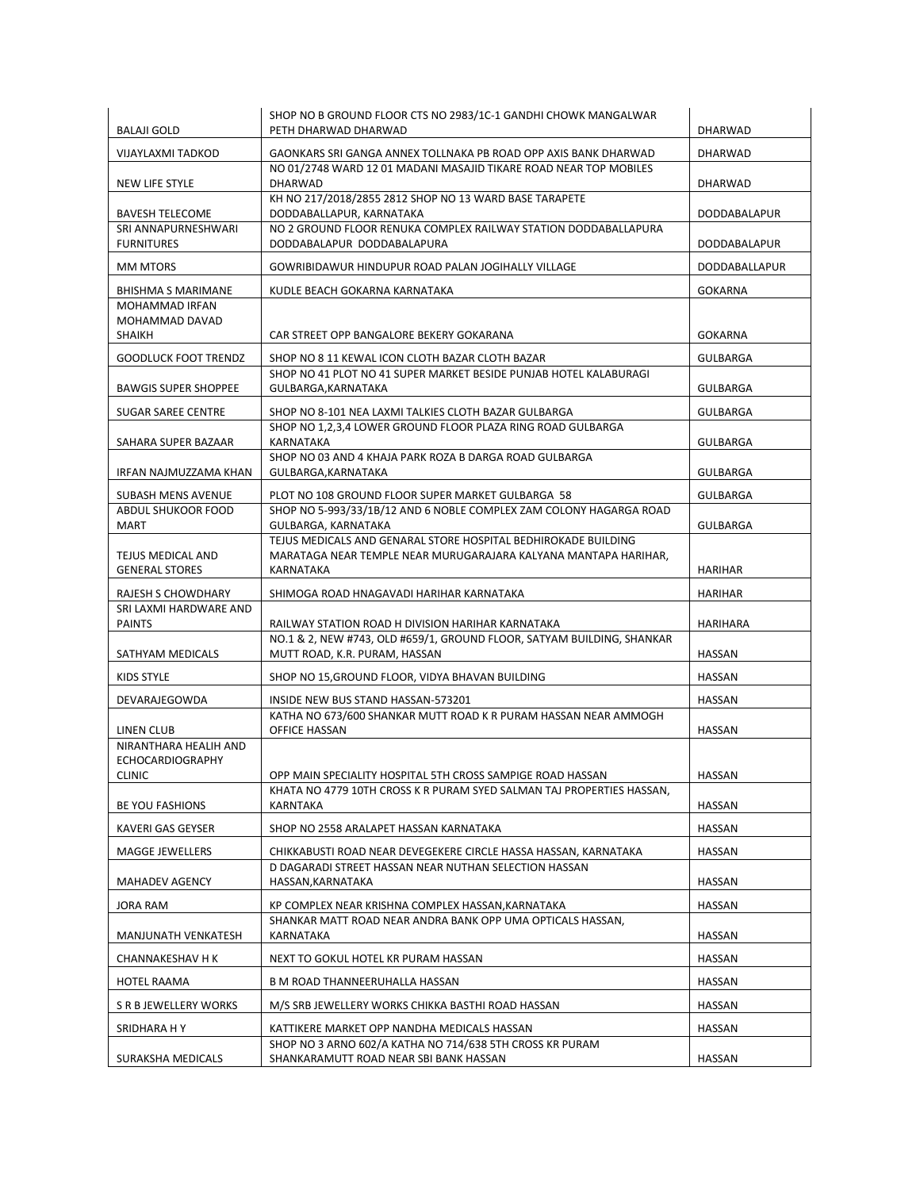| <b>BALAJI GOLD</b>                         | SHOP NO B GROUND FLOOR CTS NO 2983/1C-1 GANDHI CHOWK MANGALWAR<br>PETH DHARWAD DHARWAD                          | DHARWAD              |
|--------------------------------------------|-----------------------------------------------------------------------------------------------------------------|----------------------|
| <b>VIJAYLAXMI TADKOD</b>                   | GAONKARS SRI GANGA ANNEX TOLLNAKA PB ROAD OPP AXIS BANK DHARWAD                                                 | DHARWAD              |
| NEW LIFE STYLE                             | NO 01/2748 WARD 12 01 MADANI MASAJID TIKARE ROAD NEAR TOP MOBILES<br><b>DHARWAD</b>                             | DHARWAD              |
| <b>BAVESH TELECOME</b>                     | KH NO 217/2018/2855 2812 SHOP NO 13 WARD BASE TARAPETE<br>DODDABALLAPUR, KARNATAKA                              | DODDABALAPUR         |
| SRI ANNAPURNESHWARI<br><b>FURNITURES</b>   | NO 2 GROUND FLOOR RENUKA COMPLEX RAILWAY STATION DODDABALLAPURA<br>DODDABALAPUR DODDABALAPURA                   | DODDABALAPUR         |
| <b>MM MTORS</b>                            | GOWRIBIDAWUR HINDUPUR ROAD PALAN JOGIHALLY VILLAGE                                                              | <b>DODDABALLAPUR</b> |
| <b>BHISHMA S MARIMANE</b>                  | KUDLE BEACH GOKARNA KARNATAKA                                                                                   | <b>GOKARNA</b>       |
| MOHAMMAD IRFAN                             |                                                                                                                 |                      |
| MOHAMMAD DAVAD<br>SHAIKH                   | CAR STREET OPP BANGALORE BEKERY GOKARANA                                                                        | <b>GOKARNA</b>       |
| <b>GOODLUCK FOOT TRENDZ</b>                | SHOP NO 8 11 KEWAL ICON CLOTH BAZAR CLOTH BAZAR                                                                 | <b>GULBARGA</b>      |
| <b>BAWGIS SUPER SHOPPEE</b>                | SHOP NO 41 PLOT NO 41 SUPER MARKET BESIDE PUNJAB HOTEL KALABURAGI<br>GULBARGA, KARNATAKA                        | GULBARGA             |
| <b>SUGAR SAREE CENTRE</b>                  | SHOP NO 8-101 NEA LAXMI TALKIES CLOTH BAZAR GULBARGA                                                            | GULBARGA             |
|                                            | SHOP NO 1,2,3,4 LOWER GROUND FLOOR PLAZA RING ROAD GULBARGA                                                     |                      |
| SAHARA SUPER BAZAAR                        | KARNATAKA<br>SHOP NO 03 AND 4 KHAJA PARK ROZA B DARGA ROAD GULBARGA                                             | <b>GULBARGA</b>      |
| IRFAN NAJMUZZAMA KHAN                      | GULBARGA, KARNATAKA                                                                                             | <b>GULBARGA</b>      |
| SUBASH MENS AVENUE                         | PLOT NO 108 GROUND FLOOR SUPER MARKET GULBARGA 58                                                               | <b>GULBARGA</b>      |
| ABDUL SHUKOOR FOOD                         | SHOP NO 5-993/33/1B/12 AND 6 NOBLE COMPLEX ZAM COLONY HAGARGA ROAD                                              |                      |
| MART                                       | GULBARGA, KARNATAKA<br>TEJUS MEDICALS AND GENARAL STORE HOSPITAL BEDHIROKADE BUILDING                           | <b>GULBARGA</b>      |
| TEJUS MEDICAL AND<br><b>GENERAL STORES</b> | MARATAGA NEAR TEMPLE NEAR MURUGARAJARA KALYANA MANTAPA HARIHAR,<br>KARNATAKA                                    | <b>HARIHAR</b>       |
| RAJESH S CHOWDHARY                         | SHIMOGA ROAD HNAGAVADI HARIHAR KARNATAKA                                                                        | <b>HARIHAR</b>       |
| SRI LAXMI HARDWARE AND<br><b>PAINTS</b>    | RAILWAY STATION ROAD H DIVISION HARIHAR KARNATAKA                                                               | HARIHARA             |
| SATHYAM MEDICALS                           | NO.1 & 2, NEW #743, OLD #659/1, GROUND FLOOR, SATYAM BUILDING, SHANKAR<br>MUTT ROAD, K.R. PURAM, HASSAN         | <b>HASSAN</b>        |
| KIDS STYLE                                 | SHOP NO 15, GROUND FLOOR, VIDYA BHAVAN BUILDING                                                                 | HASSAN               |
| DEVARAJEGOWDA                              | INSIDE NEW BUS STAND HASSAN-573201                                                                              | HASSAN               |
| LINEN CLUB                                 | KATHA NO 673/600 SHANKAR MUTT ROAD K R PURAM HASSAN NEAR AMMOGH<br>OFFICE HASSAN                                | HASSAN               |
| NIRANTHARA HEALIH AND                      |                                                                                                                 |                      |
| <b>ECHOCARDIOGRAPHY</b><br><b>CLINIC</b>   | OPP MAIN SPECIALITY HOSPITAL 5TH CROSS SAMPIGE ROAD HASSAN                                                      | HASSAN               |
| BE YOU FASHIONS                            | KHATA NO 4779 10TH CROSS K R PURAM SYED SALMAN TAJ PROPERTIES HASSAN,<br>KARNTAKA                               | HASSAN               |
| KAVERI GAS GEYSER                          | SHOP NO 2558 ARALAPET HASSAN KARNATAKA                                                                          | <b>HASSAN</b>        |
| MAGGE JEWELLERS                            | CHIKKABUSTI ROAD NEAR DEVEGEKERE CIRCLE HASSA HASSAN, KARNATAKA                                                 | HASSAN               |
|                                            | D DAGARADI STREET HASSAN NEAR NUTHAN SELECTION HASSAN                                                           |                      |
| MAHADEV AGENCY                             | HASSAN, KARNATAKA                                                                                               | HASSAN               |
| JORA RAM                                   | KP COMPLEX NEAR KRISHNA COMPLEX HASSAN, KARNATAKA<br>SHANKAR MATT ROAD NEAR ANDRA BANK OPP UMA OPTICALS HASSAN, | HASSAN               |
| MANJUNATH VENKATESH                        | KARNATAKA                                                                                                       | HASSAN               |
| CHANNAKESHAV H K                           | NEXT TO GOKUL HOTEL KR PURAM HASSAN                                                                             | HASSAN               |
| HOTEL RAAMA                                | B M ROAD THANNEERUHALLA HASSAN                                                                                  | HASSAN               |
| S R B JEWELLERY WORKS                      | M/S SRB JEWELLERY WORKS CHIKKA BASTHI ROAD HASSAN                                                               | HASSAN               |
| SRIDHARA H Y                               | KATTIKERE MARKET OPP NANDHA MEDICALS HASSAN                                                                     | HASSAN               |
|                                            | SHOP NO 3 ARNO 602/A KATHA NO 714/638 5TH CROSS KR PURAM                                                        |                      |
| SURAKSHA MEDICALS                          | SHANKARAMUTT ROAD NEAR SBI BANK HASSAN                                                                          | HASSAN               |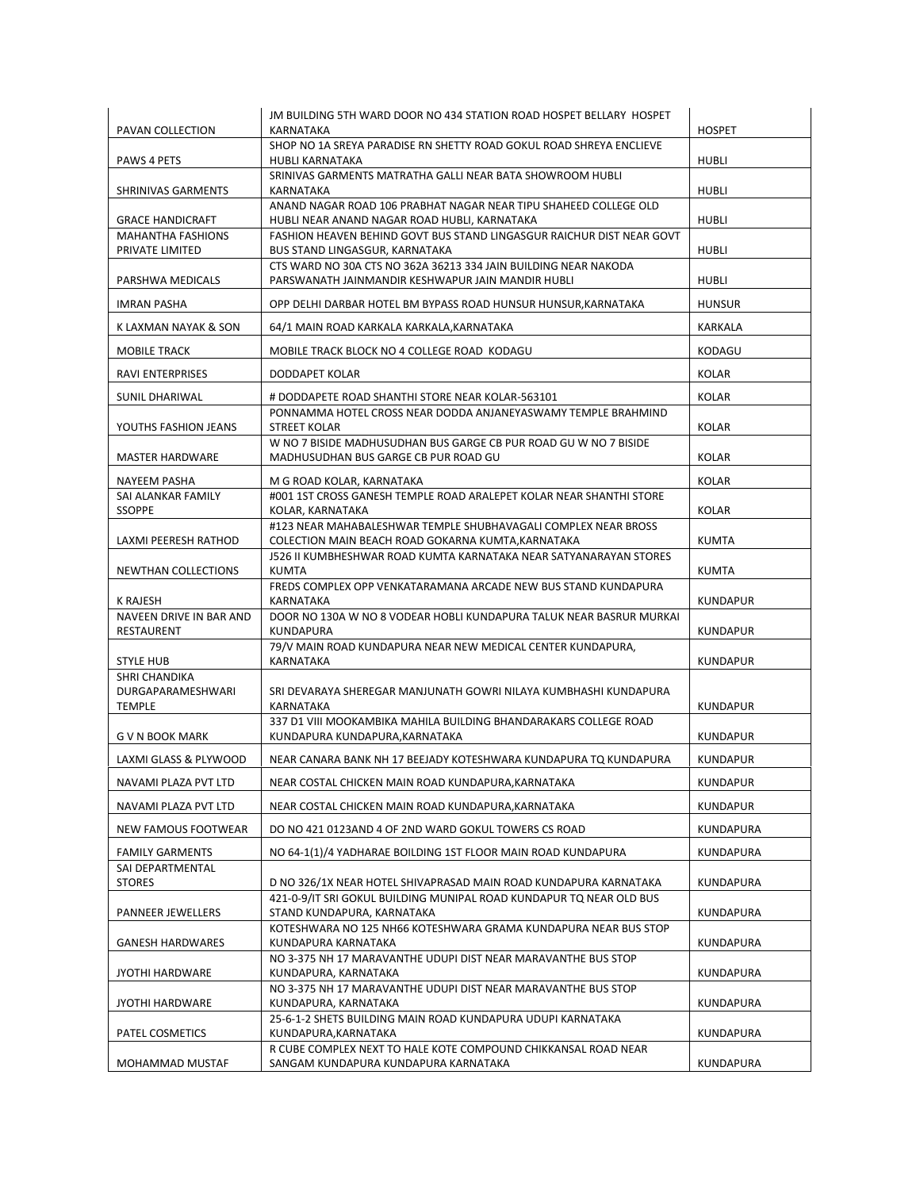| PAVAN COLLECTION                            | JM BUILDING 5TH WARD DOOR NO 434 STATION ROAD HOSPET BELLARY HOSPET<br><b>KARNATAKA</b>                              | <b>HOSPET</b>   |
|---------------------------------------------|----------------------------------------------------------------------------------------------------------------------|-----------------|
|                                             | SHOP NO 1A SREYA PARADISE RN SHETTY ROAD GOKUL ROAD SHREYA ENCLIEVE                                                  |                 |
| PAWS 4 PETS                                 | HUBLI KARNATAKA                                                                                                      | <b>HUBLI</b>    |
| <b>SHRINIVAS GARMENTS</b>                   | SRINIVAS GARMENTS MATRATHA GALLI NEAR BATA SHOWROOM HUBLI<br>KARNATAKA                                               | <b>HUBLI</b>    |
|                                             | ANAND NAGAR ROAD 106 PRABHAT NAGAR NEAR TIPU SHAHEED COLLEGE OLD                                                     |                 |
| <b>GRACE HANDICRAFT</b>                     | HUBLI NEAR ANAND NAGAR ROAD HUBLI, KARNATAKA                                                                         | <b>HUBLI</b>    |
| <b>MAHANTHA FASHIONS</b><br>PRIVATE LIMITED | FASHION HEAVEN BEHIND GOVT BUS STAND LINGASGUR RAICHUR DIST NEAR GOVT<br>BUS STAND LINGASGUR, KARNATAKA              | HUBLI           |
| PARSHWA MEDICALS                            | CTS WARD NO 30A CTS NO 362A 36213 334 JAIN BUILDING NEAR NAKODA<br>PARSWANATH JAINMANDIR KESHWAPUR JAIN MANDIR HUBLI | <b>HUBLI</b>    |
| <b>IMRAN PASHA</b>                          | OPP DELHI DARBAR HOTEL BM BYPASS ROAD HUNSUR HUNSUR, KARNATAKA                                                       | <b>HUNSUR</b>   |
| K LAXMAN NAYAK & SON                        | 64/1 MAIN ROAD KARKALA KARKALA, KARNATAKA                                                                            | KARKALA         |
| <b>MOBILE TRACK</b>                         | MOBILE TRACK BLOCK NO 4 COLLEGE ROAD KODAGU                                                                          | KODAGU          |
| <b>RAVI ENTERPRISES</b>                     | DODDAPET KOLAR                                                                                                       | <b>KOLAR</b>    |
| SUNIL DHARIWAL                              | # DODDAPETE ROAD SHANTHI STORE NEAR KOLAR-563101                                                                     | <b>KOLAR</b>    |
|                                             | PONNAMMA HOTEL CROSS NEAR DODDA ANJANEYASWAMY TEMPLE BRAHMIND                                                        |                 |
| YOUTHS FASHION JEANS                        | STREET KOLAR                                                                                                         | <b>KOLAR</b>    |
| <b>MASTER HARDWARE</b>                      | W NO 7 BISIDE MADHUSUDHAN BUS GARGE CB PUR ROAD GU W NO 7 BISIDE<br>MADHUSUDHAN BUS GARGE CB PUR ROAD GU             | KOLAR           |
| NAYEEM PASHA                                | M G ROAD KOLAR, KARNATAKA                                                                                            | KOLAR           |
| SAI ALANKAR FAMILY                          | #001 1ST CROSS GANESH TEMPLE ROAD ARALEPET KOLAR NEAR SHANTHI STORE                                                  |                 |
| <b>SSOPPE</b>                               | KOLAR, KARNATAKA                                                                                                     | <b>KOLAR</b>    |
| LAXMI PEERESH RATHOD                        | #123 NEAR MAHABALESHWAR TEMPLE SHUBHAVAGALI COMPLEX NEAR BROSS<br>COLECTION MAIN BEACH ROAD GOKARNA KUMTA, KARNATAKA | <b>KUMTA</b>    |
| NEWTHAN COLLECTIONS                         | J526 II KUMBHESHWAR ROAD KUMTA KARNATAKA NEAR SATYANARAYAN STORES<br><b>KUMTA</b>                                    | <b>KUMTA</b>    |
|                                             | FREDS COMPLEX OPP VENKATARAMANA ARCADE NEW BUS STAND KUNDAPURA                                                       |                 |
| K RAJESH                                    | KARNATAKA                                                                                                            | <b>KUNDAPUR</b> |
| NAVEEN DRIVE IN BAR AND<br>RESTAURENT       | DOOR NO 130A W NO 8 VODEAR HOBLI KUNDAPURA TALUK NEAR BASRUR MURKAI<br>KUNDAPURA                                     | <b>KUNDAPUR</b> |
|                                             | 79/V MAIN ROAD KUNDAPURA NEAR NEW MEDICAL CENTER KUNDAPURA,                                                          |                 |
| <b>STYLE HUB</b><br>SHRI CHANDIKA           | KARNATAKA                                                                                                            | <b>KUNDAPUR</b> |
| DURGAPARAMESHWARI                           | SRI DEVARAYA SHEREGAR MANJUNATH GOWRI NILAYA KUMBHASHI KUNDAPURA                                                     |                 |
| <b>TEMPLE</b>                               | KARNATAKA                                                                                                            | <b>KUNDAPUR</b> |
| G V N BOOK MARK                             | 337 D1 VIII MOOKAMBIKA MAHILA BUILDING BHANDARAKARS COLLEGE ROAD<br>KUNDAPURA KUNDAPURA, KARNATAKA                   | <b>KUNDAPUR</b> |
| LAXMI GLASS & PLYWOOD                       | NEAR CANARA BANK NH 17 BEEJADY KOTESHWARA KUNDAPURA TO KUNDAPURA                                                     | <b>KUNDAPUR</b> |
| NAVAMI PLAZA PVT LTD                        | NEAR COSTAL CHICKEN MAIN ROAD KUNDAPURA, KARNATAKA                                                                   | <b>KUNDAPUR</b> |
| NAVAMI PLAZA PVT LTD                        | NEAR COSTAL CHICKEN MAIN ROAD KUNDAPURA, KARNATAKA                                                                   | <b>KUNDAPUR</b> |
| NEW FAMOUS FOOTWEAR                         | DO NO 421 0123AND 4 OF 2ND WARD GOKUL TOWERS CS ROAD                                                                 | KUNDAPURA       |
|                                             |                                                                                                                      |                 |
| <b>FAMILY GARMENTS</b><br>SAI DEPARTMENTAL  | NO 64-1(1)/4 YADHARAE BOILDING 1ST FLOOR MAIN ROAD KUNDAPURA                                                         | KUNDAPURA       |
| <b>STORES</b>                               | D NO 326/1X NEAR HOTEL SHIVAPRASAD MAIN ROAD KUNDAPURA KARNATAKA                                                     | KUNDAPURA       |
|                                             | 421-0-9/IT SRI GOKUL BUILDING MUNIPAL ROAD KUNDAPUR TO NEAR OLD BUS                                                  |                 |
| PANNEER JEWELLERS                           | STAND KUNDAPURA, KARNATAKA<br>KOTESHWARA NO 125 NH66 KOTESHWARA GRAMA KUNDAPURA NEAR BUS STOP                        | KUNDAPURA       |
| <b>GANESH HARDWARES</b>                     | KUNDAPURA KARNATAKA                                                                                                  | KUNDAPURA       |
| <b>JYOTHI HARDWARE</b>                      | NO 3-375 NH 17 MARAVANTHE UDUPI DIST NEAR MARAVANTHE BUS STOP<br>KUNDAPURA, KARNATAKA                                | KUNDAPURA       |
|                                             | NO 3-375 NH 17 MARAVANTHE UDUPI DIST NEAR MARAVANTHE BUS STOP                                                        |                 |
| <b>JYOTHI HARDWARE</b>                      | KUNDAPURA, KARNATAKA                                                                                                 | KUNDAPURA       |
| PATEL COSMETICS                             | 25-6-1-2 SHETS BUILDING MAIN ROAD KUNDAPURA UDUPI KARNATAKA<br>KUNDAPURA, KARNATAKA                                  | KUNDAPURA       |
|                                             | R CUBE COMPLEX NEXT TO HALE KOTE COMPOUND CHIKKANSAL ROAD NEAR                                                       |                 |
| MOHAMMAD MUSTAF                             | SANGAM KUNDAPURA KUNDAPURA KARNATAKA                                                                                 | KUNDAPURA       |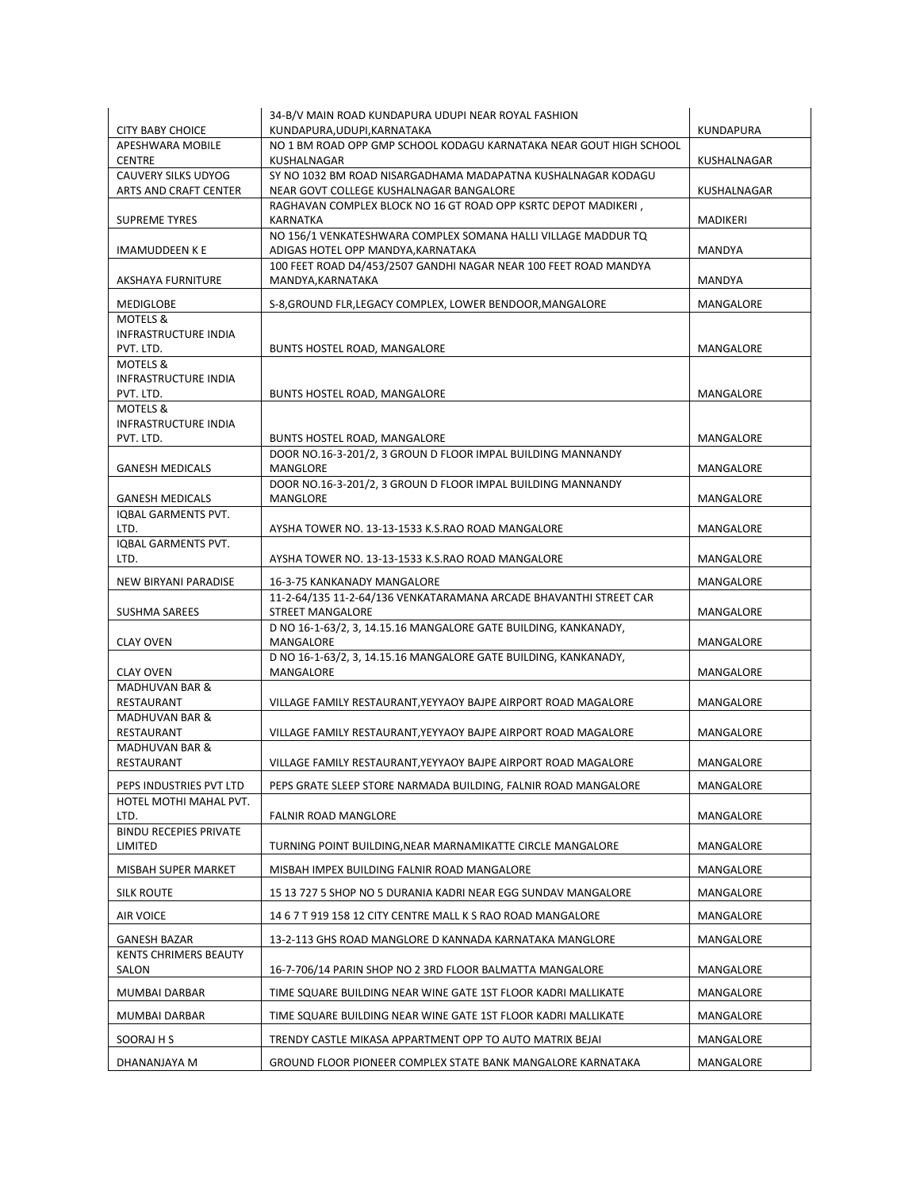|                                                      | 34-B/V MAIN ROAD KUNDAPURA UDUPI NEAR ROYAL FASHION                                                 |                  |
|------------------------------------------------------|-----------------------------------------------------------------------------------------------------|------------------|
| <b>CITY BABY CHOICE</b>                              | KUNDAPURA, UDUPI, KARNATAKA                                                                         | KUNDAPURA        |
| APESHWARA MOBILE<br><b>CENTRE</b>                    | NO 1 BM ROAD OPP GMP SCHOOL KODAGU KARNATAKA NEAR GOUT HIGH SCHOOL<br>KUSHALNAGAR                   | KUSHALNAGAR      |
| CAUVERY SILKS UDYOG                                  | SY NO 1032 BM ROAD NISARGADHAMA MADAPATNA KUSHALNAGAR KODAGU                                        |                  |
| ARTS AND CRAFT CENTER                                | NEAR GOVT COLLEGE KUSHALNAGAR BANGALORE                                                             | KUSHALNAGAR      |
| <b>SUPREME TYRES</b>                                 | RAGHAVAN COMPLEX BLOCK NO 16 GT ROAD OPP KSRTC DEPOT MADIKERI,<br>KARNATKA                          | MADIKERI         |
| <b>IMAMUDDEEN K E</b>                                | NO 156/1 VENKATESHWARA COMPLEX SOMANA HALLI VILLAGE MADDUR TQ<br>ADIGAS HOTEL OPP MANDYA, KARNATAKA | MANDYA           |
| AKSHAYA FURNITURE                                    | 100 FEET ROAD D4/453/2507 GANDHI NAGAR NEAR 100 FEET ROAD MANDYA<br>MANDYA, KARNATAKA               | MANDYA           |
| MEDIGLOBE                                            | S-8, GROUND FLR, LEGACY COMPLEX, LOWER BENDOOR, MANGALORE                                           | MANGALORE        |
| MOTELS &<br>INFRASTRUCTURE INDIA<br>PVT. LTD.        | BUNTS HOSTEL ROAD, MANGALORE                                                                        | MANGALORE        |
| <b>MOTELS &amp;</b><br>INFRASTRUCTURE INDIA          |                                                                                                     |                  |
| PVT. LTD.                                            | BUNTS HOSTEL ROAD, MANGALORE                                                                        | MANGALORE        |
| <b>MOTELS &amp;</b><br><b>INFRASTRUCTURE INDIA</b>   |                                                                                                     |                  |
| PVT. LTD.                                            | <b>BUNTS HOSTEL ROAD. MANGALORE</b>                                                                 | <b>MANGALORE</b> |
|                                                      | DOOR NO.16-3-201/2, 3 GROUN D FLOOR IMPAL BUILDING MANNANDY                                         |                  |
| <b>GANESH MEDICALS</b>                               | MANGLORE                                                                                            | MANGALORE        |
|                                                      | DOOR NO.16-3-201/2, 3 GROUN D FLOOR IMPAL BUILDING MANNANDY                                         |                  |
| <b>GANESH MEDICALS</b><br><b>IOBAL GARMENTS PVT.</b> | MANGLORE                                                                                            | MANGALORE        |
| LTD.                                                 | AYSHA TOWER NO. 13-13-1533 K.S.RAO ROAD MANGALORE                                                   | MANGALORE        |
| IQBAL GARMENTS PVT.                                  |                                                                                                     |                  |
| LTD.                                                 | AYSHA TOWER NO. 13-13-1533 K.S.RAO ROAD MANGALORE                                                   | MANGALORE        |
| NEW BIRYANI PARADISE                                 | 16-3-75 KANKANADY MANGALORE                                                                         | MANGALORE        |
| SUSHMA SAREES                                        | 11-2-64/135 11-2-64/136 VENKATARAMANA ARCADE BHAVANTHI STREET CAR<br>STREET MANGALORE               | MANGALORE        |
|                                                      | D NO 16-1-63/2, 3, 14.15.16 MANGALORE GATE BUILDING, KANKANADY,                                     |                  |
| <b>CLAY OVEN</b>                                     | MANGALORE                                                                                           | MANGALORE        |
| <b>CLAY OVEN</b>                                     | D NO 16-1-63/2, 3, 14.15.16 MANGALORE GATE BUILDING, KANKANADY,<br>MANGALORE                        | MANGALORE        |
| <b>MADHUVAN BAR &amp;</b>                            |                                                                                                     |                  |
| RESTAURANT                                           | VILLAGE FAMILY RESTAURANT, YEYYAOY BAJPE AIRPORT ROAD MAGALORE                                      | MANGALORE        |
| <b>MADHUVAN BAR &amp;</b>                            |                                                                                                     |                  |
| RESTAURANT<br><b>MADHUVAN BAR &amp;</b>              | VILLAGE FAMILY RESTAURANT, YEYYAOY BAJPE AIRPORT ROAD MAGALORE                                      | MANGALORE        |
| RESTAURANT                                           | VILLAGE FAMILY RESTAURANT, YEYYAOY BAJPE AIRPORT ROAD MAGALORE                                      | <b>MANGALORE</b> |
| PEPS INDUSTRIES PVT LTD                              | PEPS GRATE SLEEP STORE NARMADA BUILDING, FALNIR ROAD MANGALORE                                      | MANGALORE        |
| HOTEL MOTHI MAHAL PVT.                               |                                                                                                     |                  |
| LTD.<br><b>BINDU RECEPIES PRIVATE</b>                | <b>FALNIR ROAD MANGLORE</b>                                                                         | MANGALORE        |
| LIMITED                                              | TURNING POINT BUILDING, NEAR MARNAMIKATTE CIRCLE MANGALORE                                          | MANGALORE        |
| MISBAH SUPER MARKET                                  | MISBAH IMPEX BUILDING FALNIR ROAD MANGALORE                                                         | MANGALORE        |
| <b>SILK ROUTE</b>                                    | 15 13 727 5 SHOP NO 5 DURANIA KADRI NEAR EGG SUNDAV MANGALORE                                       | MANGALORE        |
| AIR VOICE                                            | 14 6 7 T 919 158 12 CITY CENTRE MALL K S RAO ROAD MANGALORE                                         | MANGALORE        |
| <b>GANESH BAZAR</b>                                  | 13-2-113 GHS ROAD MANGLORE D KANNADA KARNATAKA MANGLORE                                             | MANGALORE        |
| <b>KENTS CHRIMERS BEAUTY</b><br>SALON                | 16-7-706/14 PARIN SHOP NO 2 3RD FLOOR BALMATTA MANGALORE                                            | MANGALORE        |
| MUMBAI DARBAR                                        | TIME SQUARE BUILDING NEAR WINE GATE 1ST FLOOR KADRI MALLIKATE                                       | MANGALORE        |
| MUMBAI DARBAR                                        |                                                                                                     | MANGALORE        |
|                                                      | TIME SQUARE BUILDING NEAR WINE GATE 1ST FLOOR KADRI MALLIKATE                                       |                  |
| SOORAJ H S                                           | TRENDY CASTLE MIKASA APPARTMENT OPP TO AUTO MATRIX BEJAI                                            | MANGALORE        |
| DHANANJAYA M                                         | GROUND FLOOR PIONEER COMPLEX STATE BANK MANGALORE KARNATAKA                                         | MANGALORE        |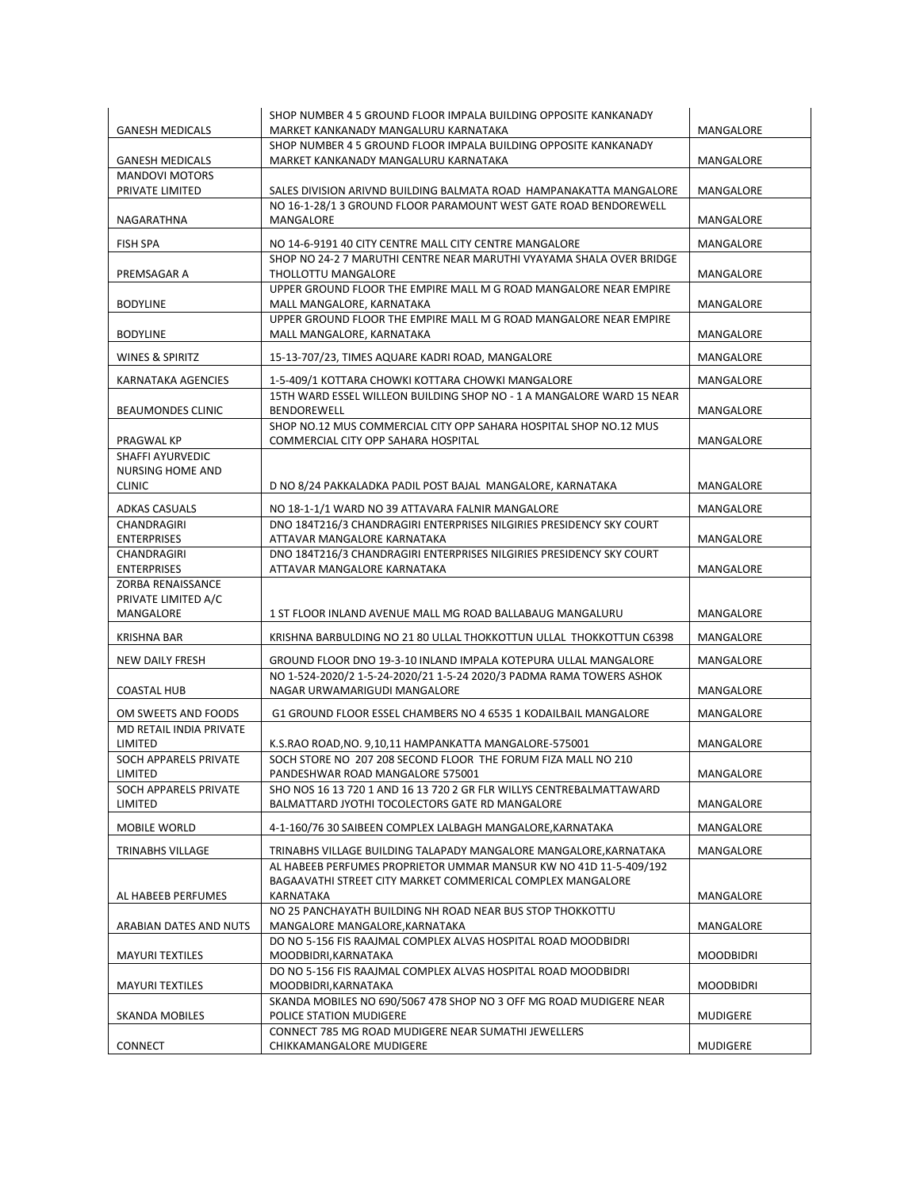|                                          | SHOP NUMBER 4 5 GROUND FLOOR IMPALA BUILDING OPPOSITE KANKANADY                                                         |                  |
|------------------------------------------|-------------------------------------------------------------------------------------------------------------------------|------------------|
| <b>GANESH MEDICALS</b>                   | MARKET KANKANADY MANGALURU KARNATAKA                                                                                    | MANGALORE        |
| <b>GANESH MEDICALS</b>                   | SHOP NUMBER 4 5 GROUND FLOOR IMPALA BUILDING OPPOSITE KANKANADY<br>MARKET KANKANADY MANGALURU KARNATAKA                 | MANGALORE        |
| <b>MANDOVI MOTORS</b>                    |                                                                                                                         |                  |
| PRIVATE LIMITED                          | SALES DIVISION ARIVND BUILDING BALMATA ROAD HAMPANAKATTA MANGALORE                                                      | MANGALORE        |
| NAGARATHNA                               | NO 16-1-28/1 3 GROUND FLOOR PARAMOUNT WEST GATE ROAD BENDOREWELL<br>MANGALORE                                           | MANGALORE        |
| <b>FISH SPA</b>                          | NO 14-6-9191 40 CITY CENTRE MALL CITY CENTRE MANGALORE                                                                  | MANGALORE        |
|                                          | SHOP NO 24-2 7 MARUTHI CENTRE NEAR MARUTHI VYAYAMA SHALA OVER BRIDGE                                                    |                  |
| PREMSAGAR A                              | THOLLOTTU MANGALORE                                                                                                     | MANGALORE        |
| <b>BODYLINE</b>                          | UPPER GROUND FLOOR THE EMPIRE MALL M G ROAD MANGALORE NEAR EMPIRE<br>MALL MANGALORE, KARNATAKA                          | MANGALORE        |
|                                          | UPPER GROUND FLOOR THE EMPIRE MALL M G ROAD MANGALORE NEAR EMPIRE                                                       |                  |
| <b>BODYLINE</b>                          | MALL MANGALORE, KARNATAKA                                                                                               | MANGALORE        |
| <b>WINES &amp; SPIRITZ</b>               | 15-13-707/23, TIMES AQUARE KADRI ROAD, MANGALORE                                                                        | MANGALORE        |
| KARNATAKA AGENCIES                       | 1-5-409/1 KOTTARA CHOWKI KOTTARA CHOWKI MANGALORE                                                                       | MANGALORE        |
|                                          | 15TH WARD ESSEL WILLEON BUILDING SHOP NO - 1 A MANGALORE WARD 15 NEAR                                                   |                  |
| <b>BEAUMONDES CLINIC</b>                 | <b>BENDOREWELL</b>                                                                                                      | MANGALORE        |
|                                          | SHOP NO.12 MUS COMMERCIAL CITY OPP SAHARA HOSPITAL SHOP NO.12 MUS                                                       |                  |
| PRAGWAL KP                               | COMMERCIAL CITY OPP SAHARA HOSPITAL                                                                                     | MANGALORE        |
| SHAFFI AYURVEDIC                         |                                                                                                                         |                  |
| <b>NURSING HOME AND</b><br><b>CLINIC</b> | D NO 8/24 PAKKALADKA PADIL POST BAJAL MANGALORE, KARNATAKA                                                              | MANGALORE        |
|                                          |                                                                                                                         |                  |
| <b>ADKAS CASUALS</b>                     | NO 18-1-1/1 WARD NO 39 ATTAVARA FALNIR MANGALORE                                                                        | MANGALORE        |
| CHANDRAGIRI                              | DNO 184T216/3 CHANDRAGIRI ENTERPRISES NILGIRIES PRESIDENCY SKY COURT                                                    |                  |
| <b>ENTERPRISES</b>                       | ATTAVAR MANGALORE KARNATAKA                                                                                             | MANGALORE        |
| CHANDRAGIRI                              | DNO 184T216/3 CHANDRAGIRI ENTERPRISES NILGIRIES PRESIDENCY SKY COURT                                                    |                  |
| <b>ENTERPRISES</b>                       | ATTAVAR MANGALORE KARNATAKA                                                                                             | MANGALORE        |
| ZORBA RENAISSANCE                        |                                                                                                                         |                  |
| PRIVATE LIMITED A/C                      |                                                                                                                         |                  |
| MANGALORE                                | 1 ST FLOOR INLAND AVENUE MALL MG ROAD BALLABAUG MANGALURU                                                               | MANGALORE        |
| KRISHNA BAR                              | KRISHNA BARBULDING NO 21 80 ULLAL THOKKOTTUN ULLAL THOKKOTTUN C6398                                                     | MANGALORE        |
| NEW DAILY FRESH                          | GROUND FLOOR DNO 19-3-10 INLAND IMPALA KOTEPURA ULLAL MANGALORE                                                         | MANGALORE        |
|                                          | NO 1-524-2020/2 1-5-24-2020/21 1-5-24 2020/3 PADMA RAMA TOWERS ASHOK                                                    |                  |
| <b>COASTAL HUB</b>                       | NAGAR URWAMARIGUDI MANGALORE                                                                                            | MANGALORE        |
| OM SWEETS AND FOODS                      | G1 GROUND FLOOR ESSEL CHAMBERS NO 4 6535 1 KODAILBAIL MANGALORE                                                         | MANGALORE        |
| MD RETAIL INDIA PRIVATE                  |                                                                                                                         |                  |
| LIMITED                                  | K.S.RAO ROAD, NO. 9, 10, 11 HAMPANKATTA MANGALORE-575001                                                                | MANGALORE        |
| SOCH APPARELS PRIVATE                    | SOCH STORE NO 207 208 SECOND FLOOR THE FORUM FIZA MALL NO 210                                                           |                  |
| LIMITED                                  | PANDESHWAR ROAD MANGALORE 575001                                                                                        | MANGALORE        |
| SOCH APPARELS PRIVATE<br><b>LIMITED</b>  | SHO NOS 16 13 720 1 AND 16 13 720 2 GR FLR WILLYS CENTREBALMATTAWARD<br>BALMATTARD JYOTHI TOCOLECTORS GATE RD MANGALORE | MANGALORE        |
| MOBILE WORLD                             | 4-1-160/76 30 SAIBEEN COMPLEX LALBAGH MANGALORE, KARNATAKA                                                              | MANGALORE        |
| TRINABHS VILLAGE                         | TRINABHS VILLAGE BUILDING TALAPADY MANGALORE MANGALORE, KARNATAKA                                                       | MANGALORE        |
|                                          | AL HABEEB PERFUMES PROPRIETOR UMMAR MANSUR KW NO 41D 11-5-409/192                                                       |                  |
|                                          | BAGAAVATHI STREET CITY MARKET COMMERICAL COMPLEX MANGALORE                                                              |                  |
| AL HABEEB PERFUMES                       | KARNATAKA                                                                                                               | MANGALORE        |
| ARABIAN DATES AND NUTS                   | NO 25 PANCHAYATH BUILDING NH ROAD NEAR BUS STOP THOKKOTTU<br>MANGALORE MANGALORE, KARNATAKA                             | MANGALORE        |
|                                          | DO NO 5-156 FIS RAAJMAL COMPLEX ALVAS HOSPITAL ROAD MOODBIDRI                                                           |                  |
| <b>MAYURI TEXTILES</b>                   | MOODBIDRI, KARNATAKA                                                                                                    | <b>MOODBIDRI</b> |
|                                          | DO NO 5-156 FIS RAAJMAL COMPLEX ALVAS HOSPITAL ROAD MOODBIDRI                                                           |                  |
| <b>MAYURI TEXTILES</b>                   | MOODBIDRI, KARNATAKA<br>SKANDA MOBILES NO 690/5067 478 SHOP NO 3 OFF MG ROAD MUDIGERE NEAR                              | <b>MOODBIDRI</b> |
| SKANDA MOBILES                           | POLICE STATION MUDIGERE                                                                                                 | MUDIGERE         |
|                                          | CONNECT 785 MG ROAD MUDIGERE NEAR SUMATHI JEWELLERS                                                                     |                  |
| <b>CONNECT</b>                           | CHIKKAMANGALORE MUDIGERE                                                                                                | MUDIGERE         |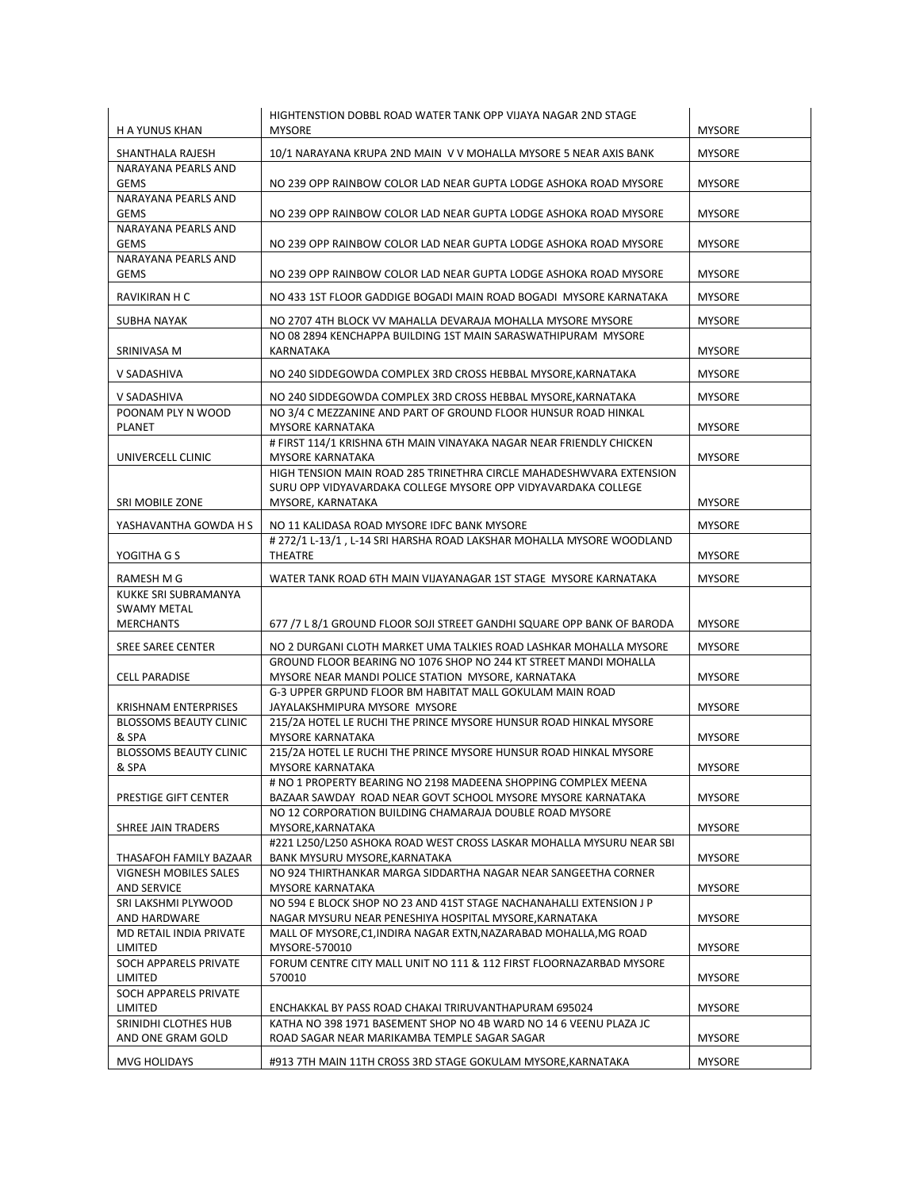| H A YUNUS KHAN                                                 | HIGHTENSTION DOBBL ROAD WATER TANK OPP VIJAYA NAGAR 2ND STAGE<br><b>MYSORE</b>                                                                            | <b>MYSORE</b> |
|----------------------------------------------------------------|-----------------------------------------------------------------------------------------------------------------------------------------------------------|---------------|
| SHANTHALA RAJESH                                               | 10/1 NARAYANA KRUPA 2ND MAIN V V MOHALLA MYSORE 5 NEAR AXIS BANK                                                                                          | <b>MYSORE</b> |
| NARAYANA PEARLS AND<br><b>GEMS</b>                             | NO 239 OPP RAINBOW COLOR LAD NEAR GUPTA LODGE ASHOKA ROAD MYSORE                                                                                          | <b>MYSORE</b> |
| NARAYANA PEARLS AND<br><b>GEMS</b>                             | NO 239 OPP RAINBOW COLOR LAD NEAR GUPTA LODGE ASHOKA ROAD MYSORE                                                                                          | <b>MYSORE</b> |
| NARAYANA PEARLS AND<br><b>GEMS</b>                             | NO 239 OPP RAINBOW COLOR LAD NEAR GUPTA LODGE ASHOKA ROAD MYSORE                                                                                          | <b>MYSORE</b> |
| NARAYANA PEARLS AND<br><b>GEMS</b>                             | NO 239 OPP RAINBOW COLOR LAD NEAR GUPTA LODGE ASHOKA ROAD MYSORE                                                                                          | <b>MYSORE</b> |
| RAVIKIRAN H C                                                  | NO 433 1ST FLOOR GADDIGE BOGADI MAIN ROAD BOGADI MYSORE KARNATAKA                                                                                         | <b>MYSORE</b> |
| SUBHA NAYAK                                                    | NO 2707 4TH BLOCK VV MAHALLA DEVARAJA MOHALLA MYSORE MYSORE<br>NO 08 2894 KENCHAPPA BUILDING 1ST MAIN SARASWATHIPURAM MYSORE                              | <b>MYSORE</b> |
| SRINIVASA M                                                    | KARNATAKA                                                                                                                                                 | <b>MYSORE</b> |
| V SADASHIVA                                                    | NO 240 SIDDEGOWDA COMPLEX 3RD CROSS HEBBAL MYSORE, KARNATAKA                                                                                              | <b>MYSORE</b> |
| V SADASHIVA                                                    | NO 240 SIDDEGOWDA COMPLEX 3RD CROSS HEBBAL MYSORE, KARNATAKA                                                                                              | <b>MYSORE</b> |
| POONAM PLY N WOOD<br>PLANET                                    | NO 3/4 C MEZZANINE AND PART OF GROUND FLOOR HUNSUR ROAD HINKAL<br><b>MYSORE KARNATAKA</b>                                                                 | <b>MYSORE</b> |
| UNIVERCELL CLINIC                                              | # FIRST 114/1 KRISHNA 6TH MAIN VINAYAKA NAGAR NEAR FRIENDLY CHICKEN<br>MYSORE KARNATAKA                                                                   | <b>MYSORE</b> |
| <b>SRI MOBILE ZONE</b>                                         | HIGH TENSION MAIN ROAD 285 TRINETHRA CIRCLE MAHADESHWVARA EXTENSION<br>SURU OPP VIDYAVARDAKA COLLEGE MYSORE OPP VIDYAVARDAKA COLLEGE<br>MYSORE, KARNATAKA | <b>MYSORE</b> |
| YASHAVANTHA GOWDA H S                                          | NO 11 KALIDASA ROAD MYSORE IDFC BANK MYSORE                                                                                                               | <b>MYSORE</b> |
| YOGITHA G S                                                    | # 272/1 L-13/1, L-14 SRI HARSHA ROAD LAKSHAR MOHALLA MYSORE WOODLAND<br>THEATRE                                                                           | <b>MYSORE</b> |
| RAMESH M G                                                     | WATER TANK ROAD 6TH MAIN VIJAYANAGAR 1ST STAGE MYSORE KARNATAKA                                                                                           | <b>MYSORE</b> |
| KUKKE SRI SUBRAMANYA<br><b>SWAMY METAL</b><br><b>MERCHANTS</b> | 677 /7 L 8/1 GROUND FLOOR SOJI STREET GANDHI SQUARE OPP BANK OF BARODA                                                                                    | <b>MYSORE</b> |
| <b>SREE SAREE CENTER</b>                                       | NO 2 DURGANI CLOTH MARKET UMA TALKIES ROAD LASHKAR MOHALLA MYSORE                                                                                         | <b>MYSORE</b> |
|                                                                | GROUND FLOOR BEARING NO 1076 SHOP NO 244 KT STREET MANDI MOHALLA                                                                                          |               |
| <b>CELL PARADISE</b>                                           | MYSORE NEAR MANDI POLICE STATION MYSORE, KARNATAKA<br>G-3 UPPER GRPUND FLOOR BM HABITAT MALL GOKULAM MAIN ROAD                                            | <b>MYSORE</b> |
| <b>KRISHNAM ENTERPRISES</b><br><b>BLOSSOMS BEAUTY CLINIC</b>   | JAYALAKSHMIPURA MYSORE MYSORE<br>215/2A HOTEL LE RUCHI THE PRINCE MYSORE HUNSUR ROAD HINKAL MYSORE                                                        | <b>MYSORE</b> |
| & SPA<br><b>BLOSSOMS BEAUTY CLINIC</b>                         | <b>MYSORE KARNATAKA</b><br>215/2A HOTEL LE RUCHI THE PRINCE MYSORE HUNSUR ROAD HINKAL MYSORE                                                              | <b>MYSORE</b> |
| & SPA                                                          | <b>MYSORE KARNATAKA</b><br># NO 1 PROPERTY BEARING NO 2198 MADEENA SHOPPING COMPLEX MEENA                                                                 | <b>MYSORE</b> |
| PRESTIGE GIFT CENTER                                           | BAZAAR SAWDAY ROAD NEAR GOVT SCHOOL MYSORE MYSORE KARNATAKA                                                                                               | <b>MYSORE</b> |
| SHREE JAIN TRADERS                                             | NO 12 CORPORATION BUILDING CHAMARAJA DOUBLE ROAD MYSORE<br>MYSORE, KARNATAKA                                                                              | <b>MYSORE</b> |
| THASAFOH FAMILY BAZAAR                                         | #221 L250/L250 ASHOKA ROAD WEST CROSS LASKAR MOHALLA MYSURU NEAR SBI<br>BANK MYSURU MYSORE, KARNATAKA                                                     | <b>MYSORE</b> |
| VIGNESH MOBILES SALES<br><b>AND SERVICE</b>                    | NO 924 THIRTHANKAR MARGA SIDDARTHA NAGAR NEAR SANGEETHA CORNER<br>MYSORE KARNATAKA                                                                        | <b>MYSORE</b> |
| SRI LAKSHMI PLYWOOD<br>AND HARDWARE                            | NO 594 E BLOCK SHOP NO 23 AND 41ST STAGE NACHANAHALLI EXTENSION J P<br>NAGAR MYSURU NEAR PENESHIYA HOSPITAL MYSORE, KARNATAKA                             | <b>MYSORE</b> |
| MD RETAIL INDIA PRIVATE<br>LIMITED                             | MALL OF MYSORE, C1, INDIRA NAGAR EXTN, NAZARABAD MOHALLA, MG ROAD<br>MYSORE-570010                                                                        | <b>MYSORE</b> |
| SOCH APPARELS PRIVATE<br>LIMITED                               | FORUM CENTRE CITY MALL UNIT NO 111 & 112 FIRST FLOORNAZARBAD MYSORE<br>570010                                                                             | <b>MYSORE</b> |
| SOCH APPARELS PRIVATE<br>LIMITED                               | ENCHAKKAL BY PASS ROAD CHAKAI TRIRUVANTHAPURAM 695024                                                                                                     | <b>MYSORE</b> |
| SRINIDHI CLOTHES HUB<br>AND ONE GRAM GOLD                      | KATHA NO 398 1971 BASEMENT SHOP NO 4B WARD NO 14 6 VEENU PLAZA JC<br>ROAD SAGAR NEAR MARIKAMBA TEMPLE SAGAR SAGAR                                         | <b>MYSORE</b> |
| MVG HOLIDAYS                                                   | #913 7TH MAIN 11TH CROSS 3RD STAGE GOKULAM MYSORE, KARNATAKA                                                                                              | <b>MYSORE</b> |